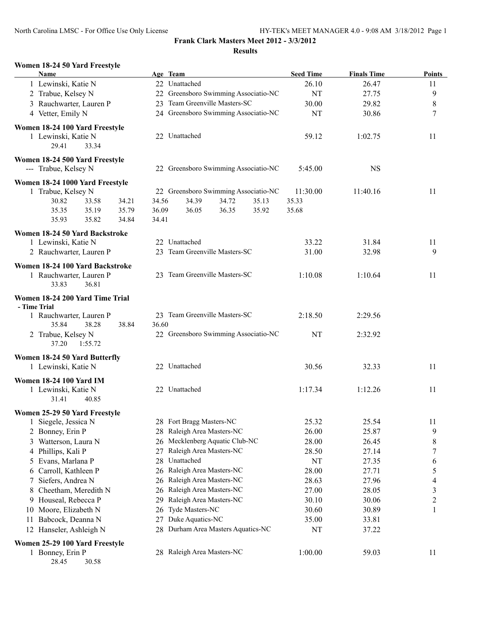#### **Women 18-24 50 Yard Freestyle**

| <b>Name</b>                                            | Age Team                               | <b>Seed Time</b> | <b>Finals Time</b> | <b>Points</b>    |
|--------------------------------------------------------|----------------------------------------|------------------|--------------------|------------------|
| 1 Lewinski, Katie N                                    | 22 Unattached                          | 26.10            | 26.47              | 11               |
| 2 Trabue, Kelsey N                                     | 22 Greensboro Swimming Associatio-NC   | NT               | 27.75              | 9                |
| 3 Rauchwarter, Lauren P                                | 23 Team Greenville Masters-SC          | 30.00            | 29.82              | $\,$ $\,$        |
| 4 Vetter, Emily N                                      | 24 Greensboro Swimming Associatio-NC   | NT               | 30.86              | $\tau$           |
| Women 18-24 100 Yard Freestyle                         |                                        |                  |                    |                  |
| 1 Lewinski, Katie N                                    | 22 Unattached                          | 59.12            | 1:02.75            | 11               |
| 29.41<br>33.34                                         |                                        |                  |                    |                  |
| Women 18-24 500 Yard Freestyle<br>--- Trabue, Kelsey N | 22 Greensboro Swimming Associatio-NC   | 5:45.00          | <b>NS</b>          |                  |
| Women 18-24 1000 Yard Freestyle                        |                                        |                  |                    |                  |
| 1 Trabue, Kelsey N                                     | 22 Greensboro Swimming Associatio-NC   | 11:30.00         | 11:40.16           | 11               |
| 30.82<br>33.58<br>34.21                                | 34.39<br>34.72<br>34.56<br>35.13       | 35.33            |                    |                  |
| 35.35<br>35.79<br>35.19                                | 36.09<br>36.05<br>36.35<br>35.92       | 35.68            |                    |                  |
| 35.93<br>35.82<br>34.84                                | 34.41                                  |                  |                    |                  |
| Women 18-24 50 Yard Backstroke                         |                                        |                  |                    |                  |
| 1 Lewinski, Katie N                                    | 22 Unattached                          | 33.22            | 31.84              | 11               |
| 2 Rauchwarter, Lauren P                                | 23 Team Greenville Masters-SC          | 31.00            | 32.98              | 9                |
| Women 18-24 100 Yard Backstroke                        |                                        |                  |                    |                  |
| 1 Rauchwarter, Lauren P                                | 23 Team Greenville Masters-SC          | 1:10.08          | 1:10.64            | 11               |
| 33.83<br>36.81                                         |                                        |                  |                    |                  |
| Women 18-24 200 Yard Time Trial                        |                                        |                  |                    |                  |
| - Time Trial<br>1 Rauchwarter, Lauren P                | 23 Team Greenville Masters-SC          | 2:18.50          | 2:29.56            |                  |
| 35.84<br>38.28<br>38.84                                | 36.60                                  |                  |                    |                  |
| 2 Trabue, Kelsey N                                     | 22 Greensboro Swimming Associatio-NC   | NT               | 2:32.92            |                  |
| 37.20<br>1:55.72                                       |                                        |                  |                    |                  |
| Women 18-24 50 Yard Butterfly                          |                                        |                  |                    |                  |
| 1 Lewinski, Katie N                                    | 22 Unattached                          | 30.56            | 32.33              | 11               |
| <b>Women 18-24 100 Yard IM</b>                         |                                        |                  |                    |                  |
| 1 Lewinski, Katie N                                    | 22 Unattached                          | 1:17.34          | 1:12.26            | 11               |
| 31.41<br>40.85                                         |                                        |                  |                    |                  |
| Women 25-29 50 Yard Freestyle                          |                                        |                  |                    |                  |
| 1 Siegele, Jessica N                                   | 28 Fort Bragg Masters-NC               | 25.32            | 25.54              | 11               |
| Bonney, Erin P<br>2                                    | 28 Raleigh Area Masters-NC             | 26.00            | 25.87              | 9                |
| Watterson, Laura N<br>3                                | 26 Mecklenberg Aquatic Club-NC         | 28.00            | 26.45              | 8                |
| Phillips, Kali P<br>4                                  | Raleigh Area Masters-NC<br>27          | 28.50            | 27.14              | $\boldsymbol{7}$ |
| Evans, Marlana P<br>5                                  | Unattached<br>28                       | NT               | 27.35              | 6                |
| Carroll, Kathleen P<br>6                               | Raleigh Area Masters-NC<br>26          | 28.00            | 27.71              | 5                |
| Siefers, Andrea N<br>7                                 | Raleigh Area Masters-NC<br>26          | 28.63            | 27.96              | 4                |
| Cheetham, Meredith N<br>8                              | Raleigh Area Masters-NC<br>26          | 27.00            | 28.05              | 3                |
| Houseal, Rebecca P<br>9                                | Raleigh Area Masters-NC<br>29          | 30.10            | 30.06              | $\overline{c}$   |
| Moore, Elizabeth N<br>10                               | Tyde Masters-NC<br>26                  | 30.60            | 30.89              | 1                |
| Babcock, Deanna N<br>11                                | Duke Aquatics-NC<br>27                 | 35.00            | 33.81              |                  |
| 12 Hanseler, Ashleigh N                                | Durham Area Masters Aquatics-NC<br>28. | NT               | 37.22              |                  |
| Women 25-29 100 Yard Freestyle                         |                                        |                  |                    |                  |
| 1 Bonney, Erin P                                       | 28 Raleigh Area Masters-NC             | 1:00.00          | 59.03              | 11               |

28.45 30.58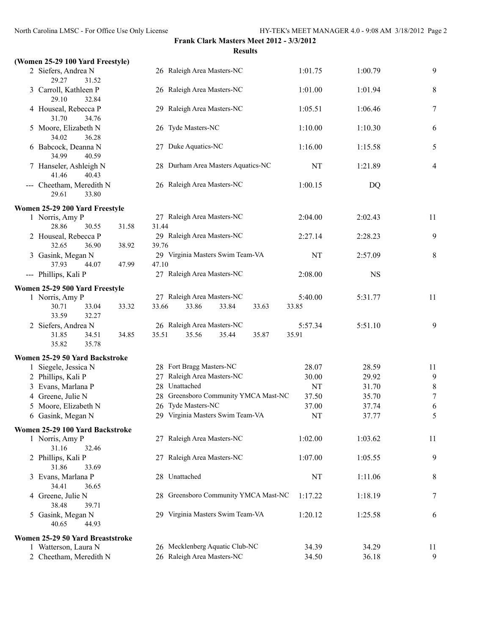#### **(Women 25-29 100 Yard Freestyle)**

|                      | $\frac{1}{2}$          |                                    |         |         |                |
|----------------------|------------------------|------------------------------------|---------|---------|----------------|
|                      | 2 Siefers, Andrea N    | 26 Raleigh Area Masters-NC         | 1:01.75 | 1:00.79 | 9              |
|                      | 29.27<br>31.52         |                                    |         |         |                |
|                      | 3 Carroll, Kathleen P  | 26 Raleigh Area Masters-NC         | 1:01.00 | 1:01.94 | 8              |
|                      | 29.10<br>32.84         |                                    |         |         |                |
|                      | 4 Houseal, Rebecca P   | 29 Raleigh Area Masters-NC         | 1:05.51 | 1:06.46 |                |
|                      | 31.70<br>34.76         |                                    |         |         |                |
|                      | 5 Moore, Elizabeth N   | 26 Tyde Masters-NC                 | 1:10.00 | 1:10.30 | 6              |
|                      | 36.28<br>34.02         |                                    |         |         |                |
|                      | 6 Babcock, Deanna N    | 27 Duke Aquatics-NC                | 1:16.00 | 1:15.58 | 5              |
|                      | 34.99<br>40.59         |                                    |         |         |                |
|                      | 7 Hanseler, Ashleigh N | 28 Durham Area Masters Aquatics-NC | NT      | 1:21.89 | $\overline{4}$ |
|                      | 41.46<br>40.43         |                                    |         |         |                |
| $\sim$ $\sim$ $\sim$ | Cheetham, Meredith N   | 26 Raleigh Area Masters-NC         | 1:00.15 | DQ      |                |
|                      | 29.61<br>33.80         |                                    |         |         |                |
|                      |                        |                                    |         |         |                |

#### **Women 25-29 200 Yard Freestyle**

| 1 Norris, Amy P                |       | 27 Raleigh Area Masters-NC       | 2:04.00   | 2:02.43 | 11 |
|--------------------------------|-------|----------------------------------|-----------|---------|----|
| 30.55<br>28.86                 | 31.58 | 31.44                            |           |         |    |
| 2 Houseal, Rebecca P           |       | 29 Raleigh Area Masters-NC       | 2.2714    | 2:28.23 | 9  |
| 36.90<br>32.65                 | 38.92 | 39.76                            |           |         |    |
| 3 Gasink, Megan N              |       | 29 Virginia Masters Swim Team-VA | <b>NT</b> | 2:57.09 | 8  |
| 44.07<br>37.93                 | 47.99 | 47.10                            |           |         |    |
| --- Phillips, Kali P           |       | 27 Raleigh Area Masters-NC       | 2:08.00   | NS      |    |
| Women 25-29 500 Yard Freestyle |       |                                  |           |         |    |
| 1 Norris, Amy P                |       | Raleigh Area Masters-NC          | 5:40.00   | 5:31.77 | 11 |

#### 30.71 33.04 33.32 33.66 33.86 33.84 33.63 33.85 33.59 32.27 2 Siefers, Andrea N 26 Raleigh Area Masters-NC 5:57.34 5:51.10 9 31.85 34.51 34.85 35.51 35.56 35.44 35.87 35.91 35.82 35.78

#### **Women 25-29 50 Yard Backstroke**

|                                                                                                                                    | 28.07                                                                                                                                                                     | 28.59 | 11 |
|------------------------------------------------------------------------------------------------------------------------------------|---------------------------------------------------------------------------------------------------------------------------------------------------------------------------|-------|----|
|                                                                                                                                    | 30.00                                                                                                                                                                     | 29.92 | 9  |
|                                                                                                                                    | NT                                                                                                                                                                        | 31.70 |    |
|                                                                                                                                    | 37.50                                                                                                                                                                     | 35.70 | 7  |
|                                                                                                                                    | 37.00                                                                                                                                                                     | 37.74 |    |
|                                                                                                                                    | NT                                                                                                                                                                        | 37.77 |    |
| 1 Siegele, Jessica N<br>2 Phillips, Kali P<br>3 Evans, Marlana P<br>4 Greene, Julie N<br>5 Moore, Elizabeth N<br>6 Gasink, Megan N | 28 Fort Bragg Masters-NC<br>27 Raleigh Area Masters-NC<br>28 Unattached<br>28 Greensboro Community YMCA Mast-NC<br>26 Tyde Masters-NC<br>29 Virginia Masters Swim Team-VA |       |    |

## **Women 25-29 100 Yard Backstroke**<br>1 Norris Amy P

| 1 Norris, Amy P                  | 27 Raleigh Area Masters-NC           | 1:02.00 | 1:03.62 | 11 |
|----------------------------------|--------------------------------------|---------|---------|----|
| 31.16<br>32.46                   |                                      |         |         |    |
| 2 Phillips, Kali P               | 27 Raleigh Area Masters-NC           | 1:07.00 | 1:05.55 | 9  |
| 33.69<br>31.86                   |                                      |         |         |    |
| 3 Evans, Marlana P               | 28 Unattached                        | NT      | 1:11.06 | 8  |
| 34.41<br>36.65                   |                                      |         |         |    |
| 4 Greene, Julie N                | 28 Greensboro Community YMCA Mast-NC | 1:17.22 | 1:18.19 | 7  |
| 39.71<br>38.48                   |                                      |         |         |    |
| 5 Gasink, Megan N                | 29 Virginia Masters Swim Team-VA     | 1:20.12 | 1:25.58 | 6  |
| 40.65<br>44.93                   |                                      |         |         |    |
| Women 25-29 50 Yard Breaststroke |                                      |         |         |    |
| 1 Watterson, Laura N             | 26 Mecklenberg Aquatic Club-NC       | 34.39   | 34.29   |    |

2 Cheetham, Meredith N 26 Raleigh Area Masters-NC 34.50 36.18 9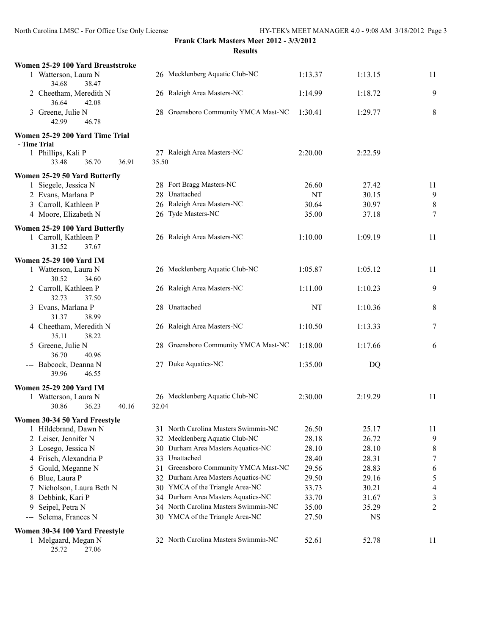| Women 25-29 100 Yard Breaststroke               |                                         |         |           |                  |
|-------------------------------------------------|-----------------------------------------|---------|-----------|------------------|
| 1 Watterson, Laura N<br>34.68<br>38.47          | 26 Mecklenberg Aquatic Club-NC          | 1:13.37 | 1:13.15   | 11               |
| 2 Cheetham, Meredith N<br>36.64<br>42.08        | 26 Raleigh Area Masters-NC              | 1:14.99 | 1:18.72   | 9                |
| 3 Greene, Julie N<br>42.99<br>46.78             | 28 Greensboro Community YMCA Mast-NC    | 1:30.41 | 1:29.77   | 8                |
| Women 25-29 200 Yard Time Trial                 |                                         |         |           |                  |
| - Time Trial                                    |                                         |         |           |                  |
| 1 Phillips, Kali P<br>36.91<br>33.48<br>36.70   | 27 Raleigh Area Masters-NC<br>35.50     | 2:20.00 | 2:22.59   |                  |
| Women 25-29 50 Yard Butterfly                   |                                         |         |           |                  |
| 1 Siegele, Jessica N                            | 28 Fort Bragg Masters-NC                | 26.60   | 27.42     | 11               |
| 2 Evans, Marlana P                              | 28 Unattached                           | NT      | 30.15     | $\mathbf{9}$     |
| 3 Carroll, Kathleen P                           | 26 Raleigh Area Masters-NC              | 30.64   | 30.97     | $\,8\,$          |
| 4 Moore, Elizabeth N                            | 26 Tyde Masters-NC                      | 35.00   | 37.18     | $\tau$           |
| Women 25-29 100 Yard Butterfly                  |                                         |         |           |                  |
| 1 Carroll, Kathleen P<br>31.52<br>37.67         | 26 Raleigh Area Masters-NC              | 1:10.00 | 1:09.19   | 11               |
| <b>Women 25-29 100 Yard IM</b>                  |                                         |         |           |                  |
| 1 Watterson, Laura N<br>30.52<br>34.60          | 26 Mecklenberg Aquatic Club-NC          | 1:05.87 | 1:05.12   | 11               |
| 2 Carroll, Kathleen P<br>32.73<br>37.50         | 26 Raleigh Area Masters-NC              | 1:11.00 | 1:10.23   | 9                |
| 3 Evans, Marlana P<br>38.99<br>31.37            | 28 Unattached                           | NT      | 1:10.36   | 8                |
| 4 Cheetham, Meredith N<br>35.11<br>38.22        | 26 Raleigh Area Masters-NC              | 1:10.50 | 1:13.33   | 7                |
| 5 Greene, Julie N<br>36.70<br>40.96             | 28 Greensboro Community YMCA Mast-NC    | 1:18.00 | 1:17.66   | 6                |
| --- Babcock, Deanna N<br>39.96<br>46.55         | 27 Duke Aquatics-NC                     | 1:35.00 | DQ        |                  |
| <b>Women 25-29 200 Yard IM</b>                  |                                         |         |           |                  |
| 1 Watterson, Laura N<br>36.23<br>40.16<br>30.86 | 26 Mecklenberg Aquatic Club-NC<br>32.04 | 2:30.00 | 2:19.29   | 11               |
| Women 30-34 50 Yard Freestyle                   |                                         |         |           |                  |
| 1 Hildebrand, Dawn N                            | 31 North Carolina Masters Swimmin-NC    | 26.50   | 25.17     | 11               |
| 2 Leiser, Jennifer N                            | 32 Mecklenberg Aquatic Club-NC          | 28.18   | 26.72     | 9                |
| 3 Losego, Jessica N                             | 30 Durham Area Masters Aquatics-NC      | 28.10   | 28.10     | 8                |
| 4 Frisch, Alexandria P                          | 33 Unattached                           | 28.40   | 28.31     | $\boldsymbol{7}$ |
| 5 Gould, Meganne N                              | 31 Greensboro Community YMCA Mast-NC    | 29.56   | 28.83     | 6                |
| 6 Blue, Laura P                                 | 32 Durham Area Masters Aquatics-NC      | 29.50   | 29.16     | 5                |
| 7 Nicholson, Laura Beth N                       | 30 YMCA of the Triangle Area-NC         | 33.73   | 30.21     | $\overline{4}$   |
| Debbink, Kari P<br>8                            | 34 Durham Area Masters Aquatics-NC      | 33.70   | 31.67     | 3                |
| Seipel, Petra N<br>9                            | 34 North Carolina Masters Swimmin-NC    | 35.00   | 35.29     | 2                |
| Selema, Frances N                               | 30 YMCA of the Triangle Area-NC         | 27.50   | <b>NS</b> |                  |
| Women 30-34 100 Yard Freestyle                  |                                         |         |           |                  |
| 1 Melgaard, Megan N<br>25.72<br>27.06           | 32 North Carolina Masters Swimmin-NC    | 52.61   | 52.78     | 11               |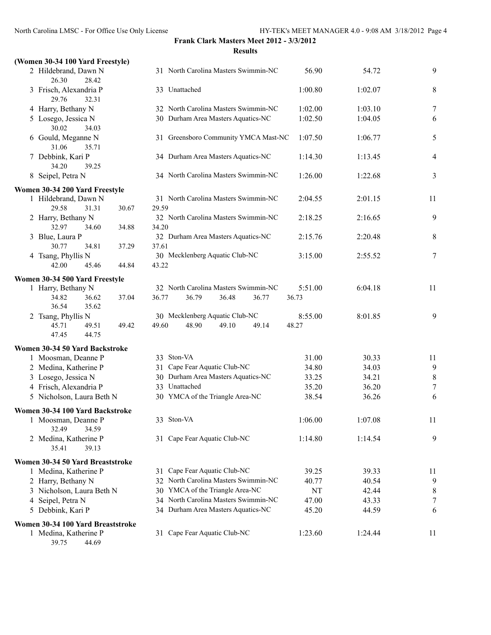### **(Women 30-34 100 Yard Freestyle)**

| 2 Hildebrand, Dawn N                                       |       | 31 North Carolina Masters Swimmin-NC          | 56.90   | 54.72   | 9                |
|------------------------------------------------------------|-------|-----------------------------------------------|---------|---------|------------------|
| 26.30<br>28.42                                             |       |                                               |         |         |                  |
| 3 Frisch, Alexandria P<br>29.76<br>32.31                   |       | 33 Unattached                                 | 1:00.80 | 1:02.07 | 8                |
| 4 Harry, Bethany N                                         |       | 32 North Carolina Masters Swimmin-NC          | 1:02.00 | 1:03.10 | $\tau$           |
| 5 Losego, Jessica N<br>30.02<br>34.03                      |       | 30 Durham Area Masters Aquatics-NC            | 1:02.50 | 1:04.05 | 6                |
| 6 Gould, Meganne N<br>31.06<br>35.71                       |       | 31 Greensboro Community YMCA Mast-NC          | 1:07.50 | 1:06.77 | 5                |
| 7 Debbink, Kari P<br>34.20<br>39.25                        |       | 34 Durham Area Masters Aquatics-NC            | 1:14.30 | 1:13.45 | $\overline{4}$   |
| 8 Seipel, Petra N                                          |       | 34 North Carolina Masters Swimmin-NC          | 1:26.00 | 1:22.68 | 3                |
| Women 30-34 200 Yard Freestyle                             |       |                                               |         |         |                  |
| 1 Hildebrand, Dawn N                                       |       | 31 North Carolina Masters Swimmin-NC          | 2:04.55 | 2:01.15 | 11               |
| 29.58<br>31.31<br>2 Harry, Bethany N                       | 30.67 | 29.59<br>32 North Carolina Masters Swimmin-NC | 2:18.25 | 2:16.65 | 9                |
| 32.97<br>34.60                                             | 34.88 | 34.20                                         |         |         |                  |
| 3 Blue, Laura P<br>30.77<br>34.81                          | 37.29 | 32 Durham Area Masters Aquatics-NC<br>37.61   | 2:15.76 | 2:20.48 | 8                |
| 4 Tsang, Phyllis N<br>42.00<br>45.46                       | 44.84 | 30 Mecklenberg Aquatic Club-NC<br>43.22       | 3:15.00 | 2:55.52 | $\tau$           |
|                                                            |       |                                               |         |         |                  |
| Women 30-34 500 Yard Freestyle<br>1 Harry, Bethany N       |       | 32 North Carolina Masters Swimmin-NC          | 5:51.00 | 6:04.18 | 11               |
| 34.82<br>36.62<br>36.54<br>35.62                           | 37.04 | 36.77<br>36.79<br>36.48<br>36.77              | 36.73   |         |                  |
| 2 Tsang, Phyllis N                                         |       | 30 Mecklenberg Aquatic Club-NC                | 8:55.00 | 8:01.85 | 9                |
| 45.71<br>49.51<br>47.45<br>44.75                           | 49.42 | 48.90<br>49.60<br>49.10<br>49.14              | 48.27   |         |                  |
|                                                            |       |                                               |         |         |                  |
| Women 30-34 50 Yard Backstroke                             |       | 33 Ston-VA                                    | 31.00   | 30.33   |                  |
| 1 Moosman, Deanne P<br>2 Medina, Katherine P               |       | 31 Cape Fear Aquatic Club-NC                  | 34.80   | 34.03   | 11<br>9          |
| 3 Losego, Jessica N                                        |       | 30 Durham Area Masters Aquatics-NC            | 33.25   | 34.21   | $\,8\,$          |
| 4 Frisch, Alexandria P                                     |       | 33 Unattached                                 | 35.20   | 36.20   | $\tau$           |
| 5 Nicholson, Laura Beth N                                  |       | 30 YMCA of the Triangle Area-NC               | 38.54   | 36.26   | 6                |
|                                                            |       |                                               |         |         |                  |
| Women 30-34 100 Yard Backstroke                            |       |                                               |         |         |                  |
| 1 Moosman, Deanne P<br>32.49<br>34.59                      |       | 33 Ston-VA                                    | 1:06.00 | 1:07.08 | 11               |
| 2 Medina, Katherine P<br>35.41<br>39.13                    |       | 31 Cape Fear Aquatic Club-NC                  | 1:14.80 | 1:14.54 | 9                |
| Women 30-34 50 Yard Breaststroke                           |       |                                               |         |         |                  |
| 1 Medina, Katherine P                                      |       | 31 Cape Fear Aquatic Club-NC                  | 39.25   | 39.33   | 11               |
| 2 Harry, Bethany N                                         |       | 32 North Carolina Masters Swimmin-NC          | 40.77   | 40.54   | 9                |
| 3 Nicholson, Laura Beth N                                  |       | 30 YMCA of the Triangle Area-NC               | NT      | 42.44   | 8                |
| 4 Seipel, Petra N                                          |       | 34 North Carolina Masters Swimmin-NC          | 47.00   | 43.33   | $\boldsymbol{7}$ |
| 5 Debbink, Kari P                                          |       | 34 Durham Area Masters Aquatics-NC            | 45.20   | 44.59   | 6                |
|                                                            |       |                                               |         |         |                  |
| Women 30-34 100 Yard Breaststroke<br>1 Medina, Katherine P |       | 31 Cape Fear Aquatic Club-NC                  | 1:23.60 | 1:24.44 | 11               |
| 39.75<br>44.69                                             |       |                                               |         |         |                  |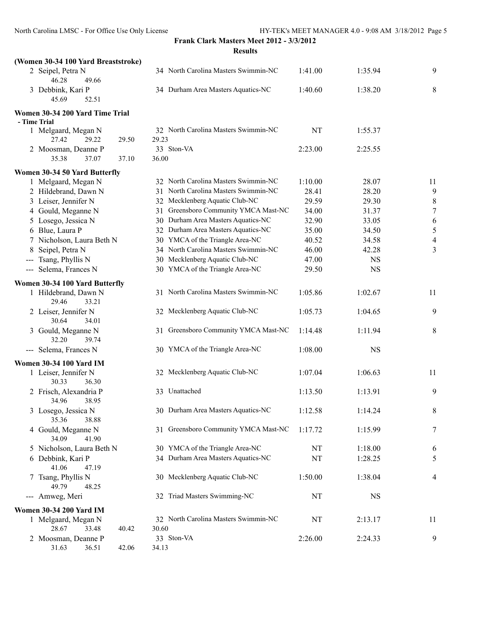|                                                 | <b>Results</b>                                |         |           |                          |
|-------------------------------------------------|-----------------------------------------------|---------|-----------|--------------------------|
| (Women 30-34 100 Yard Breaststroke)             |                                               |         |           |                          |
| 2 Seipel, Petra N<br>46.28<br>49.66             | 34 North Carolina Masters Swimmin-NC          | 1:41.00 | 1:35.94   | 9                        |
| 3 Debbink, Kari P<br>45.69<br>52.51             | 34 Durham Area Masters Aquatics-NC            | 1:40.60 | 1:38.20   | 8                        |
| Women 30-34 200 Yard Time Trial<br>- Time Trial |                                               |         |           |                          |
| 1 Melgaard, Megan N<br>29.22<br>29.50<br>27.42  | 32 North Carolina Masters Swimmin-NC<br>29.23 | NT      | 1:55.37   |                          |
| 2 Moosman, Deanne P                             | 33 Ston-VA                                    | 2:23.00 | 2:25.55   |                          |
| 37.07<br>35.38<br>37.10                         | 36.00                                         |         |           |                          |
| Women 30-34 50 Yard Butterfly                   |                                               |         |           |                          |
| 1 Melgaard, Megan N                             | 32 North Carolina Masters Swimmin-NC          | 1:10.00 | 28.07     | 11                       |
| 2 Hildebrand, Dawn N                            | 31 North Carolina Masters Swimmin-NC          | 28.41   | 28.20     | 9                        |
| 3 Leiser, Jennifer N                            | 32 Mecklenberg Aquatic Club-NC                | 29.59   | 29.30     | 8                        |
| 4 Gould, Meganne N                              | 31 Greensboro Community YMCA Mast-NC          | 34.00   | 31.37     | $\overline{7}$           |
| 5 Losego, Jessica N                             | 30 Durham Area Masters Aquatics-NC            | 32.90   | 33.05     | 6                        |
| 6 Blue, Laura P                                 | 32 Durham Area Masters Aquatics-NC            | 35.00   | 34.50     | 5                        |
| 7 Nicholson, Laura Beth N                       | 30 YMCA of the Triangle Area-NC               | 40.52   | 34.58     | $\overline{\mathcal{L}}$ |
| Seipel, Petra N<br>8                            | 34 North Carolina Masters Swimmin-NC          | 46.00   | 42.28     | 3                        |
| Tsang, Phyllis N<br>$\qquad \qquad -$           | 30 Mecklenberg Aquatic Club-NC                | 47.00   | <b>NS</b> |                          |
| --- Selema, Frances N                           | 30 YMCA of the Triangle Area-NC               | 29.50   | <b>NS</b> |                          |
| Women 30-34 100 Yard Butterfly                  |                                               |         |           |                          |
| 1 Hildebrand, Dawn N<br>29.46<br>33.21          | 31 North Carolina Masters Swimmin-NC          | 1:05.86 | 1:02.67   | 11                       |
| 2 Leiser, Jennifer N<br>30.64<br>34.01          | 32 Mecklenberg Aquatic Club-NC                | 1:05.73 | 1:04.65   | 9                        |
| 3 Gould, Meganne N<br>32.20<br>39.74            | 31 Greensboro Community YMCA Mast-NC          | 1:14.48 | 1:11.94   | 8                        |
| --- Selema, Frances N                           | 30 YMCA of the Triangle Area-NC               | 1:08.00 | <b>NS</b> |                          |
| <b>Women 30-34 100 Yard IM</b>                  |                                               |         |           |                          |
| 1 Leiser, Jennifer N<br>30.33<br>36.30          | 32 Mecklenberg Aquatic Club-NC                | 1:07.04 | 1:06.63   | 11                       |
| 2 Frisch, Alexandria P<br>34.96<br>38.95        | 33 Unattached                                 | 1:13.50 | 1:13.91   | 9                        |
| 3 Losego, Jessica N<br>35.36<br>38.88           | 30 Durham Area Masters Aquatics-NC            | 1:12.58 | 1:14.24   | 8                        |
| 4 Gould, Meganne N<br>34.09<br>41.90            | 31 Greensboro Community YMCA Mast-NC          | 1:17.72 | 1:15.99   | 7                        |
| 5 Nicholson, Laura Beth N                       | 30 YMCA of the Triangle Area-NC               | NT      | 1:18.00   | 6                        |
| 6 Debbink, Kari P<br>41.06<br>47.19             | 34 Durham Area Masters Aquatics-NC            | NT      | 1:28.25   | 5                        |
| 7 Tsang, Phyllis N<br>49.79<br>48.25            | 30 Mecklenberg Aquatic Club-NC                | 1:50.00 | 1:38.04   | 4                        |
| --- Amweg, Meri                                 | 32 Triad Masters Swimming-NC                  | NT      | <b>NS</b> |                          |
| <b>Women 30-34 200 Yard IM</b>                  |                                               |         |           |                          |
| 1 Melgaard, Megan N<br>28.67<br>33.48<br>40.42  | 32 North Carolina Masters Swimmin-NC<br>30.60 | NT      | 2:13.17   | 11                       |
| 2 Moosman, Deanne P                             | 33 Ston-VA                                    | 2:26.00 | 2:24.33   | 9                        |
| 36.51<br>42.06<br>31.63                         | 34.13                                         |         |           |                          |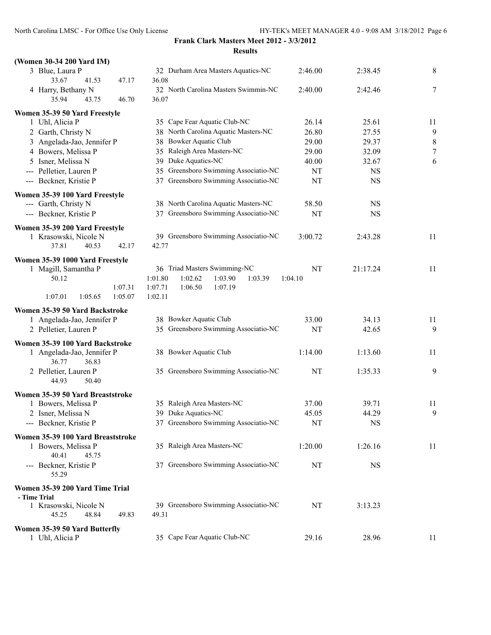| (Women 30-34 200 Yard IM)                                                                                    |                                                                                                                      |               |           |           |
|--------------------------------------------------------------------------------------------------------------|----------------------------------------------------------------------------------------------------------------------|---------------|-----------|-----------|
| 3 Blue, Laura P<br>33.67<br>47.17<br>41.53                                                                   | 32 Durham Area Masters Aquatics-NC<br>36.08                                                                          | 2:46.00       | 2:38.45   | $\,8\,$   |
| 4 Harry, Bethany N<br>35.94<br>46.70<br>43.75                                                                | 32 North Carolina Masters Swimmin-NC<br>36.07                                                                        | 2:40.00       | 2:42.46   | 7         |
| Women 35-39 50 Yard Freestyle                                                                                |                                                                                                                      |               |           |           |
| 1 Uhl, Alicia P                                                                                              | 35 Cape Fear Aquatic Club-NC                                                                                         | 26.14         | 25.61     | 11        |
| 2 Garth, Christy N                                                                                           | 38 North Carolina Aquatic Masters-NC                                                                                 | 26.80         | 27.55     | 9         |
| 3 Angelada-Jao, Jennifer P                                                                                   | 38 Bowker Aquatic Club                                                                                               | 29.00         | 29.37     | $\,$ $\,$ |
| 4 Bowers, Melissa P                                                                                          | 35 Raleigh Area Masters-NC                                                                                           | 29.00         | 32.09     | 7         |
| 5 Isner, Melissa N                                                                                           | 39 Duke Aquatics-NC                                                                                                  | 40.00         | 32.67     | 6         |
| --- Pelletier, Lauren P                                                                                      | 35 Greensboro Swimming Associatio-NC                                                                                 | NT            | <b>NS</b> |           |
| --- Beckner, Kristie P                                                                                       | 37 Greensboro Swimming Associatio-NC                                                                                 | NT            | <b>NS</b> |           |
| Women 35-39 100 Yard Freestyle                                                                               |                                                                                                                      |               |           |           |
| --- Garth, Christy N                                                                                         | 38 North Carolina Aquatic Masters-NC                                                                                 | 58.50         | <b>NS</b> |           |
| --- Beckner, Kristie P                                                                                       | 37 Greensboro Swimming Associatio-NC                                                                                 | NT            | <b>NS</b> |           |
| Women 35-39 200 Yard Freestyle                                                                               |                                                                                                                      |               |           |           |
| 1 Krasowski, Nicole N<br>37.81<br>40.53<br>42.17                                                             | 39 Greensboro Swimming Associatio-NC<br>42.77                                                                        | 3:00.72       | 2:43.28   | 11        |
| Women 35-39 1000 Yard Freestyle<br>1 Magill, Samantha P<br>50.12<br>1:07.31<br>1:07.01<br>1:05.65<br>1:05.07 | 36 Triad Masters Swimming-NC<br>1:01.80<br>1:02.62<br>1:03.90<br>1:03.39<br>1:07.71<br>1:06.50<br>1:07.19<br>1:02.11 | NT<br>1:04.10 | 21:17.24  | 11        |
| Women 35-39 50 Yard Backstroke                                                                               |                                                                                                                      |               |           |           |
| 1 Angelada-Jao, Jennifer P                                                                                   | 38 Bowker Aquatic Club                                                                                               | 33.00         | 34.13     | 11        |
| 2 Pelletier, Lauren P                                                                                        | 35 Greensboro Swimming Associatio-NC                                                                                 | NT            | 42.65     | 9         |
| Women 35-39 100 Yard Backstroke<br>1 Angelada-Jao, Jennifer P<br>36.77<br>36.83                              | 38 Bowker Aquatic Club                                                                                               | 1:14.00       | 1:13.60   | 11        |
| 2 Pelletier, Lauren P<br>44.93<br>50.40                                                                      | 35 Greensboro Swimming Associatio-NC                                                                                 | NT            | 1:35.33   | 9         |
| Women 35-39 50 Yard Breaststroke                                                                             |                                                                                                                      |               |           |           |
| 1 Bowers, Melissa P                                                                                          | 35 Raleigh Area Masters-NC                                                                                           | 37.00         | 39.71     | 11        |
| 2 Isner, Melissa N                                                                                           | 39 Duke Aquatics-NC                                                                                                  | 45.05         | 44.29     | 9         |
| --- Beckner, Kristie P                                                                                       | 37 Greensboro Swimming Associatio-NC                                                                                 | NT            | <b>NS</b> |           |
| Women 35-39 100 Yard Breaststroke                                                                            |                                                                                                                      |               |           |           |
| 1 Bowers, Melissa P<br>40.41<br>45.75                                                                        | 35 Raleigh Area Masters-NC                                                                                           | 1:20.00       | 1:26.16   | 11        |
| --- Beckner, Kristie P<br>55.29                                                                              | 37 Greensboro Swimming Associatio-NC                                                                                 | NT            | <b>NS</b> |           |
| Women 35-39 200 Yard Time Trial<br>- Time Trial                                                              |                                                                                                                      |               |           |           |
| 1 Krasowski, Nicole N<br>48.84<br>45.25<br>49.83                                                             | 39 Greensboro Swimming Associatio-NC<br>49.31                                                                        | NT            | 3:13.23   |           |
| Women 35-39 50 Yard Butterfly<br>1 Uhl, Alicia P                                                             | 35 Cape Fear Aquatic Club-NC                                                                                         | 29.16         | 28.96     | 11        |
|                                                                                                              |                                                                                                                      |               |           |           |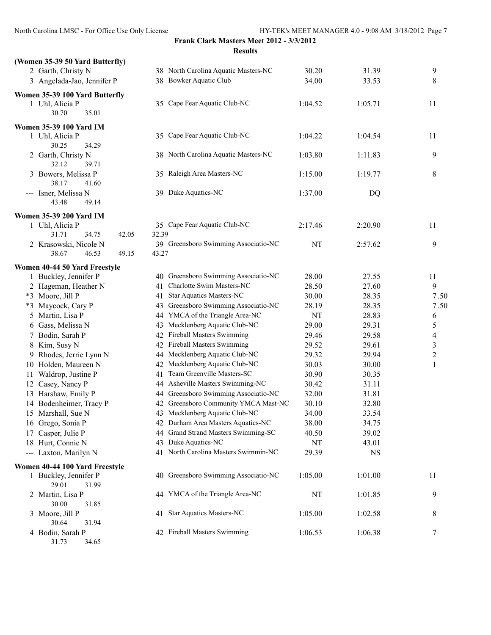## **Frank Clark Masters Meet 2012 - 3/3/2012**

|                                 | <b>Results</b>                       |         |           |
|---------------------------------|--------------------------------------|---------|-----------|
| (Women 35-39 50 Yard Butterfly) |                                      |         |           |
| 2 Garth, Christy N              | 38 North Carolina Aquatic Masters-NC | 30.20   | 31.39     |
| 3 Angelada-Jao, Jennifer P      | 38 Bowker Aquatic Club               | 34.00   | 33.53     |
| Women 35-39 100 Yard Butterfly  |                                      |         |           |
| 1 Uhl, Alicia P                 | 35 Cape Fear Aquatic Club-NC         | 1:04.52 | 1:05.71   |
| 30.70<br>35.01                  |                                      |         |           |
| Women 35-39 100 Yard IM         |                                      |         |           |
| 1 Uhl, Alicia P                 | 35 Cape Fear Aquatic Club-NC         | 1:04.22 | 1:04.54   |
| 30.25<br>34.29                  |                                      |         |           |
| 2 Garth, Christy N              | 38 North Carolina Aquatic Masters-NC | 1:03.80 | 1:11.83   |
| 32.12<br>39.71                  |                                      |         |           |
| 3 Bowers, Melissa P             | 35 Raleigh Area Masters-NC           | 1:15.00 | 1:19.77   |
| 38.17<br>41.60                  |                                      |         |           |
| --- Isner, Melissa N            | 39 Duke Aquatics-NC                  | 1:37.00 | DQ        |
| 43.48<br>49.14                  |                                      |         |           |
| <b>Women 35-39 200 Yard IM</b>  |                                      |         |           |
| 1 Uhl, Alicia P                 | 35 Cape Fear Aquatic Club-NC         | 2:17.46 | 2:20.90   |
| 31.71<br>34.75<br>42.05         | 32.39                                |         |           |
| 2 Krasowski, Nicole N           | 39 Greensboro Swimming Associatio-NC | NT      | 2:57.62   |
| 38.67<br>46.53<br>49.15         | 43.27                                |         |           |
| Women 40-44 50 Yard Freestyle   |                                      |         |           |
| 1 Buckley, Jennifer P           | 40 Greensboro Swimming Associatio-NC | 28.00   | 27.55     |
| 2 Hageman, Heather N            | 41 Charlotte Swim Masters-NC         | 28.50   | 27.60     |
| *3 Moore, Jill P                | 41 Star Aquatics Masters-NC          | 30.00   | 28.35     |
| *3 Maycock, Cary P              | 43 Greensboro Swimming Associatio-NC | 28.19   | 28.35     |
| 5 Martin, Lisa P                | 44 YMCA of the Triangle Area-NC      | NT      | 28.83     |
| 6 Gass, Melissa N               | 43 Mecklenberg Aquatic Club-NC       | 29.00   | 29.31     |
| 7 Bodin, Sarah P                | 42 Fireball Masters Swimming         | 29.46   | 29.58     |
| 8 Kim, Susy N                   | 42 Fireball Masters Swimming         | 29.52   | 29.61     |
| 9 Rhodes, Jerrie Lynn N         | 44 Mecklenberg Aquatic Club-NC       | 29.32   | 29.94     |
| 10 Holden, Maureen N            | 42 Mecklenberg Aquatic Club-NC       | 30.03   | 30.00     |
| 11 Waldrop, Justine P           | 41 Team Greenville Masters-SC        | 30.90   | 30.35     |
| 12 Casey, Nancy P               | 44 Asheville Masters Swimming-NC     | 30.42   | 31.11     |
| 13 Harshaw, Emily P             | 44 Greensboro Swimming Associatio-NC | 32.00   | 31.81     |
| 14 Bodenheimer, Tracy P         | 42 Greensboro Community YMCA Mast-NC | 30.10   | 32.80     |
| 15 Marshall, Sue N              | 43 Mecklenberg Aquatic Club-NC       | 34.00   | 33.54     |
| 16 Grego, Sonia P               | 42 Durham Area Masters Aquatics-NC   | 38.00   | 34.75     |
| 17 Casper, Julie P              | 44 Grand Strand Masters Swimming-SC  | 40.50   | 39.02     |
| 18 Hurt, Connie N               | 43 Duke Aquatics-NC                  | NT      | 43.01     |
| --- Laxton, Marilyn N           | 41 North Carolina Masters Swimmin-NC | 29.39   | <b>NS</b> |
| Women 40-44 100 Yard Freestyle  |                                      |         |           |
| 1 Buckley, Jennifer P           | 40 Greensboro Swimming Associatio-NC | 1:05.00 | 1:01.00   |
| 29.01<br>31.99                  |                                      |         |           |
| 2 Martin, Lisa P                | 44 YMCA of the Triangle Area-NC      | NT      | 1:01.85   |
| 30.00<br>31.85                  |                                      |         |           |
| 3 Moore, Jill P                 | 41 Star Aquatics Masters-NC          | 1:05.00 | 1:02.58   |
| 30.64<br>31.94                  |                                      |         |           |
| 4 Bodin, Sarah P                | 42 Fireball Masters Swimming         | 1:06.53 | 1:06.38   |
| 34.65<br>31.73                  |                                      |         |           |

| 2 Garth, Christy N<br>3 Angelada-Jao, Jennifer P                    |       | 38 North Carolina Aquatic Masters-NC<br>38 Bowker Aquatic Club | 30.20<br>34.00 | 31.39<br>33.53 | 9<br>8                   |
|---------------------------------------------------------------------|-------|----------------------------------------------------------------|----------------|----------------|--------------------------|
| men 35-39 100 Yard Butterfly                                        |       |                                                                |                |                |                          |
| 1 Uhl, Alicia P<br>30.70<br>35.01                                   |       | 35 Cape Fear Aquatic Club-NC                                   | 1:04.52        | 1:05.71        | 11                       |
| men 35-39 100 Yard IM                                               |       |                                                                |                |                |                          |
| 1 Uhl, Alicia P<br>30.25<br>34.29                                   |       | 35 Cape Fear Aquatic Club-NC                                   | 1:04.22        | 1:04.54        | 11                       |
| 2 Garth, Christy N<br>32.12<br>39.71                                |       | 38 North Carolina Aquatic Masters-NC                           | 1:03.80        | 1:11.83        | 9                        |
| 3 Bowers, Melissa P<br>38.17<br>41.60                               |       | 35 Raleigh Area Masters-NC                                     | 1:15.00        | 1:19.77        | 8                        |
| --- Isner, Melissa N<br>43.48<br>49.14                              |       | 39 Duke Aquatics-NC                                            | 1:37.00        | DQ             |                          |
|                                                                     |       |                                                                |                |                |                          |
| men 35-39 200 Yard IM<br>1 Uhl, Alicia P<br>31.71<br>42.05<br>34.75 | 32.39 | 35 Cape Fear Aquatic Club-NC                                   | 2:17.46        | 2:20.90        | 11                       |
| 2 Krasowski, Nicole N                                               |       | 39 Greensboro Swimming Associatio-NC                           | NT             | 2:57.62        | 9                        |
| 38.67<br>46.53<br>49.15                                             | 43.27 |                                                                |                |                |                          |
| men 40-44 50 Yard Freestyle                                         |       |                                                                |                |                |                          |
| 1 Buckley, Jennifer P                                               |       | 40 Greensboro Swimming Associatio-NC                           | 28.00          | 27.55          | 11                       |
| 2 Hageman, Heather N                                                |       | 41 Charlotte Swim Masters-NC                                   | 28.50          | 27.60          | 9                        |
| *3 Moore, Jill P                                                    |       | 41 Star Aquatics Masters-NC                                    | 30.00          | 28.35          | 7.50                     |
| *3 Maycock, Cary P                                                  |       | 43 Greensboro Swimming Associatio-NC                           | 28.19          | 28.35          | 7.50                     |
| 5 Martin, Lisa P                                                    |       | 44 YMCA of the Triangle Area-NC                                | NT             | 28.83          | 6                        |
| 6 Gass, Melissa N                                                   |       | 43 Mecklenberg Aquatic Club-NC                                 | 29.00          | 29.31          | 5                        |
| 7 Bodin, Sarah P                                                    |       | 42 Fireball Masters Swimming                                   | 29.46          | 29.58          | $\overline{\mathcal{A}}$ |
| 8 Kim, Susy N                                                       |       | 42 Fireball Masters Swimming                                   | 29.52          | 29.61          | $\mathfrak{Z}$           |
| 9 Rhodes, Jerrie Lynn N                                             |       | 44 Mecklenberg Aquatic Club-NC                                 | 29.32          | 29.94          | $\overline{c}$           |
| 10 Holden, Maureen N                                                |       | 42 Mecklenberg Aquatic Club-NC                                 | 30.03          | 30.00          | 1                        |
| 11 Waldrop, Justine P                                               |       | 41 Team Greenville Masters-SC                                  | 30.90          | 30.35          |                          |
| 12 Casey, Nancy P                                                   |       | 44 Asheville Masters Swimming-NC                               | 30.42          | 31.11          |                          |
| 13 Harshaw, Emily P                                                 |       | 44 Greensboro Swimming Associatio-NC                           | 32.00          | 31.81          |                          |
| 14 Bodenheimer, Tracy P                                             |       | 42 Greensboro Community YMCA Mast-NC                           | 30.10          | 32.80          |                          |
| 15 Marshall, Sue N                                                  |       | 43 Mecklenberg Aquatic Club-NC                                 | 34.00          | 33.54          |                          |
| 16 Grego, Sonia P                                                   |       | 42 Durham Area Masters Aquatics-NC                             | 38.00          | 34.75          |                          |
| 17 Casper, Julie P                                                  |       | 44 Grand Strand Masters Swimming-SC                            | 40.50          | 39.02          |                          |
| 18 Hurt, Connie N                                                   |       | 43 Duke Aquatics-NC                                            | NT             | 43.01          |                          |
| --- Laxton, Marilyn N                                               |       | 41 North Carolina Masters Swimmin-NC                           | 29.39          | <b>NS</b>      |                          |
| men 40-44 100 Yard Freestyle                                        |       |                                                                |                |                |                          |
| 1 Buckley, Jennifer P<br>29.01<br>31.99                             |       | 40 Greensboro Swimming Associatio-NC                           | 1:05.00        | 1:01.00        | 11                       |
| 2 Martin, Lisa P<br>30.00<br>31.85                                  |       | 44 YMCA of the Triangle Area-NC                                | NT             | 1:01.85        | 9                        |
| 3 Moore, Jill P<br>30.64<br>31.94                                   |       | 41 Star Aquatics Masters-NC                                    | 1:05.00        | 1:02.58        | 8                        |
| 4 Bodin, Sarah P                                                    |       | 42 Fireball Masters Swimming                                   | 1:06.53        | 1:06.38        | 7                        |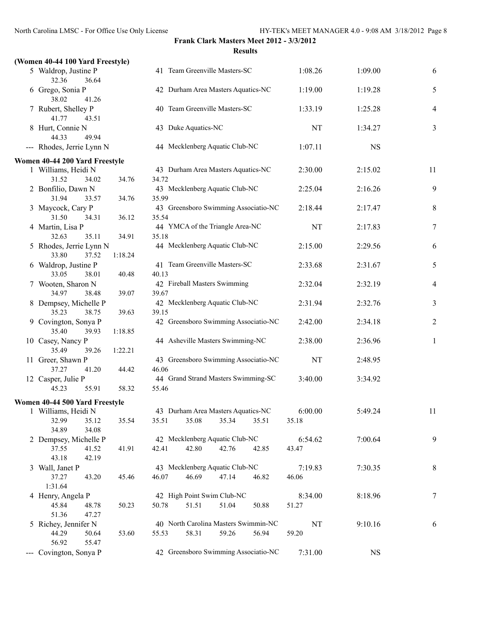## **(Women 40-44 100 Yard Freestyle)**

| 5 Waldrop, Justine P<br>32.36<br>36.64    |         |       |                     | 41 Team Greenville Masters-SC        |       | 1:08.26 | 1:09.00     | 6              |
|-------------------------------------------|---------|-------|---------------------|--------------------------------------|-------|---------|-------------|----------------|
| 6 Grego, Sonia P<br>38.02<br>41.26        |         |       |                     | 42 Durham Area Masters Aquatics-NC   |       | 1:19.00 | 1:19.28     | 5              |
| 7 Rubert, Shelley P<br>41.77<br>43.51     |         |       |                     | 40 Team Greenville Masters-SC        |       | 1:33.19 | 1:25.28     | $\overline{4}$ |
| 8 Hurt, Connie N<br>44.33<br>49.94        |         |       | 43 Duke Aquatics-NC |                                      |       | NT      | 1:34.27     | 3              |
| --- Rhodes, Jerrie Lynn N                 |         |       |                     | 44 Mecklenberg Aquatic Club-NC       |       | 1:07.11 | <b>NS</b>   |                |
| Women 40-44 200 Yard Freestyle            |         |       |                     |                                      |       |         |             |                |
| 1 Williams, Heidi N                       |         |       |                     | 43 Durham Area Masters Aquatics-NC   |       | 2:30.00 | 2:15.02     | 11             |
| 31.52<br>34.02                            | 34.76   | 34.72 |                     |                                      |       |         |             |                |
| 2 Bonfilio, Dawn N                        |         |       |                     | 43 Mecklenberg Aquatic Club-NC       |       | 2:25.04 | 2:16.26     | 9              |
| 31.94<br>33.57                            | 34.76   | 35.99 |                     |                                      |       |         |             |                |
| 3 Maycock, Cary P                         |         |       |                     | 43 Greensboro Swimming Associatio-NC |       | 2:18.44 | 2:17.47     | 8              |
| 31.50<br>34.31                            | 36.12   | 35.54 |                     |                                      |       |         |             |                |
| 4 Martin, Lisa P                          |         |       |                     | 44 YMCA of the Triangle Area-NC      |       | NT      | 2:17.83     | 7              |
| 32.63<br>35.11                            | 34.91   | 35.18 |                     |                                      |       |         |             |                |
| 5 Rhodes, Jerrie Lynn N<br>33.80<br>37.52 | 1:18.24 |       |                     | 44 Mecklenberg Aquatic Club-NC       |       | 2:15.00 | 2:29.56     | 6              |
| 6 Waldrop, Justine P                      |         |       |                     | 41 Team Greenville Masters-SC        |       | 2:33.68 | 2:31.67     | 5              |
| 33.05<br>38.01                            | 40.48   | 40.13 |                     |                                      |       |         |             |                |
| 7 Wooten, Sharon N                        |         |       |                     | 42 Fireball Masters Swimming         |       | 2:32.04 | 2:32.19     | $\overline{4}$ |
| 34.97<br>38.48                            | 39.07   | 39.67 |                     |                                      |       |         |             |                |
| 8 Dempsey, Michelle P                     |         |       |                     | 42 Mecklenberg Aquatic Club-NC       |       | 2:31.94 | 2:32.76     | $\overline{3}$ |
| 38.75<br>35.23                            | 39.63   | 39.15 |                     |                                      |       |         |             |                |
| 9 Covington, Sonya P                      |         |       |                     | 42 Greensboro Swimming Associatio-NC |       | 2:42.00 | 2:34.18     | $\overline{2}$ |
| 35.40<br>39.93                            | 1:18.85 |       |                     |                                      |       |         |             |                |
| 10 Casey, Nancy P                         |         |       |                     | 44 Asheville Masters Swimming-NC     |       | 2:38.00 | 2:36.96     | $\mathbf{1}$   |
| 35.49<br>39.26                            | 1:22.21 |       |                     |                                      |       |         |             |                |
| 11 Greer, Shawn P                         |         |       |                     | 43 Greensboro Swimming Associatio-NC |       | NT      | 2:48.95     |                |
| 37.27<br>41.20                            | 44.42   | 46.06 |                     |                                      |       |         |             |                |
| 12 Casper, Julie P                        |         |       |                     | 44 Grand Strand Masters Swimming-SC  |       | 3:40.00 | 3:34.92     |                |
| 45.23<br>55.91                            | 58.32   | 55.46 |                     |                                      |       |         |             |                |
| Women 40-44 500 Yard Freestyle            |         |       |                     |                                      |       |         |             |                |
| 1 Williams, Heidi N                       |         |       |                     | 43 Durham Area Masters Aquatics-NC   |       | 6:00.00 | 5:49.24     | 11             |
| 32.99<br>35.12                            | 35.54   | 35.51 | 35.08               | 35.34                                | 35.51 | 35.18   |             |                |
| 34.89<br>34.08                            |         |       |                     |                                      |       |         |             |                |
| 2 Dempsey, Michelle P                     |         |       |                     | 42 Mecklenberg Aquatic Club-NC       |       | 6:54.62 | 7:00.64     | 9              |
| 37.55<br>41.52                            | 41.91   | 42.41 | 42.80               | 42.76                                | 42.85 | 43.47   |             |                |
| 43.18<br>42.19                            |         |       |                     |                                      |       |         |             |                |
| 3 Wall, Janet P                           |         |       |                     | 43 Mecklenberg Aquatic Club-NC       |       | 7:19.83 | 7:30.35     | 8              |
| 37.27<br>43.20                            | 45.46   | 46.07 | 46.69               | 47.14                                | 46.82 | 46.06   |             |                |
| 1:31.64                                   |         |       |                     |                                      |       |         |             |                |
| 4 Henry, Angela P                         |         |       |                     | 42 High Point Swim Club-NC           |       | 8:34.00 | 8:18.96     | 7              |
| 45.84<br>48.78                            | 50.23   | 50.78 | 51.51               | 51.04                                | 50.88 | 51.27   |             |                |
| 51.36<br>47.27                            |         |       |                     |                                      |       |         |             |                |
| 5 Richey, Jennifer N                      |         |       |                     | 40 North Carolina Masters Swimmin-NC |       | NT      | 9:10.16     | 6              |
| 44.29<br>50.64                            | 53.60   | 55.53 | 58.31               | 59.26                                | 56.94 | 59.20   |             |                |
| 56.92<br>55.47                            |         |       |                     |                                      |       |         |             |                |
| --- Covington, Sonya P                    |         |       |                     | 42 Greensboro Swimming Associatio-NC |       | 7:31.00 | $_{\rm NS}$ |                |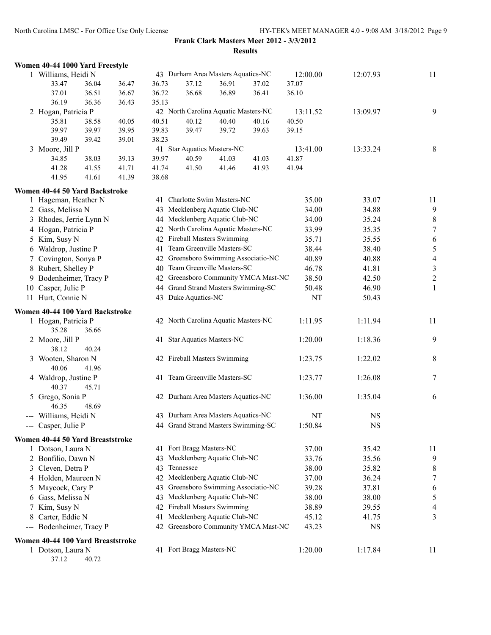|                        | Women 40-44 1000 Yard Freestyle   |       |       |       |                                      |       |       |          |           |                          |
|------------------------|-----------------------------------|-------|-------|-------|--------------------------------------|-------|-------|----------|-----------|--------------------------|
|                        | 1 Williams, Heidi N               |       |       |       | 43 Durham Area Masters Aquatics-NC   |       |       | 12:00.00 | 12:07.93  | 11                       |
|                        | 33.47                             | 36.04 | 36.47 | 36.73 | 37.12                                | 36.91 | 37.02 | 37.07    |           |                          |
|                        | 37.01                             | 36.51 | 36.67 | 36.72 | 36.68                                | 36.89 | 36.41 | 36.10    |           |                          |
|                        | 36.19                             | 36.36 | 36.43 | 35.13 |                                      |       |       |          |           |                          |
|                        | 2 Hogan, Patricia P               |       |       |       | 42 North Carolina Aquatic Masters-NC |       |       | 13:11.52 | 13:09.97  | 9                        |
|                        | 35.81                             | 38.58 | 40.05 | 40.51 | 40.12                                | 40.40 | 40.16 | 40.50    |           |                          |
|                        | 39.97                             | 39.97 | 39.95 | 39.83 | 39.47                                | 39.72 | 39.63 | 39.15    |           |                          |
|                        | 39.49                             | 39.42 | 39.01 | 38.23 |                                      |       |       |          |           |                          |
|                        | 3 Moore, Jill P                   |       |       |       | 41 Star Aquatics Masters-NC          |       |       | 13:41.00 | 13:33.24  | 8                        |
|                        | 34.85                             | 38.03 | 39.13 | 39.97 | 40.59                                | 41.03 | 41.03 | 41.87    |           |                          |
|                        | 41.28                             | 41.55 | 41.71 | 41.74 | 41.50                                | 41.46 | 41.93 | 41.94    |           |                          |
|                        | 41.95                             | 41.61 | 41.39 | 38.68 |                                      |       |       |          |           |                          |
|                        | Women 40-44 50 Yard Backstroke    |       |       |       |                                      |       |       |          |           |                          |
|                        | 1 Hageman, Heather N              |       |       |       | 41 Charlotte Swim Masters-NC         |       |       | 35.00    | 33.07     | 11                       |
|                        | 2 Gass, Melissa N                 |       |       |       | 43 Mecklenberg Aquatic Club-NC       |       |       | 34.00    | 34.88     | 9                        |
|                        | 3 Rhodes, Jerrie Lynn N           |       |       |       | 44 Mecklenberg Aquatic Club-NC       |       |       | 34.00    | 35.24     | $\,$ $\,$                |
|                        | 4 Hogan, Patricia P               |       |       |       | 42 North Carolina Aquatic Masters-NC |       |       | 33.99    | 35.35     | $\boldsymbol{7}$         |
|                        | 5 Kim, Susy N                     |       |       |       | 42 Fireball Masters Swimming         |       |       | 35.71    | 35.55     | 6                        |
|                        | 6 Waldrop, Justine P              |       |       |       | 41 Team Greenville Masters-SC        |       |       | 38.44    | 38.40     | $\sqrt{5}$               |
|                        | 7 Covington, Sonya P              |       |       |       | 42 Greensboro Swimming Associatio-NC |       |       | 40.89    | 40.88     | $\overline{\mathcal{A}}$ |
|                        | 8 Rubert, Shelley P               |       |       |       | 40 Team Greenville Masters-SC        |       |       | 46.78    | 41.81     | $\mathfrak{Z}$           |
|                        | 9 Bodenheimer, Tracy P            |       |       |       | 42 Greensboro Community YMCA Mast-NC |       |       | 38.50    | 42.50     | $\sqrt{2}$               |
| 10                     | Casper, Julie P                   |       |       |       | 44 Grand Strand Masters Swimming-SC  |       |       | 50.48    | 46.90     | $\mathbf{1}$             |
|                        | 11 Hurt, Connie N                 |       |       |       | 43 Duke Aquatics-NC                  |       |       | NT       | 50.43     |                          |
|                        | Women 40-44 100 Yard Backstroke   |       |       |       |                                      |       |       |          |           |                          |
|                        | 1 Hogan, Patricia P               |       |       |       | 42 North Carolina Aquatic Masters-NC |       |       | 1:11.95  | 1:11.94   | 11                       |
|                        | 35.28                             | 36.66 |       |       |                                      |       |       |          |           |                          |
|                        | 2 Moore, Jill P                   |       |       |       | 41 Star Aquatics Masters-NC          |       |       | 1:20.00  | 1:18.36   | 9                        |
|                        | 38.12                             | 40.24 |       |       |                                      |       |       |          |           |                          |
|                        | 3 Wooten, Sharon N                |       |       |       | 42 Fireball Masters Swimming         |       |       | 1:23.75  | 1:22.02   | 8                        |
|                        | 40.06                             | 41.96 |       |       |                                      |       |       |          |           |                          |
|                        | 4 Waldrop, Justine P              |       |       |       | 41 Team Greenville Masters-SC        |       |       | 1:23.77  | 1:26.08   | 7                        |
|                        | 40.37                             | 45.71 |       |       |                                      |       |       |          |           |                          |
|                        | 5 Grego, Sonia P                  |       |       |       | 42 Durham Area Masters Aquatics-NC   |       |       | 1:36.00  | 1:35.04   | 6                        |
|                        | 46.35                             | 48.69 |       |       |                                      |       |       |          |           |                          |
|                        | --- Williams, Heidi N             |       |       |       | 43 Durham Area Masters Aquatics-NC   |       |       | NT       | <b>NS</b> |                          |
|                        | --- Casper, Julie P               |       |       |       | 44 Grand Strand Masters Swimming-SC  |       |       | 1:50.84  | <b>NS</b> |                          |
|                        |                                   |       |       |       |                                      |       |       |          |           |                          |
|                        | Women 40-44 50 Yard Breaststroke  |       |       |       |                                      |       |       |          |           |                          |
|                        | 1 Dotson, Laura N                 |       |       |       | 41 Fort Bragg Masters-NC             |       |       | 37.00    | 35.42     | 11                       |
|                        | 2 Bonfilio, Dawn N                |       |       |       | 43 Mecklenberg Aquatic Club-NC       |       |       | 33.76    | 35.56     | 9                        |
|                        | 3 Cleven, Detra P                 |       |       | 43    | Tennessee                            |       |       | 38.00    | 35.82     | 8                        |
|                        | 4 Holden, Maureen N               |       |       |       | 42 Mecklenberg Aquatic Club-NC       |       |       | 37.00    | 36.24     | 7                        |
|                        | 5 Maycock, Cary P                 |       |       |       | 43 Greensboro Swimming Associatio-NC |       |       | 39.28    | 37.81     | 6                        |
| 6                      | Gass, Melissa N                   |       |       |       | 43 Mecklenberg Aquatic Club-NC       |       |       | 38.00    | 38.00     | 5                        |
| 7                      | Kim, Susy N                       |       |       |       | 42 Fireball Masters Swimming         |       |       | 38.89    | 39.55     | 4                        |
| 8                      | Carter, Eddie N                   |       |       | 41    | Mecklenberg Aquatic Club-NC          |       |       | 45.12    | 41.75     | 3                        |
| $\qquad \qquad \cdots$ | Bodenheimer, Tracy P              |       |       |       | 42 Greensboro Community YMCA Mast-NC |       |       | 43.23    | <b>NS</b> |                          |
|                        | Women 40-44 100 Yard Breaststroke |       |       |       |                                      |       |       |          |           |                          |
|                        | 1 Dotson, Laura N                 |       |       |       | 41 Fort Bragg Masters-NC             |       |       | 1:20.00  | 1:17.84   | 11                       |

37.12 40.72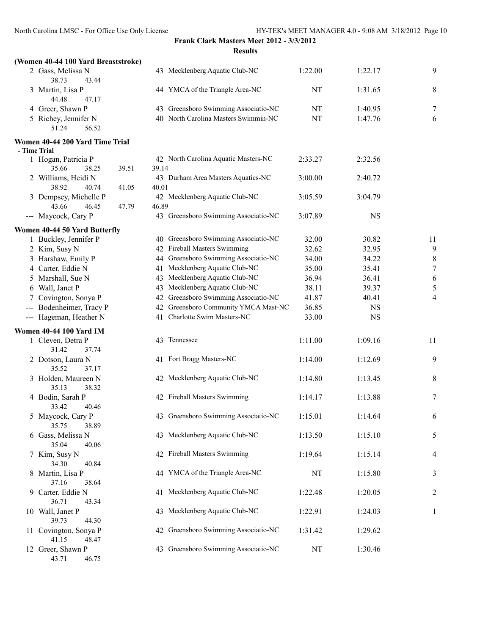#### **(Women 40-44 100 Yard Breaststroke)**

| 2 Gass, Melissa N    | 43 Mecklenberg Aquatic Club-NC       | 1:22.00 | 1:22.17 | Q |
|----------------------|--------------------------------------|---------|---------|---|
| 38.73<br>43.44       |                                      |         |         |   |
| 3 Martin, Lisa P     | 44 YMCA of the Triangle Area-NC      | NT      | 1:31.65 | 8 |
| 44.48<br>47.17       |                                      |         |         |   |
| 4 Greer, Shawn P     | 43 Greensboro Swimming Associatio-NC | NT      | 1:40.95 |   |
| 5 Richey, Jennifer N | 40 North Carolina Masters Swimmin-NC | NT      | 1:47.76 | 6 |
| 51.24<br>56.52       |                                      |         |         |   |

### **Women 40-44 200 Yard Time Trial**

| women 40-44 zou faru Time Trial                             |       |       |                                         |         |           |
|-------------------------------------------------------------|-------|-------|-----------------------------------------|---------|-----------|
| - Time Trial                                                |       |       |                                         |         |           |
| 1 Hogan, Patricia P                                         |       |       | 42 North Carolina Aquatic Masters-NC    | 2:33.27 | 2:32.56   |
| 35.66                                                       | 38.25 | 39.51 | 39.14                                   |         |           |
| 2 Williams, Heidi N                                         |       |       | 43 Durham Area Masters Aquatics-NC      | 3:00.00 | 2:40.72   |
| 38.92                                                       | 40.74 | 41.05 | 40.01                                   |         |           |
| 3 Dempsey, Michelle P                                       |       |       | 42 Mecklenberg Aquatic Club-NC          | 3:05.59 | 3:04.79   |
| 43.66                                                       | 46.45 | 47.79 | 46.89                                   |         |           |
| --- Maycock, Cary P                                         |       |       | Greensboro Swimming Associatio-NC<br>43 | 3:07.89 | <b>NS</b> |
| $W_{\alpha m \alpha n}$ 40 44 50 $V_{\alpha u}$ d Duttorfly |       |       |                                         |         |           |

#### **Women 40-44 50 Yard Butterfly**

|     | 1 Buckley, Jennifer P                   |    | 40 Greensboro Swimming Associatio-NC | 32.00     | 30.82     | 11                       |
|-----|-----------------------------------------|----|--------------------------------------|-----------|-----------|--------------------------|
|     | 2 Kim, Susy N                           |    | 42 Fireball Masters Swimming         | 32.62     | 32.95     | 9                        |
|     | 3 Harshaw, Emily P                      |    | 44 Greensboro Swimming Associatio-NC | 34.00     | 34.22     | 8                        |
|     | 4 Carter, Eddie N                       |    | 41 Mecklenberg Aquatic Club-NC       | 35.00     | 35.41     | $\overline{7}$           |
|     | 5 Marshall, Sue N                       |    | 43 Mecklenberg Aquatic Club-NC       | 36.94     | 36.41     | 6                        |
|     | 6 Wall, Janet P                         |    | 43 Mecklenberg Aquatic Club-NC       | 38.11     | 39.37     | 5                        |
|     | Covington, Sonya P                      |    | 42 Greensboro Swimming Associatio-NC | 41.87     | 40.41     | $\overline{4}$           |
| --- | Bodenheimer, Tracy P                    |    | 42 Greensboro Community YMCA Mast-NC | 36.85     | <b>NS</b> |                          |
|     | --- Hageman, Heather N                  |    | 41 Charlotte Swim Masters-NC         | 33.00     | <b>NS</b> |                          |
|     | <b>Women 40-44 100 Yard IM</b>          |    |                                      |           |           |                          |
|     | 1 Cleven, Detra P<br>31.42<br>37.74     |    | 43 Tennessee                         | 1:11.00   | 1:09.16   | 11                       |
|     | 2 Dotson, Laura N<br>35.52<br>37.17     |    | 41 Fort Bragg Masters-NC             | 1:14.00   | 1:12.69   | 9                        |
|     | 3 Holden, Maureen N<br>35.13<br>38.32   |    | 42 Mecklenberg Aquatic Club-NC       | 1:14.80   | 1:13.45   | 8                        |
|     | 4 Bodin, Sarah P<br>33.42<br>40.46      |    | 42 Fireball Masters Swimming         | 1:14.17   | 1:13.88   | $\overline{7}$           |
|     | 5 Maycock, Cary P<br>35.75<br>38.89     |    | 43 Greensboro Swimming Associatio-NC | 1:15.01   | 1:14.64   | 6                        |
|     | 6 Gass, Melissa N<br>35.04<br>40.06     |    | 43 Mecklenberg Aquatic Club-NC       | 1:13.50   | 1:15.10   | 5                        |
|     | 7 Kim, Susy N<br>34.30<br>40.84         |    | 42 Fireball Masters Swimming         | 1:19.64   | 1:15.14   | $\overline{\mathcal{A}}$ |
|     | 8 Martin, Lisa P<br>37.16<br>38.64      |    | 44 YMCA of the Triangle Area-NC      | NT        | 1:15.80   | $\mathfrak{Z}$           |
|     | 9 Carter, Eddie N<br>36.71<br>43.34     |    | 41 Mecklenberg Aquatic Club-NC       | 1:22.48   | 1:20.05   | $\overline{c}$           |
|     | 10 Wall, Janet P<br>39.73<br>44.30      |    | 43 Mecklenberg Aquatic Club-NC       | 1:22.91   | 1:24.03   | $\mathbf{1}$             |
|     | 11 Covington, Sonya P<br>41.15<br>48.47 |    | 42 Greensboro Swimming Associatio-NC | 1:31.42   | 1:29.62   |                          |
|     | 12 Greer, Shawn P<br>43.71<br>46.75     | 43 | Greensboro Swimming Associatio-NC    | <b>NT</b> | 1:30.46   |                          |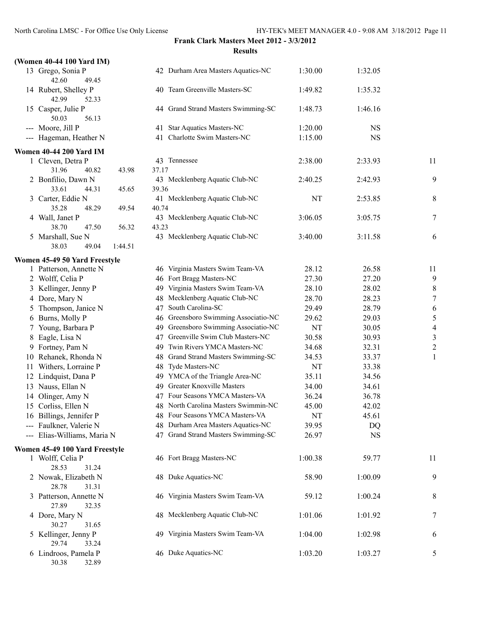| (Women 40-44 100 Yard IM)                              |                    |                                                                       |             |                 |                          |
|--------------------------------------------------------|--------------------|-----------------------------------------------------------------------|-------------|-----------------|--------------------------|
| 13 Grego, Sonia P<br>42.60<br>49.45                    |                    | 42 Durham Area Masters Aquatics-NC                                    | 1:30.00     | 1:32.05         |                          |
| 14 Rubert, Shelley P<br>42.99<br>52.33                 |                    | 40 Team Greenville Masters-SC                                         | 1:49.82     | 1:35.32         |                          |
| 15 Casper, Julie P<br>50.03<br>56.13                   |                    | 44 Grand Strand Masters Swimming-SC                                   | 1:48.73     | 1:46.16         |                          |
| --- Moore, Jill P                                      |                    | 41 Star Aquatics Masters-NC                                           | 1:20.00     | <b>NS</b>       |                          |
| --- Hageman, Heather N                                 | 41                 | Charlotte Swim Masters-NC                                             | 1:15.00     | NS              |                          |
| <b>Women 40-44 200 Yard IM</b>                         |                    |                                                                       |             |                 |                          |
| 1 Cleven, Detra P                                      | 43 Tennessee       |                                                                       | 2:38.00     | 2:33.93         | 11                       |
| 31.96<br>40.82<br>43.98                                | 37.17              |                                                                       |             |                 |                          |
| 2 Bonfilio, Dawn N                                     |                    | 43 Mecklenberg Aquatic Club-NC                                        | 2:40.25     | 2:42.93         | 9                        |
| 33.61<br>44.31<br>45.65                                | 39.36              |                                                                       |             |                 |                          |
| 3 Carter, Eddie N<br>35.28<br>48.29<br>49.54           | 40.74              | 41 Mecklenberg Aquatic Club-NC                                        | NT          | 2:53.85         | 8                        |
| 4 Wall, Janet P                                        |                    | 43 Mecklenberg Aquatic Club-NC                                        | 3:06.05     | 3:05.75         | 7                        |
| 38.70<br>47.50<br>56.32                                | 43.23              |                                                                       |             |                 |                          |
| 5 Marshall, Sue N                                      |                    | 43 Mecklenberg Aquatic Club-NC                                        | 3:40.00     | 3:11.58         | 6                        |
| 38.03<br>49.04<br>1:44.51                              |                    |                                                                       |             |                 |                          |
| Women 45-49 50 Yard Freestyle                          |                    |                                                                       |             |                 |                          |
| 1 Patterson, Annette N                                 |                    | 46 Virginia Masters Swim Team-VA                                      | 28.12       | 26.58           | 11                       |
| 2 Wolff, Celia P                                       |                    | 46 Fort Bragg Masters-NC                                              | 27.30       | 27.20           | 9                        |
| 3 Kellinger, Jenny P                                   |                    | 49 Virginia Masters Swim Team-VA                                      | 28.10       | 28.02           | 8                        |
| 4 Dore, Mary N                                         |                    | 48 Mecklenberg Aquatic Club-NC                                        | 28.70       | 28.23           | $\overline{7}$           |
| 5 Thompson, Janice N                                   |                    | 47 South Carolina-SC                                                  | 29.49       | 28.79           | 6                        |
| 6 Burns, Molly P                                       |                    | 46 Greensboro Swimming Associatio-NC                                  | 29.62       | 29.03           | 5                        |
| 7 Young, Barbara P                                     |                    | 49 Greensboro Swimming Associatio-NC                                  | NT          | 30.05           | $\overline{\mathcal{A}}$ |
| 8 Eagle, Lisa N                                        |                    | 47 Greenville Swim Club Masters-NC                                    | 30.58       | 30.93           | 3                        |
| 9 Fortney, Pam N                                       |                    | 49 Twin Rivers YMCA Masters-NC                                        | 34.68       | 32.31           | $\overline{\mathbf{c}}$  |
| 10 Rehanek, Rhonda N                                   |                    | 48 Grand Strand Masters Swimming-SC                                   | 34.53       | 33.37           | $\mathbf{1}$             |
| 11 Withers, Lorraine P                                 | 48 Tyde Masters-NC |                                                                       | NT          | 33.38           |                          |
| 12 Lindquist, Dana P                                   |                    | 49 YMCA of the Triangle Area-NC                                       | 35.11       | 34.56           |                          |
| 13 Nauss, Ellan N                                      |                    | 49 Greater Knoxville Masters                                          | 34.00       | 34.61           |                          |
| 14 Olinger, Amy N                                      |                    | 47 Four Seasons YMCA Masters-VA                                       | 36.24       | 36.78           |                          |
| 15 Corliss, Ellen N                                    |                    | 48 North Carolina Masters Swimmin-NC                                  | 45.00       | 42.02           |                          |
| 16 Billings, Jennifer P                                |                    | 48 Four Seasons YMCA Masters-VA<br>48 Durham Area Masters Aquatics-NC | NT<br>39.95 | 45.61           |                          |
| --- Faulkner, Valerie N<br>--- Elias-Williams, Maria N |                    | 47 Grand Strand Masters Swimming-SC                                   | 26.97       | DQ<br><b>NS</b> |                          |
|                                                        |                    |                                                                       |             |                 |                          |
| Women 45-49 100 Yard Freestyle                         |                    |                                                                       |             |                 |                          |
| 1 Wolff, Celia P                                       |                    | 46 Fort Bragg Masters-NC                                              | 1:00.38     | 59.77           | 11                       |
| 28.53<br>31.24<br>2 Nowak, Elizabeth N                 |                    | 48 Duke Aquatics-NC                                                   |             |                 |                          |
| 28.78<br>31.31                                         |                    |                                                                       | 58.90       | 1:00.09         | 9                        |
| 3 Patterson, Annette N                                 |                    | 46 Virginia Masters Swim Team-VA                                      | 59.12       | 1:00.24         | 8                        |
| 27.89<br>32.35<br>4 Dore, Mary N                       |                    | 48 Mecklenberg Aquatic Club-NC                                        | 1:01.06     | 1:01.92         | $\overline{7}$           |
| 30.27<br>31.65<br>5 Kellinger, Jenny P                 |                    | 49 Virginia Masters Swim Team-VA                                      | 1:04.00     | 1:02.98         | 6                        |
| 29.74<br>33.24                                         |                    |                                                                       |             |                 |                          |
| 6 Lindroos, Pamela P<br>30.38<br>32.89                 |                    | 46 Duke Aquatics-NC                                                   | 1:03.20     | 1:03.27         | 5                        |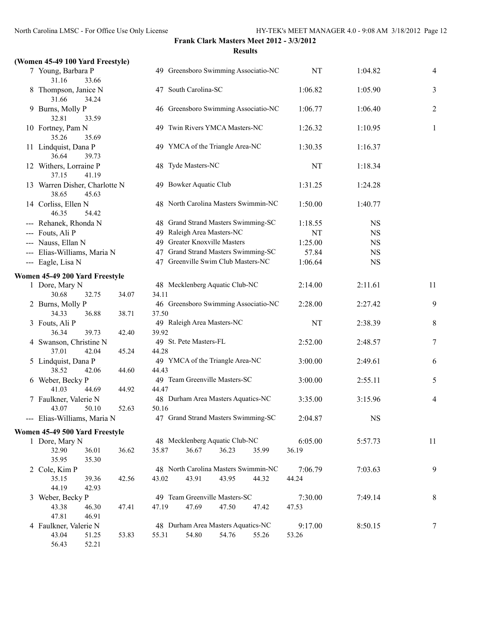### **(Women 45-49 100 Yard Freestyle)**

| 7 Young, Barbara P<br>31.16<br>33.66            |       |       | 49 Greensboro Swimming Associatio-NC |       |       | NT        | 1:04.82     | $\overline{4}$ |
|-------------------------------------------------|-------|-------|--------------------------------------|-------|-------|-----------|-------------|----------------|
| 8 Thompson, Janice N<br>31.66<br>34.24          |       |       | 47 South Carolina-SC                 |       |       | 1:06.82   | 1:05.90     | 3              |
| 9 Burns, Molly P<br>32.81<br>33.59              |       |       | 46 Greensboro Swimming Associatio-NC |       |       | 1:06.77   | 1:06.40     | $\overline{c}$ |
| 10 Fortney, Pam N<br>35.26<br>35.69             |       |       | 49 Twin Rivers YMCA Masters-NC       |       |       | 1:26.32   | 1:10.95     | $\mathbf{1}$   |
| 11 Lindquist, Dana P<br>36.64<br>39.73          |       |       | 49 YMCA of the Triangle Area-NC      |       |       | 1:30.35   | 1:16.37     |                |
| 12 Withers, Lorraine P<br>41.19<br>37.15        |       |       | 48 Tyde Masters-NC                   |       |       | $\rm{NT}$ | 1:18.34     |                |
| 13 Warren Disher, Charlotte N<br>38.65<br>45.63 |       |       | 49 Bowker Aquatic Club               |       |       | 1:31.25   | 1:24.28     |                |
| 14 Corliss, Ellen N<br>46.35<br>54.42           |       |       | 48 North Carolina Masters Swimmin-NC |       |       | 1:50.00   | 1:40.77     |                |
| --- Rehanek, Rhonda N                           |       |       | 48 Grand Strand Masters Swimming-SC  |       |       | 1:18.55   | <b>NS</b>   |                |
| --- Fouts, Ali P                                |       |       | 49 Raleigh Area Masters-NC           |       |       | NT        | <b>NS</b>   |                |
| --- Nauss, Ellan N                              |       |       | 49 Greater Knoxville Masters         |       |       | 1:25.00   | <b>NS</b>   |                |
| --- Elias-Williams, Maria N                     |       |       | 47 Grand Strand Masters Swimming-SC  |       |       | 57.84     | <b>NS</b>   |                |
| --- Eagle, Lisa N                               |       |       | 47 Greenville Swim Club Masters-NC   |       |       | 1:06.64   | $_{\rm NS}$ |                |
|                                                 |       |       |                                      |       |       |           |             |                |
| Women 45-49 200 Yard Freestyle                  |       |       |                                      |       |       |           |             |                |
| 1 Dore, Mary N                                  |       |       | 48 Mecklenberg Aquatic Club-NC       |       |       | 2:14.00   | 2:11.61     | 11             |
| 30.68<br>32.75                                  | 34.07 | 34.11 |                                      |       |       |           |             |                |
| 2 Burns, Molly P                                |       |       | 46 Greensboro Swimming Associatio-NC |       |       | 2:28.00   | 2:27.42     | $\mathbf{9}$   |
| 34.33<br>36.88                                  | 38.71 | 37.50 |                                      |       |       |           |             |                |
| 3 Fouts, Ali P                                  |       |       | 49 Raleigh Area Masters-NC           |       |       | NT        | 2:38.39     | 8              |
| 36.34<br>39.73                                  | 42.40 | 39.92 |                                      |       |       |           |             |                |
| 4 Swanson, Christine N                          |       |       | 49 St. Pete Masters-FL               |       |       | 2:52.00   | 2:48.57     | $\tau$         |
| 42.04<br>37.01                                  | 45.24 | 44.28 |                                      |       |       |           |             |                |
| 5 Lindquist, Dana P                             |       |       | 49 YMCA of the Triangle Area-NC      |       |       | 3:00.00   | 2:49.61     | 6              |
| 38.52<br>42.06                                  | 44.60 | 44.43 |                                      |       |       |           |             |                |
| 6 Weber, Becky P                                |       |       | 49 Team Greenville Masters-SC        |       |       | 3:00.00   | 2:55.11     | 5              |
| 41.03<br>44.69                                  | 44.92 | 44.47 |                                      |       |       |           |             |                |
| 7 Faulkner, Valerie N                           |       |       | 48 Durham Area Masters Aquatics-NC   |       |       | 3:35.00   | 3:15.96     | $\overline{4}$ |
| 43.07<br>50.10                                  | 52.63 | 50.16 |                                      |       |       |           |             |                |
| --- Elias-Williams, Maria N                     |       |       | 47 Grand Strand Masters Swimming-SC  |       |       | 2:04.87   | NS          |                |
| Women 45-49 500 Yard Freestyle                  |       |       |                                      |       |       |           |             |                |
| 1 Dore, Mary N                                  |       |       | 48 Mecklenberg Aquatic Club-NC       |       |       | 6:05.00   | 5:57.73     | 11             |
| 32.90<br>36.01                                  | 36.62 | 35.87 | 36.67                                | 36.23 | 35.99 | 36.19     |             |                |
| 35.95<br>35.30                                  |       |       |                                      |       |       |           |             |                |
| 2 Cole, Kim P                                   |       |       | 48 North Carolina Masters Swimmin-NC |       |       | 7:06.79   | 7:03.63     | 9              |
| 35.15<br>39.36                                  | 42.56 | 43.02 | 43.91                                | 43.95 | 44.32 | 44.24     |             |                |
| 44.19<br>42.93                                  |       |       |                                      |       |       |           |             |                |
| 3 Weber, Becky P                                |       |       | 49 Team Greenville Masters-SC        |       |       | 7:30.00   | 7:49.14     | 8              |
| 43.38<br>46.30                                  | 47.41 | 47.19 | 47.69                                | 47.50 | 47.42 | 47.53     |             |                |
| 47.81<br>46.91                                  |       |       |                                      |       |       |           |             |                |
| 4 Faulkner, Valerie N                           |       |       | 48 Durham Area Masters Aquatics-NC   |       |       | 9:17.00   | 8:50.15     | 7              |
| 43.04<br>51.25                                  | 53.83 | 55.31 | 54.80                                | 54.76 | 55.26 | 53.26     |             |                |
| 56.43<br>52.21                                  |       |       |                                      |       |       |           |             |                |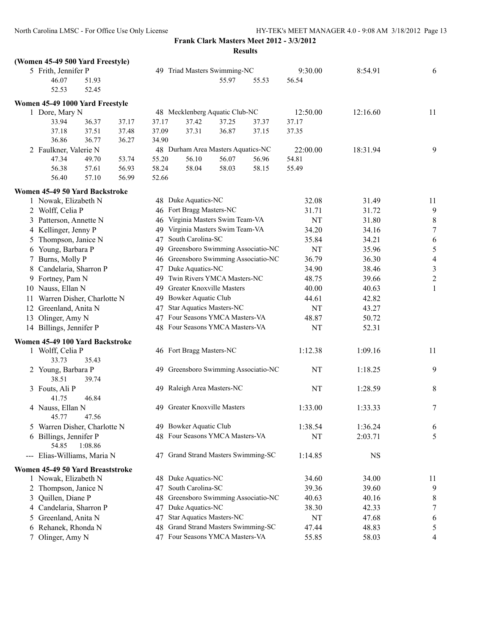|   | (Women 45-49 500 Yard Freestyle) |                                                   |       |       |                                |                                     |                                      |          |              |                  |
|---|----------------------------------|---------------------------------------------------|-------|-------|--------------------------------|-------------------------------------|--------------------------------------|----------|--------------|------------------|
|   | 5 Frith, Jennifer P              |                                                   |       |       |                                | 49 Triad Masters Swimming-NC        |                                      | 9:30.00  | 8:54.91      | 6                |
|   | 46.07                            | 51.93                                             |       |       |                                | 55.97                               | 55.53                                | 56.54    |              |                  |
|   | 52.53                            | 52.45                                             |       |       |                                |                                     |                                      |          |              |                  |
|   | Women 45-49 1000 Yard Freestyle  |                                                   |       |       |                                |                                     |                                      |          |              |                  |
|   | 1 Dore, Mary N                   |                                                   |       |       |                                | 48 Mecklenberg Aquatic Club-NC      |                                      | 12:50.00 | 12:16.60     | 11               |
|   | 33.94                            | 36.37                                             | 37.17 | 37.17 | 37.42                          | 37.25                               | 37.37                                | 37.17    |              |                  |
|   | 37.18                            | 37.51                                             | 37.48 | 37.09 | 37.31                          | 36.87                               | 37.15                                | 37.35    |              |                  |
|   | 36.86                            | 36.77                                             | 36.27 | 34.90 |                                |                                     |                                      |          |              |                  |
|   | 2 Faulkner, Valerie N            |                                                   |       |       |                                | 48 Durham Area Masters Aquatics-NC  |                                      | 22:00.00 | 18:31.94     | 9                |
|   | 47.34                            | 49.70                                             | 53.74 | 55.20 | 56.10                          | 56.07                               | 56.96                                | 54.81    |              |                  |
|   | 56.38                            | 57.61                                             | 56.93 | 58.24 | 58.04                          | 58.03                               | 58.15                                | 55.49    |              |                  |
|   | 56.40                            | 57.10                                             | 56.99 | 52.66 |                                |                                     |                                      |          |              |                  |
|   | Women 45-49 50 Yard Backstroke   |                                                   |       |       |                                |                                     |                                      |          |              |                  |
|   | 1 Nowak, Elizabeth N             |                                                   |       |       | 48 Duke Aquatics-NC            |                                     |                                      | 32.08    | 31.49        | 11               |
|   | 2 Wolff, Celia P                 |                                                   |       |       | 46 Fort Bragg Masters-NC       |                                     |                                      | 31.71    | 31.72        | $\overline{9}$   |
|   | 3 Patterson, Annette N           |                                                   |       |       |                                | 46 Virginia Masters Swim Team-VA    |                                      | NT       | 31.80        | 8                |
|   | 4 Kellinger, Jenny P             |                                                   |       |       |                                | 49 Virginia Masters Swim Team-VA    |                                      | 34.20    | 34.16        | $\boldsymbol{7}$ |
|   | 5 Thompson, Janice N             |                                                   |       | 47    | South Carolina-SC              |                                     |                                      | 35.84    | 34.21        | 6                |
|   | 6 Young, Barbara P               |                                                   |       |       |                                |                                     | 49 Greensboro Swimming Associatio-NC | NT       | 35.96        | 5                |
|   | 7 Burns, Molly P                 |                                                   |       |       |                                |                                     | 46 Greensboro Swimming Associatio-NC | 36.79    | 36.30        | $\overline{4}$   |
|   | 8 Candelaria, Sharron P          |                                                   |       |       | 47 Duke Aquatics-NC            |                                     |                                      | 34.90    | 38.46        | $\mathfrak{Z}$   |
|   | 9 Fortney, Pam N                 |                                                   |       |       | 49 Twin Rivers YMCA Masters-NC |                                     |                                      |          | 39.66        | $\mathbf{2}$     |
|   |                                  | 49 Greater Knoxville Masters<br>10 Nauss, Ellan N |       |       |                                |                                     | 48.75<br>40.00                       | 40.63    | $\mathbf{1}$ |                  |
|   | 11 Warren Disher, Charlotte N    |                                                   |       |       | 49 Bowker Aquatic Club         |                                     |                                      | 44.61    | 42.82        |                  |
|   | 12 Greenland, Anita N            |                                                   |       |       |                                | 47 Star Aquatics Masters-NC         |                                      | NT       | 43.27        |                  |
|   | 13 Olinger, Amy N                |                                                   |       |       |                                | 47 Four Seasons YMCA Masters-VA     |                                      | 48.87    | 50.72        |                  |
|   | 14 Billings, Jennifer P          |                                                   |       |       |                                | 48 Four Seasons YMCA Masters-VA     |                                      | NT       | 52.31        |                  |
|   |                                  |                                                   |       |       |                                |                                     |                                      |          |              |                  |
|   | Women 45-49 100 Yard Backstroke  |                                                   |       |       |                                |                                     |                                      |          |              |                  |
|   | 1 Wolff, Celia P                 |                                                   |       |       | 46 Fort Bragg Masters-NC       |                                     |                                      | 1:12.38  | 1:09.16      | 11               |
|   | 33.73                            | 35.43                                             |       |       |                                |                                     |                                      |          |              |                  |
|   | 2 Young, Barbara P               |                                                   |       |       |                                |                                     | 49 Greensboro Swimming Associatio-NC | NT       | 1:18.25      | 9                |
|   | 38.51                            | 39.74                                             |       |       |                                |                                     |                                      |          |              |                  |
|   | 3 Fouts, Ali P<br>41.75          | 46.84                                             |       |       |                                | 49 Raleigh Area Masters-NC          |                                      | NT       | 1:28.59      | 8                |
|   | 4 Nauss, Ellan N                 |                                                   |       | 49    |                                | <b>Greater Knoxville Masters</b>    |                                      | 1:33.00  | 1:33.33      | $\boldsymbol{7}$ |
|   | 45.77                            | 47.56                                             |       |       |                                |                                     |                                      |          |              |                  |
|   | 5 Warren Disher, Charlotte N     |                                                   |       |       | 49 Bowker Aquatic Club         |                                     |                                      | 1:38.54  | 1:36.24      | 6                |
|   | 6 Billings, Jennifer P           |                                                   |       |       |                                | 48 Four Seasons YMCA Masters-VA     |                                      | NT       | 2:03.71      | 5                |
|   | 54.85                            | 1:08.86                                           |       |       |                                |                                     |                                      |          |              |                  |
|   | --- Elias-Williams, Maria N      |                                                   |       |       |                                | 47 Grand Strand Masters Swimming-SC |                                      | 1:14.85  | <b>NS</b>    |                  |
|   |                                  |                                                   |       |       |                                |                                     |                                      |          |              |                  |
|   | Women 45-49 50 Yard Breaststroke |                                                   |       |       |                                |                                     |                                      |          |              |                  |
|   | 1 Nowak, Elizabeth N             |                                                   |       |       | 48 Duke Aquatics-NC            |                                     |                                      | 34.60    | 34.00        | 11               |
|   | 2 Thompson, Janice N             |                                                   |       | 47    | South Carolina-SC              |                                     |                                      | 39.36    | 39.60        | 9                |
| 3 | Quillen, Diane P                 |                                                   |       | 48    |                                |                                     | Greensboro Swimming Associatio-NC    | 40.63    | 40.16        | 8                |
|   | 4 Candelaria, Sharron P          |                                                   |       | 47    | Duke Aquatics-NC               |                                     |                                      | 38.30    | 42.33        | $\boldsymbol{7}$ |
| 5 | Greenland, Anita N               |                                                   |       | 47    |                                | <b>Star Aquatics Masters-NC</b>     |                                      | NT       | 47.68        | 6                |
|   | 6 Rehanek, Rhonda N              |                                                   |       | 48    |                                | Grand Strand Masters Swimming-SC    |                                      | 47.44    | 48.83        | 5                |
| 7 | Olinger, Amy N                   |                                                   |       |       |                                | 47 Four Seasons YMCA Masters-VA     |                                      | 55.85    | 58.03        | 4                |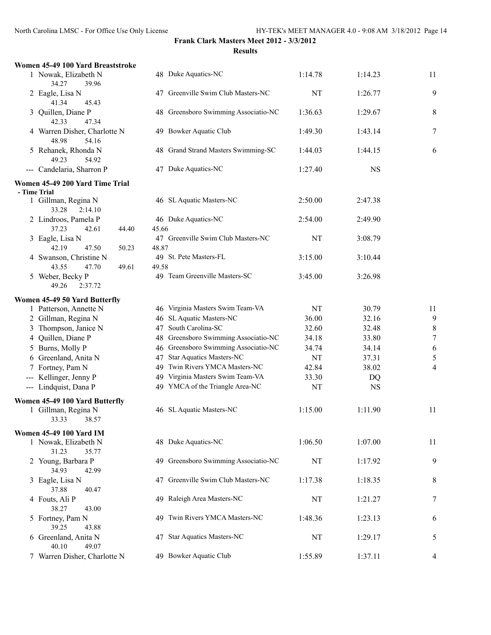| Women 45-49 100 Yard Breaststroke                 |                                             |         |           |                  |
|---------------------------------------------------|---------------------------------------------|---------|-----------|------------------|
| 1 Nowak, Elizabeth N<br>34.27<br>39.96            | 48 Duke Aquatics-NC                         | 1:14.78 | 1:14.23   | 11               |
| 2 Eagle, Lisa N<br>41.34<br>45.43                 | 47 Greenville Swim Club Masters-NC          | NT      | 1:26.77   | 9                |
| 3 Quillen, Diane P<br>42.33<br>47.34              | 48 Greensboro Swimming Associatio-NC        | 1:36.63 | 1:29.67   | 8                |
| 4 Warren Disher, Charlotte N<br>48.98<br>54.16    | 49 Bowker Aquatic Club                      | 1:49.30 | 1:43.14   | 7                |
| 5 Rehanek, Rhonda N<br>49.23<br>54.92             | 48 Grand Strand Masters Swimming-SC         | 1:44.03 | 1:44.15   | 6                |
| --- Candelaria, Sharron P                         | 47 Duke Aquatics-NC                         | 1:27.40 | <b>NS</b> |                  |
| Women 45-49 200 Yard Time Trial                   |                                             |         |           |                  |
| - Time Trial                                      |                                             |         |           |                  |
| 1 Gillman, Regina N<br>33.28<br>2:14.10           | 46 SL Aquatic Masters-NC                    | 2:50.00 | 2:47.38   |                  |
| 2 Lindroos, Pamela P<br>37.23<br>42.61<br>44.40   | 46 Duke Aquatics-NC<br>45.66                | 2:54.00 | 2:49.90   |                  |
| 3 Eagle, Lisa N<br>42.19<br>47.50<br>50.23        | 47 Greenville Swim Club Masters-NC<br>48.87 | NT      | 3:08.79   |                  |
| 4 Swanson, Christine N<br>43.55<br>47.70<br>49.61 | 49 St. Pete Masters-FL<br>49.58             | 3:15.00 | 3:10.44   |                  |
| 5 Weber, Becky P<br>49.26<br>2:37.72              | 49 Team Greenville Masters-SC               | 3:45.00 | 3:26.98   |                  |
| Women 45-49 50 Yard Butterfly                     |                                             |         |           |                  |
| 1 Patterson, Annette N                            | 46 Virginia Masters Swim Team-VA            | NT      | 30.79     | 11               |
| 2 Gillman, Regina N                               | 46 SL Aquatic Masters-NC                    | 36.00   | 32.16     | 9                |
| 3 Thompson, Janice N                              | 47 South Carolina-SC                        | 32.60   | 32.48     | 8                |
| 4 Quillen, Diane P                                | 48 Greensboro Swimming Associatio-NC        | 34.18   | 33.80     | $\boldsymbol{7}$ |
| 5 Burns, Molly P                                  | 46 Greensboro Swimming Associatio-NC        | 34.74   | 34.14     | 6                |
| 6 Greenland, Anita N                              | 47 Star Aquatics Masters-NC                 | NT      | 37.31     | 5                |
| 7 Fortney, Pam N                                  | Twin Rivers YMCA Masters-NC<br>49           | 42.84   | 38.02     | 4                |
| --- Kellinger, Jenny P                            | 49 Virginia Masters Swim Team-VA            | 33.30   | DQ        |                  |
| --- Lindquist, Dana P                             | 49 YMCA of the Triangle Area-NC             | NT      | <b>NS</b> |                  |
| Women 45-49 100 Yard Butterfly                    |                                             |         |           |                  |
| 1 Gillman, Regina N<br>33.33 38.57                | 46 SL Aquatic Masters-NC                    | 1:15.00 | 1:11.90   | 11               |
| <b>Women 45-49 100 Yard IM</b>                    |                                             |         |           |                  |
| 1 Nowak, Elizabeth N<br>31.23<br>35.77            | 48 Duke Aquatics-NC                         | 1:06.50 | 1:07.00   | 11               |
| 2 Young, Barbara P<br>34.93<br>42.99              | 49 Greensboro Swimming Associatio-NC        | NT      | 1:17.92   | 9                |
| 3 Eagle, Lisa N<br>37.88<br>40.47                 | 47 Greenville Swim Club Masters-NC          | 1:17.38 | 1:18.35   | 8                |
| 4 Fouts, Ali P                                    | 49 Raleigh Area Masters-NC                  | NT      | 1:21.27   | 7                |
| 38.27<br>43.00<br>5 Fortney, Pam N                | 49 Twin Rivers YMCA Masters-NC              | 1:48.36 | 1:23.13   | 6                |
| 39.25<br>43.88<br>6 Greenland, Anita N            | 47 Star Aquatics Masters-NC                 | NT      | 1:29.17   | 5                |
| 49.07<br>40.10<br>7 Warren Disher, Charlotte N    | 49 Bowker Aquatic Club                      | 1:55.89 | 1:37.11   | 4                |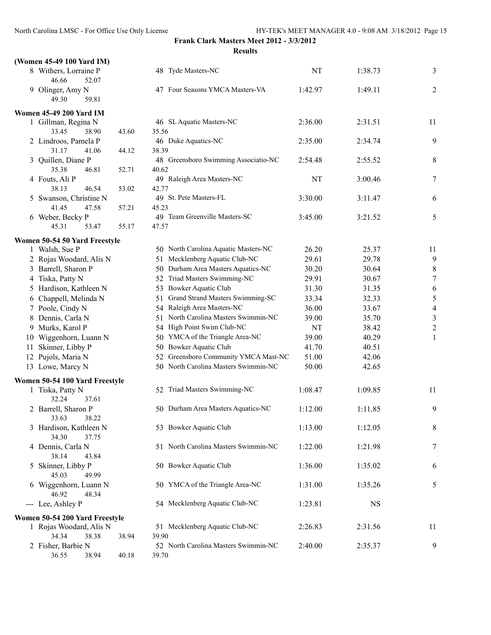**Frank Clark Masters Meet 2012 - 3/3/2012**

**Results**

|    | (Women 45-49 100 Yard IM)                             |       |                                               |         |           |                  |
|----|-------------------------------------------------------|-------|-----------------------------------------------|---------|-----------|------------------|
|    | 8 Withers, Lorraine P<br>46.66<br>52.07               |       | 48 Tyde Masters-NC                            | NT      | 1:38.73   | 3                |
|    | 9 Olinger, Amy N<br>59.81<br>49.30                    |       | 47 Four Seasons YMCA Masters-VA               | 1:42.97 | 1:49.11   | 2                |
|    |                                                       |       |                                               |         |           |                  |
|    | <b>Women 45-49 200 Yard IM</b><br>1 Gillman, Regina N |       | 46 SL Aquatic Masters-NC                      | 2:36.00 | 2:31.51   | 11               |
|    | 33.45<br>38.90                                        | 43.60 | 35.56                                         |         |           |                  |
|    | 2 Lindroos, Pamela P                                  |       | 46 Duke Aquatics-NC                           | 2:35.00 | 2:34.74   | 9                |
|    | 31.17<br>41.06                                        | 44.12 | 38.39                                         |         |           |                  |
|    | 3 Quillen, Diane P                                    |       | 48 Greensboro Swimming Associatio-NC          | 2:54.48 | 2:55.52   | 8                |
|    | 35.38<br>46.81                                        | 52.71 | 40.62                                         |         |           |                  |
|    | 4 Fouts, Ali P                                        |       | 49 Raleigh Area Masters-NC                    | NT      | 3:00.46   | 7                |
|    | 46.54<br>38.13                                        | 53.02 | 42.77                                         |         |           |                  |
|    | 5 Swanson, Christine N                                |       | 49 St. Pete Masters-FL                        | 3:30.00 | 3:11.47   | 6                |
|    | 41.45<br>47.58                                        | 57.21 | 45.23                                         |         |           |                  |
|    | 6 Weber, Becky P                                      |       | 49 Team Greenville Masters-SC                 | 3:45.00 | 3:21.52   | 5                |
|    | 45.31<br>53.47                                        | 55.17 | 47.57                                         |         |           |                  |
|    |                                                       |       |                                               |         |           |                  |
|    | Women 50-54 50 Yard Freestyle                         |       | 50 North Carolina Aquatic Masters-NC          | 26.20   | 25.37     | 11               |
|    | 1 Walsh, Sue P<br>2 Rojas Woodard, Alis N             |       | Mecklenberg Aquatic Club-NC<br>51             | 29.61   | 29.78     | 9                |
|    |                                                       |       | 50 Durham Area Masters Aquatics-NC            | 30.20   | 30.64     | $\,8\,$          |
|    | 3 Barrell, Sharon P<br>4 Tiska, Patty N               |       | 52 Triad Masters Swimming-NC                  | 29.91   | 30.67     | $\boldsymbol{7}$ |
|    | 5 Hardison, Kathleen N                                |       | 53 Bowker Aquatic Club                        | 31.30   | 31.35     | 6                |
|    | 6 Chappell, Melinda N                                 |       | 51 Grand Strand Masters Swimming-SC           | 33.34   | 32.33     | $\sqrt{5}$       |
|    | 7 Poole, Cindy N                                      |       | 54 Raleigh Area Masters-NC                    | 36.00   | 33.67     | $\overline{4}$   |
|    | 8 Dennis, Carla N                                     |       | 51 North Carolina Masters Swimmin-NC          | 39.00   | 35.70     | $\mathfrak{Z}$   |
|    | 9 Murks, Karol P                                      |       | 54 High Point Swim Club-NC                    | NT      | 38.42     | $\sqrt{2}$       |
|    | 10 Wiggenhorn, Luann N                                |       | 50 YMCA of the Triangle Area-NC               | 39.00   | 40.29     | $\mathbf{1}$     |
| 11 | Skinner, Libby P                                      |       | 50 Bowker Aquatic Club                        | 41.70   | 40.51     |                  |
|    | 12 Pujols, Maria N                                    |       | 52 Greensboro Community YMCA Mast-NC          | 51.00   | 42.06     |                  |
|    | 13 Lowe, Marcy N                                      |       | 50 North Carolina Masters Swimmin-NC          | 50.00   | 42.65     |                  |
|    |                                                       |       |                                               |         |           |                  |
|    | Women 50-54 100 Yard Freestyle                        |       |                                               |         |           |                  |
|    | 1 Tiska, Patty N<br>32.24<br>37.61                    |       | 52 Triad Masters Swimming-NC                  | 1:08.47 | 1:09.85   | 11               |
|    | 2 Barrell, Sharon P<br>33.63<br>38.22                 |       | 50 Durham Area Masters Aquatics-NC            | 1:12.00 | 1:11.85   | 9                |
|    | 3 Hardison, Kathleen N<br>37.75<br>34.30              |       | 53 Bowker Aquatic Club                        | 1:13.00 | 1:12.05   | $\,8\,$          |
|    | 4 Dennis, Carla N<br>38.14<br>43.84                   |       | 51 North Carolina Masters Swimmin-NC          | 1:22.00 | 1:21.98   | 7                |
|    | 5 Skinner, Libby P<br>45.03<br>49.99                  |       | 50 Bowker Aquatic Club                        | 1:36.00 | 1:35.02   | 6                |
|    | 6 Wiggenhorn, Luann N<br>46.92<br>48.34               |       | 50 YMCA of the Triangle Area-NC               | 1:31.00 | 1:35.26   | 5                |
|    | --- Lee, Ashley P                                     |       | 54 Mecklenberg Aquatic Club-NC                | 1:23.81 | <b>NS</b> |                  |
|    | Women 50-54 200 Yard Freestyle                        |       |                                               |         |           |                  |
|    | 1 Rojas Woodard, Alis N                               |       | 51 Mecklenberg Aquatic Club-NC                | 2:26.83 | 2:31.56   | 11               |
|    | 34.34<br>38.38                                        | 38.94 | 39.90                                         |         |           |                  |
|    | 2 Fisher, Barbie N<br>36.55<br>38.94                  | 40.18 | 52 North Carolina Masters Swimmin-NC<br>39.70 | 2:40.00 | 2:35.37   | 9                |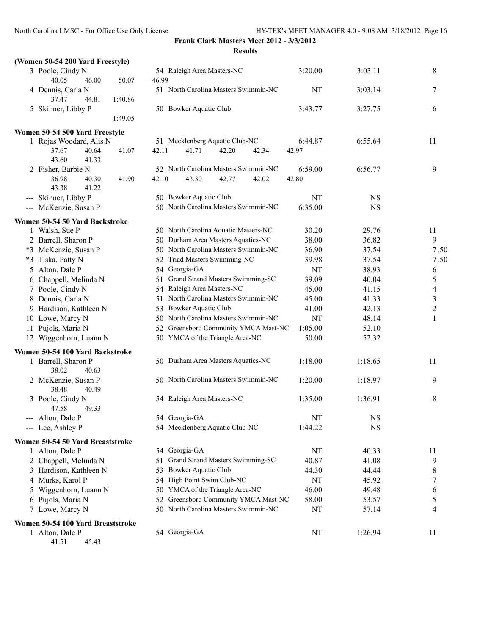| (Women 50-54 200 Yard Freestyle)               |                                        |         |           |                |
|------------------------------------------------|----------------------------------------|---------|-----------|----------------|
| 3 Poole, Cindy N                               | 54 Raleigh Area Masters-NC             | 3:20.00 | 3:03.11   | 8              |
| 40.05<br>46.00<br>50.07                        | 46.99                                  |         |           |                |
| 4 Dennis, Carla N<br>37.47<br>44.81<br>1:40.86 | 51 North Carolina Masters Swimmin-NC   | NT      | 3:03.14   | 7              |
| 5 Skinner, Libby P                             | 50 Bowker Aquatic Club                 | 3:43.77 | 3:27.75   | 6              |
| 1:49.05                                        |                                        |         |           |                |
| Women 50-54 500 Yard Freestyle                 |                                        |         |           |                |
| 1 Rojas Woodard, Alis N                        | 51 Mecklenberg Aquatic Club-NC         | 6:44.87 | 6:55.64   | 11             |
| 37.67<br>41.07<br>40.64                        | 41.71<br>42.20<br>42.11<br>42.34       | 42.97   |           |                |
| 43.60<br>41.33                                 |                                        |         |           |                |
| 2 Fisher, Barbie N                             | 52 North Carolina Masters Swimmin-NC   | 6:59.00 | 6:56.77   | 9              |
| 36.98<br>40.30<br>41.90<br>43.38<br>41.22      | 43.30<br>42.10<br>42.77<br>42.02       | 42.80   |           |                |
| --- Skinner, Libby P                           | 50 Bowker Aquatic Club                 | NT      | <b>NS</b> |                |
| --- McKenzie, Susan P                          | 50 North Carolina Masters Swimmin-NC   | 6:35.00 | <b>NS</b> |                |
| Women 50-54 50 Yard Backstroke                 |                                        |         |           |                |
| 1 Walsh, Sue P                                 | 50 North Carolina Aquatic Masters-NC   | 30.20   | 29.76     | 11             |
| 2 Barrell, Sharon P                            | 50 Durham Area Masters Aquatics-NC     | 38.00   | 36.82     | 9              |
| *3 McKenzie, Susan P                           | 50 North Carolina Masters Swimmin-NC   | 36.90   | 37.54     | 7.50           |
| Tiska, Patty N<br>$*3$                         | 52 Triad Masters Swimming-NC           | 39.98   | 37.54     | 7.50           |
| 5 Alton, Dale P                                | 54 Georgia-GA                          | NT      | 38.93     | 6              |
| Chappell, Melinda N<br>6                       | 51 Grand Strand Masters Swimming-SC    | 39.09   | 40.04     | 5              |
| 7 Poole, Cindy N                               | 54 Raleigh Area Masters-NC             | 45.00   | 41.15     | 4              |
| 8 Dennis, Carla N                              | 51 North Carolina Masters Swimmin-NC   | 45.00   | 41.33     | $\mathfrak{Z}$ |
| 9 Hardison, Kathleen N                         | 53 Bowker Aquatic Club                 | 41.00   | 42.13     | $\overline{c}$ |
| 10 Lowe, Marcy N                               | 50 North Carolina Masters Swimmin-NC   | NT      | 48.14     | 1              |
| Pujols, Maria N<br>11                          | 52 Greensboro Community YMCA Mast-NC   | 1:05.00 | 52.10     |                |
| 12 Wiggenhorn, Luann N                         | 50 YMCA of the Triangle Area-NC        | 50.00   | 52.32     |                |
| Women 50-54 100 Yard Backstroke                |                                        |         |           |                |
| 1 Barrell, Sharon P<br>38.02<br>40.63          | 50 Durham Area Masters Aquatics-NC     | 1:18.00 | 1:18.65   | 11             |
| 2 McKenzie, Susan P<br>38.48<br>40.49          | 50 North Carolina Masters Swimmin-NC   | 1:20.00 | 1:18.97   | 9              |
| 3 Poole, Cindy N<br>47.58<br>49.33             | 54 Raleigh Area Masters-NC             | 1:35.00 | 1:36.91   | 8              |
| --- Alton, Dale P                              | 54 Georgia-GA                          | NT      | <b>NS</b> |                |
| --- Lee, Ashley P                              | 54 Mecklenberg Aquatic Club-NC         | 1:44.22 | <b>NS</b> |                |
| Women 50-54 50 Yard Breaststroke               |                                        |         |           |                |
| 1 Alton, Dale P                                | 54 Georgia-GA                          | NT      | 40.33     | 11             |
| 2 Chappell, Melinda N                          | Grand Strand Masters Swimming-SC<br>51 | 40.87   | 41.08     | 9              |
| 3 Hardison, Kathleen N                         | <b>Bowker Aquatic Club</b><br>53       | 44.30   | 44.44     | 8              |
| 4 Murks, Karol P                               | 54 High Point Swim Club-NC             | NT      | 45.92     | 7              |
| Wiggenhorn, Luann N                            | 50 YMCA of the Triangle Area-NC        | 46.00   | 49.48     | 6              |
| 6 Pujols, Maria N                              | 52 Greensboro Community YMCA Mast-NC   | 58.00   | 53.57     | 5              |
| 7 Lowe, Marcy N                                | 50 North Carolina Masters Swimmin-NC   | NT      | 57.14     | 4              |
| Women 50-54 100 Yard Breaststroke              |                                        |         |           |                |
| 1 Alton, Dale P                                | 54 Georgia-GA                          | NT      | 1:26.94   | 11             |

41.51 45.43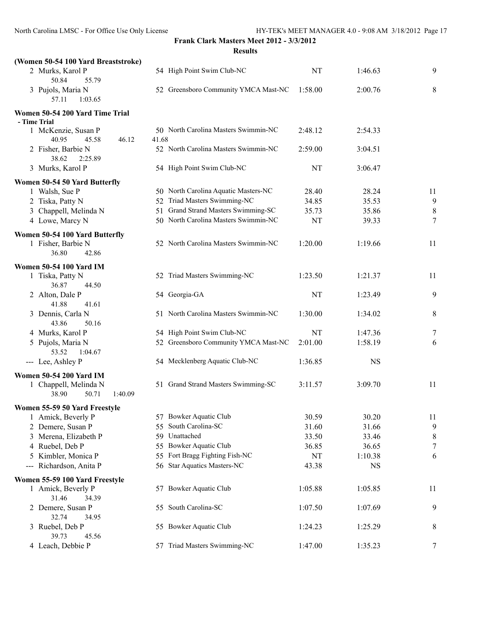| (Women 50-54 100 Yard Breaststroke)                                                  |       |                                      |         |           |                  |
|--------------------------------------------------------------------------------------|-------|--------------------------------------|---------|-----------|------------------|
| 2 Murks, Karol P<br>50.84<br>55.79                                                   |       | 54 High Point Swim Club-NC           | NT      | 1:46.63   | 9                |
| 3 Pujols, Maria N<br>57.11<br>1:03.65                                                |       | 52 Greensboro Community YMCA Mast-NC | 1:58.00 | 2:00.76   | 8                |
| Women 50-54 200 Yard Time Trial<br>- Time Trial                                      |       |                                      |         |           |                  |
| 1 McKenzie, Susan P<br>40.95<br>45.58<br>46.12                                       | 41.68 | 50 North Carolina Masters Swimmin-NC | 2:48.12 | 2:54.33   |                  |
| 2 Fisher, Barbie N<br>38.62<br>2:25.89                                               |       | 52 North Carolina Masters Swimmin-NC | 2:59.00 | 3:04.51   |                  |
| 3 Murks, Karol P                                                                     |       | 54 High Point Swim Club-NC           | NT      | 3:06.47   |                  |
| Women 50-54 50 Yard Butterfly                                                        |       |                                      |         |           |                  |
| 1 Walsh, Sue P                                                                       |       | 50 North Carolina Aquatic Masters-NC | 28.40   | 28.24     | 11               |
| 2 Tiska, Patty N                                                                     |       | 52 Triad Masters Swimming-NC         | 34.85   | 35.53     | 9                |
| 3 Chappell, Melinda N                                                                |       | 51 Grand Strand Masters Swimming-SC  | 35.73   | 35.86     | 8                |
| 4 Lowe, Marcy N                                                                      |       | 50 North Carolina Masters Swimmin-NC | NT      | 39.33     | $\tau$           |
| Women 50-54 100 Yard Butterfly                                                       |       |                                      |         |           |                  |
| 1 Fisher, Barbie N<br>36.80<br>42.86                                                 |       | 52 North Carolina Masters Swimmin-NC | 1:20.00 | 1:19.66   | 11               |
| <b>Women 50-54 100 Yard IM</b>                                                       |       |                                      |         |           |                  |
| 1 Tiska, Patty N<br>36.87<br>44.50                                                   |       | 52 Triad Masters Swimming-NC         | 1:23.50 | 1:21.37   | 11               |
| 2 Alton, Dale P<br>41.88<br>41.61                                                    |       | 54 Georgia-GA                        | NT      | 1:23.49   | 9                |
| 3 Dennis, Carla N<br>43.86<br>50.16                                                  |       | 51 North Carolina Masters Swimmin-NC | 1:30.00 | 1:34.02   | 8                |
| 4 Murks, Karol P                                                                     |       | 54 High Point Swim Club-NC           | NT      | 1:47.36   | 7                |
| 5 Pujols, Maria N<br>53.52<br>1:04.67                                                |       | 52 Greensboro Community YMCA Mast-NC | 2:01.00 | 1:58.19   | 6                |
| --- Lee, Ashley P                                                                    |       | 54 Mecklenberg Aquatic Club-NC       | 1:36.85 | <b>NS</b> |                  |
| <b>Women 50-54 200 Yard IM</b><br>1 Chappell, Melinda N<br>38.90<br>50.71<br>1:40.09 |       | 51 Grand Strand Masters Swimming-SC  | 3:11.57 | 3:09.70   | 11               |
| Women 55-59 50 Yard Freestyle                                                        |       |                                      |         |           |                  |
| 1 Amick, Beverly P                                                                   |       | 57 Bowker Aquatic Club               | 30.59   | 30.20     | 11               |
| 2 Demere, Susan P                                                                    |       | 55 South Carolina-SC                 | 31.60   | 31.66     | 9                |
| Merena, Elizabeth P<br>3                                                             |       | 59 Unattached                        | 33.50   | 33.46     | $\,$ $\,$        |
| Ruebel, Deb P<br>4                                                                   |       | 55 Bowker Aquatic Club               | 36.85   | 36.65     | $\boldsymbol{7}$ |
| Kimbler, Monica P<br>5                                                               |       | 55 Fort Bragg Fighting Fish-NC       | NT      | 1:10.38   | 6                |
| Richardson, Anita P<br>$\scriptstyle\cdots\scriptstyle\cdots$                        |       | 56 Star Aquatics Masters-NC          | 43.38   | <b>NS</b> |                  |
| Women 55-59 100 Yard Freestyle                                                       |       |                                      |         |           |                  |
| 1 Amick, Beverly P<br>31.46<br>34.39                                                 |       | 57 Bowker Aquatic Club               | 1:05.88 | 1:05.85   | 11               |
| 2 Demere, Susan P<br>32.74<br>34.95                                                  |       | 55 South Carolina-SC                 | 1:07.50 | 1:07.69   | 9                |
| 3 Ruebel, Deb P<br>39.73<br>45.56                                                    |       | 55 Bowker Aquatic Club               | 1:24.23 | 1:25.29   | 8                |
| 4 Leach, Debbie P                                                                    |       | 57 Triad Masters Swimming-NC         | 1:47.00 | 1:35.23   | 7                |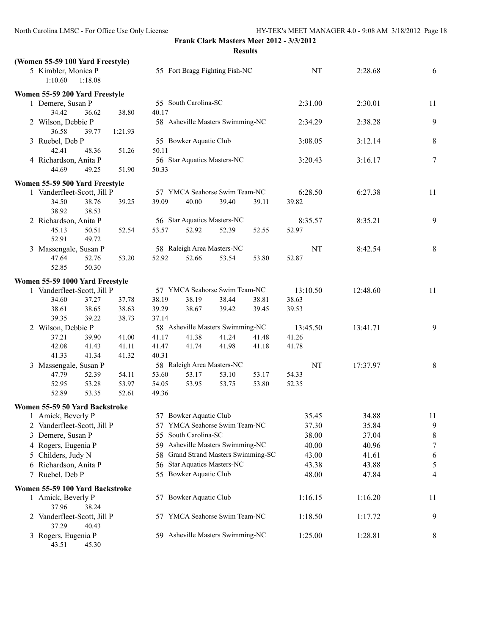| (Women 55-59 100 Yard Freestyle)              |                |                                     |       |       |          |          |                  |
|-----------------------------------------------|----------------|-------------------------------------|-------|-------|----------|----------|------------------|
| 5 Kimbler, Monica P<br>1:10.60<br>1:18.08     |                | 55 Fort Bragg Fighting Fish-NC      |       |       | NT       | 2:28.68  | 6                |
| Women 55-59 200 Yard Freestyle                |                |                                     |       |       |          |          |                  |
| 1 Demere, Susan P                             |                | 55 South Carolina-SC                |       |       | 2:31.00  | 2:30.01  | 11               |
| 34.42<br>36.62                                | 40.17<br>38.80 |                                     |       |       |          |          |                  |
| 2 Wilson, Debbie P                            |                | 58 Asheville Masters Swimming-NC    |       |       | 2:34.29  | 2:38.28  | 9                |
| 36.58<br>39.77                                | 1:21.93        |                                     |       |       |          |          |                  |
| 3 Ruebel, Deb P                               |                | 55 Bowker Aquatic Club              |       |       | 3:08.05  | 3:12.14  | 8                |
| 42.41<br>48.36                                | 50.11<br>51.26 |                                     |       |       |          |          |                  |
| 4 Richardson, Anita P                         |                | 56 Star Aquatics Masters-NC         |       |       | 3:20.43  | 3:16.17  | $\tau$           |
| 44.69<br>49.25                                | 50.33<br>51.90 |                                     |       |       |          |          |                  |
|                                               |                |                                     |       |       |          |          |                  |
| Women 55-59 500 Yard Freestyle                |                |                                     |       |       |          |          |                  |
| 1 Vanderfleet-Scott, Jill P                   |                | 57 YMCA Seahorse Swim Team-NC       |       |       | 6:28.50  | 6:27.38  | 11               |
| 34.50<br>38.76                                | 39.25<br>39.09 | 40.00                               | 39.40 | 39.11 | 39.82    |          |                  |
| 38.92<br>38.53                                |                |                                     |       |       |          |          |                  |
| 2 Richardson, Anita P                         |                | 56 Star Aquatics Masters-NC         |       |       | 8:35.57  | 8:35.21  | 9                |
| 45.13<br>50.51                                | 52.54<br>53.57 | 52.92                               | 52.39 | 52.55 | 52.97    |          |                  |
| 52.91<br>49.72                                |                |                                     |       |       |          |          |                  |
| 3 Massengale, Susan P                         |                | 58 Raleigh Area Masters-NC          |       |       | NT       | 8:42.54  | 8                |
| 47.64<br>52.76                                | 52.92<br>53.20 | 52.66                               | 53.54 | 53.80 | 52.87    |          |                  |
| 52.85<br>50.30                                |                |                                     |       |       |          |          |                  |
| Women 55-59 1000 Yard Freestyle               |                |                                     |       |       |          |          |                  |
| 1 Vanderfleet-Scott, Jill P                   |                | 57 YMCA Seahorse Swim Team-NC       |       |       | 13:10.50 | 12:48.60 | 11               |
| 34.60<br>37.27                                | 38.19<br>37.78 | 38.19                               | 38.44 | 38.81 | 38.63    |          |                  |
| 38.61<br>38.65                                | 38.63<br>39.29 | 38.67                               | 39.42 | 39.45 | 39.53    |          |                  |
| 39.35<br>39.22                                | 37.14<br>38.73 |                                     |       |       |          |          |                  |
| 2 Wilson, Debbie P                            |                | 58 Asheville Masters Swimming-NC    |       |       | 13:45.50 | 13:41.71 | 9                |
| 37.21<br>39.90                                | 41.00<br>41.17 | 41.38                               | 41.24 | 41.48 | 41.26    |          |                  |
| 42.08<br>41.43                                | 41.11<br>41.47 | 41.74                               | 41.98 | 41.18 | 41.78    |          |                  |
| 41.33<br>41.34                                | 41.32<br>40.31 |                                     |       |       |          |          |                  |
| 3 Massengale, Susan P                         |                | 58 Raleigh Area Masters-NC          |       |       | NT       | 17:37.97 | 8                |
| 47.79<br>52.39                                | 54.11<br>53.60 | 53.17                               | 53.10 | 53.17 | 54.33    |          |                  |
| 52.95<br>53.28                                | 53.97<br>54.05 | 53.95                               | 53.75 | 53.80 | 52.35    |          |                  |
| 52.89<br>53.35                                | 52.61<br>49.36 |                                     |       |       |          |          |                  |
| Women 55-59 50 Yard Backstroke                |                |                                     |       |       |          |          |                  |
| 1 Amick, Beverly P                            |                | 57 Bowker Aquatic Club              |       |       | 35.45    | 34.88    | 11               |
| 2 Vanderfleet-Scott, Jill P                   |                | 57 YMCA Seahorse Swim Team-NC       |       |       | 37.30    | 35.84    | 9                |
| 3 Demere, Susan P                             |                | 55 South Carolina-SC                |       |       | 38.00    | 37.04    | 8                |
| 4 Rogers, Eugenia P                           |                | 59 Asheville Masters Swimming-NC    |       |       | 40.00    | 40.96    | $\boldsymbol{7}$ |
| 5 Childers, Judy N                            |                | 58 Grand Strand Masters Swimming-SC |       |       | 43.00    | 41.61    | 6                |
| 6 Richardson, Anita P                         |                | 56 Star Aquatics Masters-NC         |       |       | 43.38    | 43.88    | 5                |
| 7 Ruebel, Deb P                               |                | 55 Bowker Aquatic Club              |       |       | 48.00    | 47.84    | 4                |
|                                               |                |                                     |       |       |          |          |                  |
| Women 55-59 100 Yard Backstroke               |                |                                     |       |       |          |          |                  |
| 1 Amick, Beverly P                            |                | 57 Bowker Aquatic Club              |       |       | 1:16.15  | 1:16.20  | 11               |
| 37.96<br>38.24                                |                |                                     |       |       |          |          |                  |
| 2 Vanderfleet-Scott, Jill P<br>37.29<br>40.43 |                | 57 YMCA Seahorse Swim Team-NC       |       |       | 1:18.50  | 1:17.72  | 9                |
| 3 Rogers, Eugenia P<br>43.51<br>45.30         |                | 59 Asheville Masters Swimming-NC    |       |       | 1:25.00  | 1:28.81  | 8                |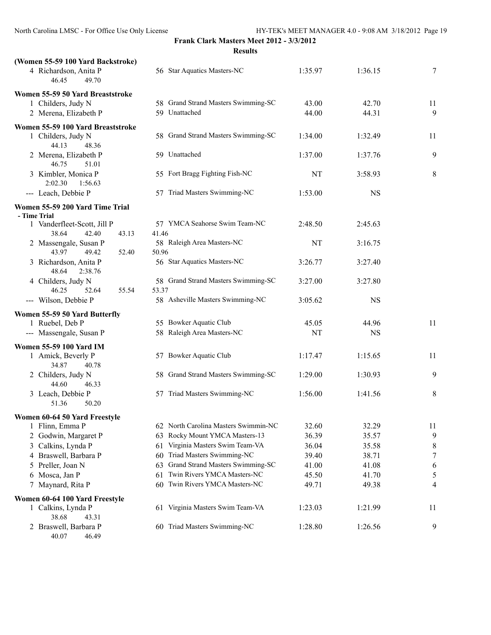| (Women 55-59 100 Yard Backstroke)                      |                                              |         |           |    |
|--------------------------------------------------------|----------------------------------------------|---------|-----------|----|
| 4 Richardson, Anita P<br>46.45<br>49.70                | 56 Star Aquatics Masters-NC                  | 1:35.97 | 1:36.15   | 7  |
| Women 55-59 50 Yard Breaststroke                       |                                              |         |           |    |
| 1 Childers, Judy N                                     | 58 Grand Strand Masters Swimming-SC          | 43.00   | 42.70     | 11 |
| 2 Merena, Elizabeth P                                  | 59 Unattached                                | 44.00   | 44.31     | 9  |
| Women 55-59 100 Yard Breaststroke                      |                                              |         |           |    |
| 1 Childers, Judy N<br>44.13<br>48.36                   | 58 Grand Strand Masters Swimming-SC          | 1:34.00 | 1:32.49   | 11 |
| 2 Merena, Elizabeth P<br>46.75<br>51.01                | 59 Unattached                                | 1:37.00 | 1:37.76   | 9  |
| 3 Kimbler, Monica P<br>2:02.30<br>1:56.63              | 55 Fort Bragg Fighting Fish-NC               | NT      | 3:58.93   | 8  |
| --- Leach, Debbie P                                    | 57 Triad Masters Swimming-NC                 | 1:53.00 | <b>NS</b> |    |
| Women 55-59 200 Yard Time Trial<br>- Time Trial        |                                              |         |           |    |
| 1 Vanderfleet-Scott, Jill P<br>38.64<br>42.40<br>43.13 | 57 YMCA Seahorse Swim Team-NC<br>41.46       | 2:48.50 | 2:45.63   |    |
| 2 Massengale, Susan P<br>43.97<br>49.42<br>52.40       | 58 Raleigh Area Masters-NC<br>50.96          | NT      | 3:16.75   |    |
| 3 Richardson, Anita P<br>48.64<br>2:38.76              | 56 Star Aquatics Masters-NC                  | 3:26.77 | 3:27.40   |    |
| 4 Childers, Judy N<br>55.54<br>46.25<br>52.64          | 58 Grand Strand Masters Swimming-SC<br>53.37 | 3:27.00 | 3:27.80   |    |
| --- Wilson, Debbie P                                   | 58 Asheville Masters Swimming-NC             | 3:05.62 | <b>NS</b> |    |
| Women 55-59 50 Yard Butterfly                          |                                              |         |           |    |
| 1 Ruebel, Deb P                                        | 55 Bowker Aquatic Club                       | 45.05   | 44.96     | 11 |
| --- Massengale, Susan P                                | 58 Raleigh Area Masters-NC                   | NT      | <b>NS</b> |    |
| Women 55-59 100 Yard IM                                |                                              |         |           |    |
| 1 Amick, Beverly P<br>34.87<br>40.78                   | 57 Bowker Aquatic Club                       | 1:17.47 | 1:15.65   | 11 |
| 2 Childers, Judy N<br>44.60<br>46.33                   | 58 Grand Strand Masters Swimming-SC          | 1:29.00 | 1:30.93   | 9  |
| 3 Leach, Debbie P<br>50.20<br>51.36                    | 57 Triad Masters Swimming-NC                 | 1:56.00 | 1:41.56   | 8  |
| Women 60-64 50 Yard Freestyle                          |                                              |         |           |    |
| 1 Flinn, Emma P                                        | 62 North Carolina Masters Swimmin-NC         | 32.60   | 32.29     | 11 |
| 2 Godwin, Margaret P                                   | Rocky Mount YMCA Masters-13<br>63            | 36.39   | 35.57     | 9  |
| 3 Calkins, Lynda P                                     | Virginia Masters Swim Team-VA<br>61          | 36.04   | 35.58     | 8  |
| 4 Braswell, Barbara P                                  | Triad Masters Swimming-NC<br>60              | 39.40   | 38.71     | 7  |
| Preller, Joan N<br>5                                   | Grand Strand Masters Swimming-SC<br>63       | 41.00   | 41.08     | 6  |
| Mosca, Jan P<br>6                                      | Twin Rivers YMCA Masters-NC<br>61            | 45.50   | 41.70     | 5  |
| Maynard, Rita P<br>7                                   | Twin Rivers YMCA Masters-NC<br>60            | 49.71   | 49.38     | 4  |
| Women 60-64 100 Yard Freestyle                         |                                              |         |           |    |
| 1 Calkins, Lynda P<br>38.68<br>43.31                   | 61 Virginia Masters Swim Team-VA             | 1:23.03 | 1:21.99   | 11 |
| 2 Braswell, Barbara P<br>40.07<br>46.49                | 60 Triad Masters Swimming-NC                 | 1:28.80 | 1:26.56   | 9  |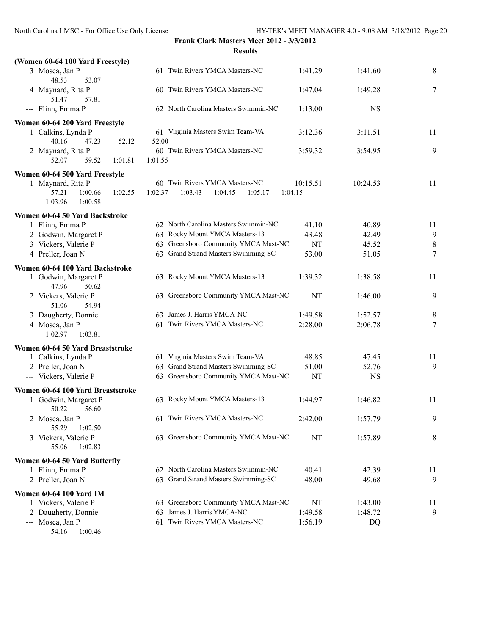| (Women 60-64 100 Yard Freestyle)                  |                                           |                |                |                |
|---------------------------------------------------|-------------------------------------------|----------------|----------------|----------------|
| 3 Mosca, Jan P<br>48.53<br>53.07                  | 61 Twin Rivers YMCA Masters-NC            | 1:41.29        | 1:41.60        | $\,8\,$        |
| 4 Maynard, Rita P<br>51.47<br>57.81               | 60 Twin Rivers YMCA Masters-NC            | 1:47.04        | 1:49.28        | 7              |
| --- Flinn, Emma P                                 | 62 North Carolina Masters Swimmin-NC      | 1:13.00        | <b>NS</b>      |                |
| Women 60-64 200 Yard Freestyle                    |                                           |                |                |                |
| 1 Calkins, Lynda P                                | 61 Virginia Masters Swim Team-VA          | 3:12.36        | 3:11.51        | 11             |
| 40.16<br>47.23<br>52.12                           | 52.00                                     |                |                |                |
| 2 Maynard, Rita P<br>52.07<br>59.52<br>1:01.81    | 60 Twin Rivers YMCA Masters-NC<br>1:01.55 | 3:59.32        | 3:54.95        | 9              |
| Women 60-64 500 Yard Freestyle                    |                                           |                |                |                |
| 1 Maynard, Rita P                                 | 60 Twin Rivers YMCA Masters-NC            | 10:15.51       | 10:24.53       | 11             |
| 57.21<br>1:00.66<br>1:02.55<br>1:03.96<br>1:00.58 | 1:02.37<br>1:03.43<br>1:04.45<br>1:05.17  | 1:04.15        |                |                |
| Women 60-64 50 Yard Backstroke                    |                                           |                |                |                |
| 1 Flinn, Emma P                                   | 62 North Carolina Masters Swimmin-NC      | 41.10          | 40.89          | 11             |
| 2 Godwin, Margaret P                              | 63 Rocky Mount YMCA Masters-13            | 43.48          | 42.49          | $\overline{9}$ |
| 3 Vickers, Valerie P                              | 63 Greensboro Community YMCA Mast-NC      | NT             | 45.52          | $\,8\,$        |
| 4 Preller, Joan N                                 | 63 Grand Strand Masters Swimming-SC       | 53.00          | 51.05          | $\tau$         |
| Women 60-64 100 Yard Backstroke                   |                                           |                |                |                |
| 1 Godwin, Margaret P<br>47.96<br>50.62            | 63 Rocky Mount YMCA Masters-13            | 1:39.32        | 1:38.58        | 11             |
| 2 Vickers, Valerie P<br>51.06<br>54.94            | 63 Greensboro Community YMCA Mast-NC      | NT             | 1:46.00        | 9              |
| 3 Daugherty, Donnie                               | 63 James J. Harris YMCA-NC                | 1:49.58        | 1:52.57        | $\,8\,$        |
| 4 Mosca, Jan P<br>1:03.81<br>1:02.97              | 61 Twin Rivers YMCA Masters-NC            | 2:28.00        | 2:06.78        | $\tau$         |
| Women 60-64 50 Yard Breaststroke                  |                                           |                |                |                |
| 1 Calkins, Lynda P                                | 61 Virginia Masters Swim Team-VA          | 48.85          | 47.45          | 11             |
| 2 Preller, Joan N                                 | 63 Grand Strand Masters Swimming-SC       | 51.00          | 52.76          | 9              |
| --- Vickers, Valerie P                            | 63 Greensboro Community YMCA Mast-NC      | NT             | <b>NS</b>      |                |
| Women 60-64 100 Yard Breaststroke                 |                                           |                |                |                |
| 1 Godwin, Margaret P<br>50.22<br>56.60            | 63 Rocky Mount YMCA Masters-13            | 1:44.97        | 1:46.82        | 11             |
| 2 Mosca, Jan P<br>55.29<br>1:02.50                | 61 Twin Rivers YMCA Masters-NC            | 2:42.00        | 1:57.79        | 9              |
| 3 Vickers, Valerie P<br>55.06<br>1:02.83          | 63 Greensboro Community YMCA Mast-NC      | NT             | 1:57.89        | 8              |
|                                                   |                                           |                |                |                |
| Women 60-64 50 Yard Butterfly                     | 62 North Carolina Masters Swimmin-NC      |                |                |                |
| 1 Flinn, Emma P<br>2 Preller, Joan N              | 63 Grand Strand Masters Swimming-SC       | 40.41<br>48.00 | 42.39<br>49.68 | 11<br>9        |
| <b>Women 60-64 100 Yard IM</b>                    |                                           |                |                |                |
| 1 Vickers, Valerie P                              | 63 Greensboro Community YMCA Mast-NC      | NT             | 1:43.00        | 11             |
| 2 Daugherty, Donnie                               | James J. Harris YMCA-NC<br>63             | 1:49.58        | 1:48.72        | 9              |
| --- Mosca, Jan P                                  | Twin Rivers YMCA Masters-NC<br>61         | 1:56.19        | DQ             |                |
| 54.16 1:00.46                                     |                                           |                |                |                |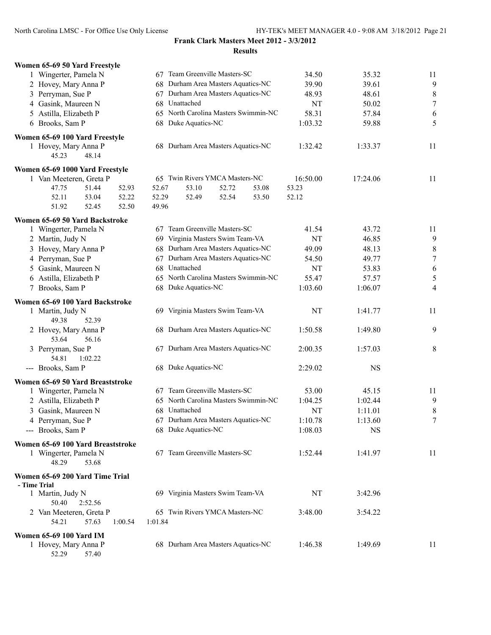| Women 65-69 50 Yard Freestyle                                                |                                           |           |           |                  |
|------------------------------------------------------------------------------|-------------------------------------------|-----------|-----------|------------------|
| 1 Wingerter, Pamela N                                                        | 67 Team Greenville Masters-SC             | 34.50     | 35.32     | 11               |
| 2 Hovey, Mary Anna P                                                         | 68 Durham Area Masters Aquatics-NC        | 39.90     | 39.61     | 9                |
| 3 Perryman, Sue P                                                            | 67 Durham Area Masters Aquatics-NC        | 48.93     | 48.61     | $\,$ $\,$        |
| 4 Gasink, Maureen N                                                          | 68 Unattached                             | NT        | 50.02     | $\boldsymbol{7}$ |
| 5 Astilla, Elizabeth P                                                       | 65 North Carolina Masters Swimmin-NC      | 58.31     | 57.84     | 6                |
| 6 Brooks, Sam P                                                              | 68 Duke Aquatics-NC                       | 1:03.32   | 59.88     | 5                |
| Women 65-69 100 Yard Freestyle                                               |                                           |           |           |                  |
| 1 Hovey, Mary Anna P<br>45.23<br>48.14                                       | 68 Durham Area Masters Aquatics-NC        | 1:32.42   | 1:33.37   | 11               |
| Women 65-69 1000 Yard Freestyle                                              |                                           |           |           |                  |
| 1 Van Meeteren, Greta P                                                      | 65 Twin Rivers YMCA Masters-NC            | 16:50.00  | 17:24.06  | 11               |
| 47.75<br>51.44<br>52.93                                                      | 52.67<br>53.10<br>52.72<br>53.08          | 53.23     |           |                  |
| 52.11<br>53.04<br>52.22<br>51.92<br>52.45<br>52.50                           | 52.29<br>52.49<br>52.54<br>53.50<br>49.96 | 52.12     |           |                  |
| Women 65-69 50 Yard Backstroke                                               |                                           |           |           |                  |
| 1 Wingerter, Pamela N                                                        | Team Greenville Masters-SC<br>67          | 41.54     | 43.72     | 11               |
| 2 Martin, Judy N                                                             | 69 Virginia Masters Swim Team-VA          | <b>NT</b> | 46.85     | $\mathbf{9}$     |
| 3 Hovey, Mary Anna P                                                         | 68 Durham Area Masters Aquatics-NC        | 49.09     | 48.13     | $\,$ $\,$        |
| 4 Perryman, Sue P                                                            | 67 Durham Area Masters Aquatics-NC        | 54.50     | 49.77     | $\boldsymbol{7}$ |
| 5 Gasink, Maureen N                                                          | 68 Unattached                             | NT        | 53.83     | 6                |
| 6 Astilla, Elizabeth P                                                       | 65 North Carolina Masters Swimmin-NC      | 55.47     | 57.57     | 5                |
| 7 Brooks, Sam P                                                              | 68 Duke Aquatics-NC                       | 1:03.60   | 1:06.07   | 4                |
| Women 65-69 100 Yard Backstroke                                              |                                           |           |           |                  |
| 1 Martin, Judy N<br>49.38<br>52.39                                           | 69 Virginia Masters Swim Team-VA          | NT        | 1:41.77   | 11               |
| 2 Hovey, Mary Anna P<br>53.64<br>56.16                                       | 68 Durham Area Masters Aquatics-NC        | 1:50.58   | 1:49.80   | 9                |
| 3 Perryman, Sue P<br>54.81<br>1:02.22                                        | 67 Durham Area Masters Aquatics-NC        | 2:00.35   | 1:57.03   | 8                |
| --- Brooks, Sam P                                                            | 68 Duke Aquatics-NC                       | 2:29.02   | <b>NS</b> |                  |
| Women 65-69 50 Yard Breaststroke                                             |                                           |           |           |                  |
| 1 Wingerter, Pamela N                                                        | 67 Team Greenville Masters-SC             | 53.00     | 45.15     | 11               |
| 2 Astilla, Elizabeth P                                                       | 65 North Carolina Masters Swimmin-NC      | 1:04.25   | 1:02.44   | 9                |
| 3 Gasink, Maureen N                                                          | 68 Unattached                             | NT        | 1:11.01   | 8                |
| 4 Perryman, Sue P                                                            | 67 Durham Area Masters Aquatics-NC        | 1:10.78   | 1:13.60   | $\boldsymbol{7}$ |
| --- Brooks, Sam P                                                            | 68 Duke Aquatics-NC                       | 1:08.03   | <b>NS</b> |                  |
| Women 65-69 100 Yard Breaststroke<br>1 Wingerter, Pamela N<br>48.29<br>53.68 | 67 Team Greenville Masters-SC             | 1:52.44   | 1:41.97   | 11               |
| Women 65-69 200 Yard Time Trial                                              |                                           |           |           |                  |
| - Time Trial<br>1 Martin, Judy N<br>50.40<br>2:52.56                         | 69 Virginia Masters Swim Team-VA          | NT        | 3:42.96   |                  |
| 2 Van Meeteren, Greta P<br>54.21<br>57.63<br>1:00.54                         | 65 Twin Rivers YMCA Masters-NC<br>1:01.84 | 3:48.00   | 3:54.22   |                  |
| Women 65-69 100 Yard IM                                                      |                                           |           |           |                  |
| 1 Hovey, Mary Anna P<br>52.29<br>57.40                                       | 68 Durham Area Masters Aquatics-NC        | 1:46.38   | 1:49.69   | 11               |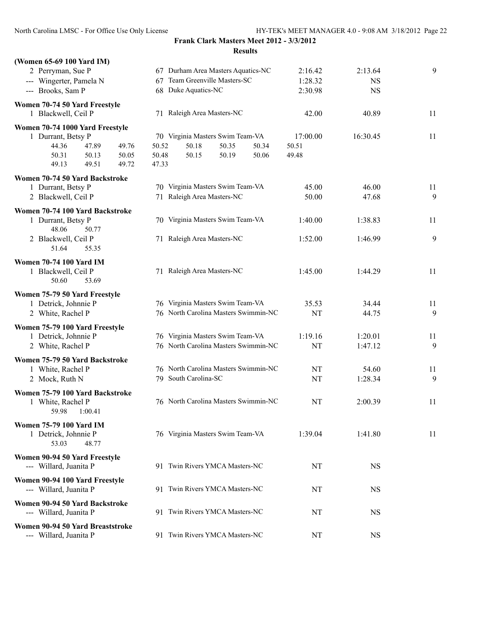| (Women 65-69 100 Yard IM)                                  |                                      |          |           |    |
|------------------------------------------------------------|--------------------------------------|----------|-----------|----|
| 2 Perryman, Sue P                                          | 67 Durham Area Masters Aquatics-NC   | 2:16.42  | 2:13.64   | 9  |
| --- Wingerter, Pamela N                                    | 67 Team Greenville Masters-SC        | 1:28.32  | <b>NS</b> |    |
| --- Brooks, Sam P                                          | 68 Duke Aquatics-NC                  | 2:30.98  | <b>NS</b> |    |
|                                                            |                                      |          |           |    |
| Women 70-74 50 Yard Freestyle<br>1 Blackwell, Ceil P       | 71 Raleigh Area Masters-NC           | 42.00    | 40.89     | 11 |
| Women 70-74 1000 Yard Freestyle                            |                                      |          |           |    |
| 1 Durrant, Betsy P                                         | 70 Virginia Masters Swim Team-VA     | 17:00.00 | 16:30.45  | 11 |
| 44.36<br>47.89<br>49.76                                    | 50.52<br>50.18<br>50.35<br>50.34     | 50.51    |           |    |
| 50.31<br>50.13<br>50.05                                    | 50.48<br>50.15<br>50.19<br>50.06     | 49.48    |           |    |
| 49.13<br>49.51<br>49.72                                    | 47.33                                |          |           |    |
| Women 70-74 50 Yard Backstroke                             |                                      |          |           |    |
| 1 Durrant, Betsy P                                         | 70 Virginia Masters Swim Team-VA     | 45.00    | 46.00     | 11 |
| 2 Blackwell, Ceil P                                        | 71 Raleigh Area Masters-NC           | 50.00    | 47.68     | 9  |
|                                                            |                                      |          |           |    |
| Women 70-74 100 Yard Backstroke                            |                                      |          |           |    |
| 1 Durrant, Betsy P<br>48.06<br>50.77                       | 70 Virginia Masters Swim Team-VA     | 1:40.00  | 1:38.83   | 11 |
| 2 Blackwell, Ceil P                                        | 71 Raleigh Area Masters-NC           | 1:52.00  | 1:46.99   | 9  |
| 51.64<br>55.35                                             |                                      |          |           |    |
|                                                            |                                      |          |           |    |
| <b>Women 70-74 100 Yard IM</b>                             |                                      |          |           |    |
| 1 Blackwell, Ceil P                                        | 71 Raleigh Area Masters-NC           | 1:45.00  | 1:44.29   | 11 |
| 50.60<br>53.69                                             |                                      |          |           |    |
| Women 75-79 50 Yard Freestyle                              |                                      |          |           |    |
| 1 Detrick, Johnnie P                                       | 76 Virginia Masters Swim Team-VA     | 35.53    | 34.44     | 11 |
| 2 White, Rachel P                                          | 76 North Carolina Masters Swimmin-NC | NT       | 44.75     | 9  |
| Women 75-79 100 Yard Freestyle                             |                                      |          |           |    |
| 1 Detrick, Johnnie P                                       | 76 Virginia Masters Swim Team-VA     | 1:19.16  | 1:20.01   | 11 |
| 2 White, Rachel P                                          | 76 North Carolina Masters Swimmin-NC | NT       | 1:47.12   | 9  |
| Women 75-79 50 Yard Backstroke                             |                                      |          |           |    |
| 1 White, Rachel P                                          | 76 North Carolina Masters Swimmin-NC | NT       | 54.60     | 11 |
| 2 Mock, Ruth N                                             | 79 South Carolina-SC                 | NT       | 1:28.34   | 9  |
|                                                            |                                      |          |           |    |
| Women 75-79 100 Yard Backstroke<br>1 White, Rachel P       | 76 North Carolina Masters Swimmin-NC | NT       | 2:00.39   | 11 |
| 59.98<br>1:00.41                                           |                                      |          |           |    |
|                                                            |                                      |          |           |    |
| <b>Women 75-79 100 Yard IM</b>                             |                                      |          |           |    |
| 1 Detrick, Johnnie P<br>53.03<br>48.77                     | 76 Virginia Masters Swim Team-VA     | 1:39.04  | 1:41.80   | 11 |
|                                                            |                                      |          |           |    |
| Women 90-94 50 Yard Freestyle                              |                                      |          |           |    |
| --- Willard, Juanita P                                     | 91 Twin Rivers YMCA Masters-NC       | NT       | <b>NS</b> |    |
| Women 90-94 100 Yard Freestyle                             |                                      |          |           |    |
| --- Willard, Juanita P                                     | 91 Twin Rivers YMCA Masters-NC       | NT       | <b>NS</b> |    |
| Women 90-94 50 Yard Backstroke                             |                                      |          |           |    |
| --- Willard, Juanita P                                     | 91 Twin Rivers YMCA Masters-NC       | NT       | <b>NS</b> |    |
|                                                            |                                      |          |           |    |
| Women 90-94 50 Yard Breaststroke<br>--- Willard, Juanita P | 91 Twin Rivers YMCA Masters-NC       | NT       | <b>NS</b> |    |
|                                                            |                                      |          |           |    |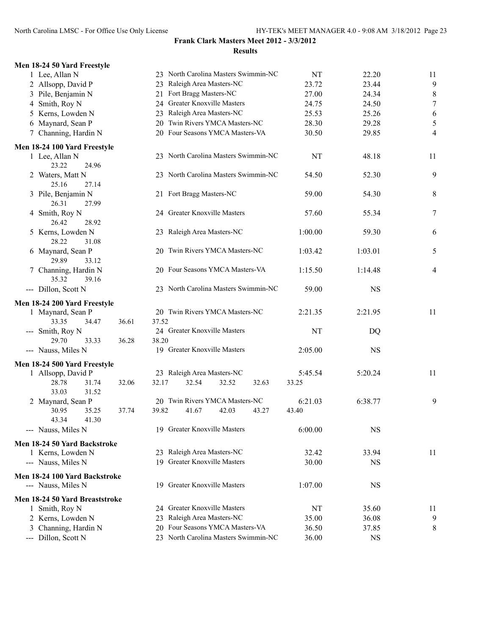| Men 18-24 50 Yard Freestyle                         |                                       |           |           |                |
|-----------------------------------------------------|---------------------------------------|-----------|-----------|----------------|
| 1 Lee, Allan N                                      | 23 North Carolina Masters Swimmin-NC  | NT        | 22.20     | 11             |
| 2 Allsopp, David P                                  | 23 Raleigh Area Masters-NC            | 23.72     | 23.44     | 9              |
| 3 Pile, Benjamin N                                  | 21 Fort Bragg Masters-NC              | 27.00     | 24.34     | 8              |
| 4 Smith, Roy N                                      | 24 Greater Knoxville Masters          | 24.75     | 24.50     | $\overline{7}$ |
| 5 Kerns, Lowden N                                   | 23 Raleigh Area Masters-NC            | 25.53     | 25.26     | 6              |
| 6 Maynard, Sean P                                   | Twin Rivers YMCA Masters-NC<br>20     | 28.30     | 29.28     | 5              |
| 7 Channing, Hardin N                                | 20 Four Seasons YMCA Masters-VA       | 30.50     | 29.85     | $\overline{4}$ |
| Men 18-24 100 Yard Freestyle                        |                                       |           |           |                |
| 1 Lee, Allan N<br>23.22<br>24.96                    | 23 North Carolina Masters Swimmin-NC  | NT        | 48.18     | 11             |
| 2 Waters, Matt N<br>25.16<br>27.14                  | 23 North Carolina Masters Swimmin-NC  | 54.50     | 52.30     | 9              |
| 3 Pile, Benjamin N<br>26.31<br>27.99                | 21 Fort Bragg Masters-NC              | 59.00     | 54.30     | 8              |
| 4 Smith, Roy N<br>26.42<br>28.92                    | 24 Greater Knoxville Masters          | 57.60     | 55.34     | $\overline{7}$ |
| 5 Kerns, Lowden N<br>28.22<br>31.08                 | 23 Raleigh Area Masters-NC            | 1:00.00   | 59.30     | 6              |
| 6 Maynard, Sean P<br>29.89<br>33.12                 | 20 Twin Rivers YMCA Masters-NC        | 1:03.42   | 1:03.01   | 5              |
| 7 Channing, Hardin N<br>35.32<br>39.16              | 20 Four Seasons YMCA Masters-VA       | 1:15.50   | 1:14.48   | $\overline{4}$ |
| --- Dillon, Scott N                                 | 23 North Carolina Masters Swimmin-NC  | 59.00     | <b>NS</b> |                |
| Men 18-24 200 Yard Freestyle                        |                                       |           |           |                |
| 1 Maynard, Sean P                                   | 20 Twin Rivers YMCA Masters-NC        | 2:21.35   | 2:21.95   | 11             |
| 33.35<br>34.47<br>36.61                             | 37.52                                 |           |           |                |
| --- Smith, Roy N<br>29.70<br>33.33                  | 24 Greater Knoxville Masters<br>38.20 | <b>NT</b> | DQ        |                |
| 36.28<br>--- Nauss, Miles N                         | 19 Greater Knoxville Masters          | 2:05.00   | <b>NS</b> |                |
| Men 18-24 500 Yard Freestyle                        |                                       |           |           |                |
| 1 Allsopp, David P                                  | 23 Raleigh Area Masters-NC            | 5:45.54   | 5:20.24   | 11             |
| 28.78<br>31.74<br>32.06<br>33.03<br>31.52           | 32.54<br>32.52<br>32.17<br>32.63      | 33.25     |           |                |
| 2 Maynard, Sean P                                   | 20 Twin Rivers YMCA Masters-NC        | 6:21.03   | 6:38.77   | 9              |
| 30.95<br>35.25<br>37.74<br>43.34<br>41.30           | 39.82<br>41.67<br>42.03<br>43.27      | 43.40     |           |                |
| --- Nauss, Miles N                                  | 19 Greater Knoxville Masters          | 6:00.00   | <b>NS</b> |                |
| Men 18-24 50 Yard Backstroke                        |                                       |           |           |                |
| 1 Kerns, Lowden N                                   | 23 Raleigh Area Masters-NC            | 32.42     | 33.94     | 11             |
| --- Nauss, Miles N                                  | 19 Greater Knoxville Masters          | 30.00     | <b>NS</b> |                |
| Men 18-24 100 Yard Backstroke<br>--- Nauss, Miles N | 19 Greater Knoxville Masters          | 1:07.00   | <b>NS</b> |                |
| Men 18-24 50 Yard Breaststroke                      |                                       |           |           |                |
| 1 Smith, Roy N                                      | 24 Greater Knoxville Masters          | NT        | 35.60     | 11             |
| 2 Kerns, Lowden N                                   | 23 Raleigh Area Masters-NC            | 35.00     | 36.08     | 9              |
| Channing, Hardin N<br>3                             | Four Seasons YMCA Masters-VA<br>20    | 36.50     | 37.85     | 8              |
| --- Dillon, Scott N                                 | 23 North Carolina Masters Swimmin-NC  | 36.00     | NS        |                |
|                                                     |                                       |           |           |                |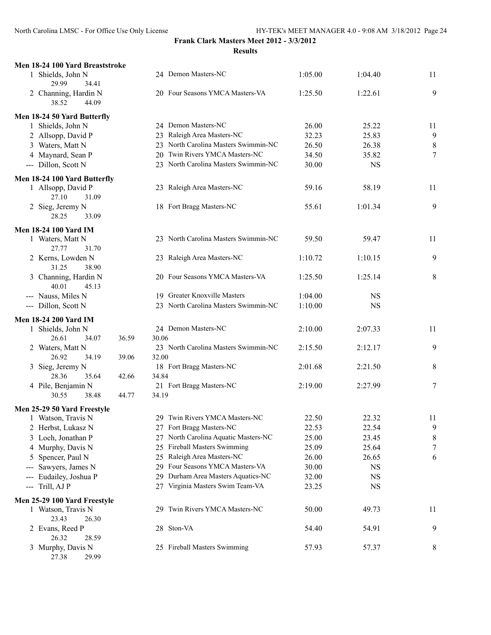| Men 18-24 100 Yard Breaststroke<br>1 Shields, John N | 24 Demon Masters-NC                     | 1:05.00 | 1:04.40   | 11             |
|------------------------------------------------------|-----------------------------------------|---------|-----------|----------------|
| 29.99<br>34.41                                       |                                         |         |           |                |
| 2 Channing, Hardin N                                 | 20 Four Seasons YMCA Masters-VA         | 1:25.50 | 1:22.61   | 9              |
| 44.09<br>38.52                                       |                                         |         |           |                |
| Men 18-24 50 Yard Butterfly                          |                                         |         |           |                |
| 1 Shields, John N                                    | 24 Demon Masters-NC                     | 26.00   | 25.22     | 11             |
| 2 Allsopp, David P                                   | 23 Raleigh Area Masters-NC              | 32.23   | 25.83     | 9              |
| 3 Waters, Matt N                                     | 23 North Carolina Masters Swimmin-NC    | 26.50   | 26.38     | 8              |
| 4 Maynard, Sean P                                    | 20 Twin Rivers YMCA Masters-NC          | 34.50   | 35.82     | $\overline{7}$ |
| --- Dillon, Scott N                                  | 23 North Carolina Masters Swimmin-NC    | 30.00   | <b>NS</b> |                |
| Men 18-24 100 Yard Butterfly                         |                                         |         |           |                |
| 1 Allsopp, David P                                   | 23 Raleigh Area Masters-NC              | 59.16   | 58.19     | 11             |
| 27.10<br>31.09                                       | 18 Fort Bragg Masters-NC                |         |           | 9              |
| 2 Sieg, Jeremy N<br>28.25<br>33.09                   |                                         | 55.61   | 1:01.34   |                |
| <b>Men 18-24 100 Yard IM</b>                         |                                         |         |           |                |
| 1 Waters, Matt N                                     | 23 North Carolina Masters Swimmin-NC    | 59.50   | 59.47     | 11             |
| 27.77<br>31.70                                       |                                         |         |           |                |
| 2 Kerns, Lowden N                                    | 23 Raleigh Area Masters-NC              | 1:10.72 | 1:10.15   | 9              |
| 31.25<br>38.90                                       |                                         |         |           |                |
| 3 Channing, Hardin N<br>40.01<br>45.13               | 20 Four Seasons YMCA Masters-VA         | 1:25.50 | 1:25.14   | 8              |
| --- Nauss, Miles N                                   | 19 Greater Knoxville Masters            | 1:04.00 | <b>NS</b> |                |
| --- Dillon, Scott N                                  | 23 North Carolina Masters Swimmin-NC    | 1:10.00 | <b>NS</b> |                |
| <b>Men 18-24 200 Yard IM</b>                         |                                         |         |           |                |
| 1 Shields, John N                                    | 24 Demon Masters-NC                     | 2:10.00 | 2:07.33   | 11             |
| 26.61<br>34.07<br>36.59                              | 30.06                                   |         |           |                |
| 2 Waters, Matt N                                     | 23 North Carolina Masters Swimmin-NC    | 2:15.50 | 2:12.17   | 9              |
| 26.92<br>34.19<br>39.06                              | 32.00                                   |         |           |                |
| 3 Sieg, Jeremy N                                     | 18 Fort Bragg Masters-NC                | 2:01.68 | 2:21.50   | 8              |
| 28.36<br>42.66<br>35.64                              | 34.84                                   |         |           |                |
| 4 Pile, Benjamin N                                   | 21 Fort Bragg Masters-NC                | 2:19.00 | 2:27.99   | 7              |
| 30.55<br>38.48<br>44.77                              | 34.19                                   |         |           |                |
| Men 25-29 50 Yard Freestyle                          |                                         |         |           |                |
| 1 Watson, Travis N                                   | 29 Twin Rivers YMCA Masters-NC          | 22.50   | 22.32     | 11             |
| 2 Herbst, Lukasz N                                   | 27 Fort Bragg Masters-NC                | 22.53   | 22.54     | 9              |
| 3 Loch, Jonathan P                                   | North Carolina Aquatic Masters-NC<br>27 | 25.00   | 23.45     | 8              |
| 4 Murphy, Davis N                                    | Fireball Masters Swimming<br>25         | 25.09   | 25.64     | 7              |
| 5 Spencer, Paul N                                    | Raleigh Area Masters-NC<br>25           | 26.00   | 26.65     | 6              |
| Sawyers, James N<br>$\qquad \qquad \cdots$           | Four Seasons YMCA Masters-VA<br>29      | 30.00   | <b>NS</b> |                |
| Eudailey, Joshua P                                   | Durham Area Masters Aquatics-NC<br>29.  | 32.00   | <b>NS</b> |                |
| Trill, AJ P<br>---                                   | 27 Virginia Masters Swim Team-VA        | 23.25   | <b>NS</b> |                |
| Men 25-29 100 Yard Freestyle                         |                                         |         |           |                |
| 1 Watson, Travis N                                   | Twin Rivers YMCA Masters-NC<br>29.      | 50.00   | 49.73     | 11             |
| 23.43<br>26.30                                       |                                         |         |           |                |
| 2 Evans, Reed P<br>26.32<br>28.59                    | 28 Ston-VA                              | 54.40   | 54.91     | 9              |
| 3 Murphy, Davis N                                    | 25 Fireball Masters Swimming            | 57.93   | 57.37     | 8              |
| 29.99<br>27.38                                       |                                         |         |           |                |
|                                                      |                                         |         |           |                |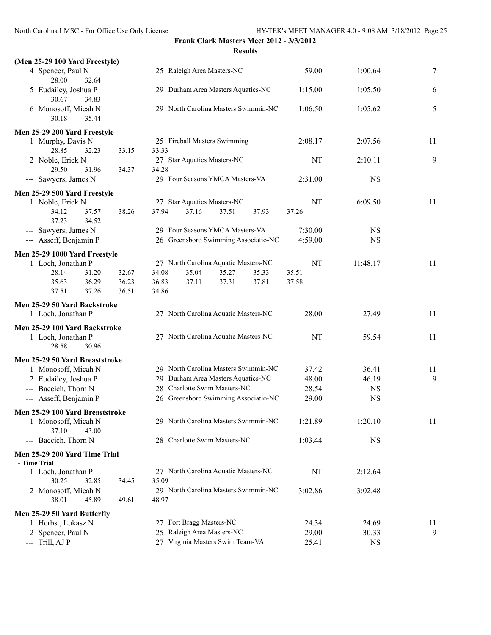| (Men 25-29 100 Yard Freestyle)                         |       |                                      |           |                |                  |
|--------------------------------------------------------|-------|--------------------------------------|-----------|----------------|------------------|
| 4 Spencer, Paul N<br>28.00<br>32.64                    |       | 25 Raleigh Area Masters-NC           | 59.00     | 1:00.64        | $\boldsymbol{7}$ |
| 5 Eudailey, Joshua P<br>30.67<br>34.83                 |       | 29 Durham Area Masters Aquatics-NC   | 1:15.00   | 1:05.50        | 6                |
| 6 Monosoff, Micah N<br>30.18<br>35.44                  |       | 29 North Carolina Masters Swimmin-NC | 1:06.50   | 1:05.62        | 5                |
| Men 25-29 200 Yard Freestyle                           |       |                                      |           |                |                  |
| 1 Murphy, Davis N                                      |       | 25 Fireball Masters Swimming         | 2:08.17   | 2:07.56        | 11               |
| 28.85<br>32.23                                         | 33.15 | 33.33                                |           |                |                  |
| 2 Noble, Erick N                                       |       | 27 Star Aquatics Masters-NC          | NT        | 2:10.11        | 9                |
| 29.50<br>31.96                                         | 34.37 | 34.28                                |           |                |                  |
| --- Sawyers, James N                                   |       | 29 Four Seasons YMCA Masters-VA      | 2:31.00   | <b>NS</b>      |                  |
| Men 25-29 500 Yard Freestyle                           |       |                                      |           |                |                  |
| 1 Noble, Erick N                                       |       | 27 Star Aquatics Masters-NC          | NT        | 6:09.50        | 11               |
| 34.12<br>37.57                                         | 38.26 | 37.94<br>37.16<br>37.51<br>37.93     | 37.26     |                |                  |
| 37.23<br>34.52                                         |       |                                      |           |                |                  |
| --- Sawyers, James N                                   |       | 29 Four Seasons YMCA Masters-VA      | 7:30.00   | <b>NS</b>      |                  |
| --- Asseff, Benjamin P                                 |       | 26 Greensboro Swimming Associatio-NC | 4:59.00   | <b>NS</b>      |                  |
| Men 25-29 1000 Yard Freestyle                          |       |                                      |           |                |                  |
| 1 Loch, Jonathan P                                     |       | 27 North Carolina Aquatic Masters-NC | <b>NT</b> | 11:48.17       | 11               |
| 28.14<br>31.20                                         | 32.67 | 34.08<br>35.04<br>35.27<br>35.33     | 35.51     |                |                  |
| 36.29<br>35.63                                         | 36.23 | 36.83<br>37.11<br>37.31<br>37.81     | 37.58     |                |                  |
| 37.51<br>37.26                                         | 36.51 | 34.86                                |           |                |                  |
| Men 25-29 50 Yard Backstroke                           |       |                                      |           |                |                  |
| 1 Loch, Jonathan P                                     |       | 27 North Carolina Aquatic Masters-NC | 28.00     | 27.49          | 11               |
| Men 25-29 100 Yard Backstroke                          |       |                                      |           |                |                  |
| 1 Loch, Jonathan P                                     |       | 27 North Carolina Aquatic Masters-NC | NT        | 59.54          | 11               |
| 28.58<br>30.96                                         |       |                                      |           |                |                  |
| Men 25-29 50 Yard Breaststroke                         |       |                                      |           |                |                  |
| 1 Monosoff, Micah N                                    |       | 29 North Carolina Masters Swimmin-NC | 37.42     | 36.41          | 11               |
| 2 Eudailey, Joshua P                                   |       | 29 Durham Area Masters Aquatics-NC   | 48.00     | 46.19          | 9                |
| --- Baccich, Thorn N                                   |       | 28 Charlotte Swim Masters-NC         | 28.54     | <b>NS</b>      |                  |
| --- Asseff, Benjamin P                                 |       | 26 Greensboro Swimming Associatio-NC | 29.00     | <b>NS</b>      |                  |
|                                                        |       |                                      |           |                |                  |
| Men 25-29 100 Yard Breaststroke<br>1 Monosoff, Micah N |       | 29 North Carolina Masters Swimmin-NC | 1:21.89   | 1:20.10        | 11               |
| 37.10<br>43.00                                         |       |                                      |           |                |                  |
| --- Baccich, Thorn N                                   |       | 28 Charlotte Swim Masters-NC         | 1:03.44   | <b>NS</b>      |                  |
|                                                        |       |                                      |           |                |                  |
| Men 25-29 200 Yard Time Trial                          |       |                                      |           |                |                  |
| - Time Trial<br>1 Loch, Jonathan P                     |       | 27 North Carolina Aquatic Masters-NC | NT        | 2:12.64        |                  |
| 30.25<br>32.85                                         | 34.45 | 35.09                                |           |                |                  |
| 2 Monosoff, Micah N                                    |       | 29 North Carolina Masters Swimmin-NC | 3:02.86   | 3:02.48        |                  |
| 45.89<br>38.01                                         | 49.61 | 48.97                                |           |                |                  |
|                                                        |       |                                      |           |                |                  |
| Men 25-29 50 Yard Butterfly                            |       | 27 Fort Bragg Masters-NC             | 24.34     |                | 11               |
| 1 Herbst, Lukasz N<br>2 Spencer, Paul N                |       | 25 Raleigh Area Masters-NC           | 29.00     | 24.69<br>30.33 | 9                |
| --- Trill, AJ P                                        |       | 27 Virginia Masters Swim Team-VA     | 25.41     | <b>NS</b>      |                  |
|                                                        |       |                                      |           |                |                  |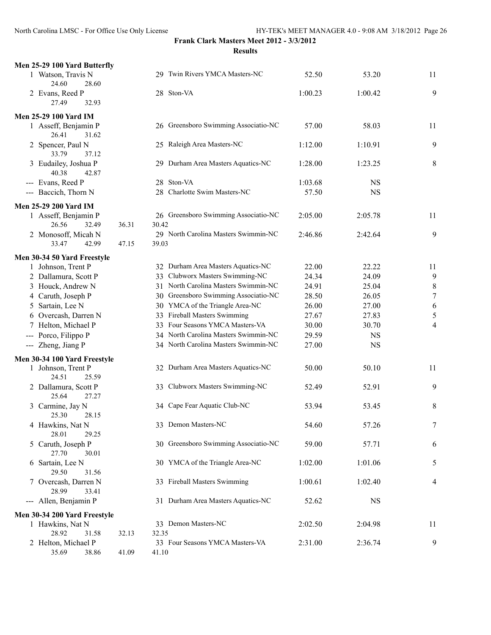| Men 25-29 100 Yard Butterfly                  |       |                                               |         |             |                |
|-----------------------------------------------|-------|-----------------------------------------------|---------|-------------|----------------|
| 1 Watson, Travis N<br>24.60<br>28.60          |       | 29 Twin Rivers YMCA Masters-NC                | 52.50   | 53.20       | 11             |
| 2 Evans, Reed P<br>27.49<br>32.93             |       | 28 Ston-VA                                    | 1:00.23 | 1:00.42     | 9              |
| Men 25-29 100 Yard IM<br>1 Asseff, Benjamin P |       | 26 Greensboro Swimming Associatio-NC          | 57.00   | 58.03       | 11             |
| 26.41<br>31.62                                |       |                                               |         |             |                |
| 2 Spencer, Paul N<br>33.79<br>37.12           |       | 25 Raleigh Area Masters-NC                    | 1:12.00 | 1:10.91     | 9              |
| 3 Eudailey, Joshua P<br>40.38<br>42.87        |       | 29 Durham Area Masters Aquatics-NC            | 1:28.00 | 1:23.25     | 8              |
| --- Evans, Reed P                             |       | 28 Ston-VA                                    | 1:03.68 | <b>NS</b>   |                |
| --- Baccich, Thorn N                          |       | 28 Charlotte Swim Masters-NC                  | 57.50   | $_{\rm NS}$ |                |
| <b>Men 25-29 200 Yard IM</b>                  |       |                                               |         |             |                |
| 1 Asseff, Benjamin P                          |       | 26 Greensboro Swimming Associatio-NC          | 2:05.00 | 2:05.78     | 11             |
| 26.56<br>32.49                                | 36.31 | 30.42<br>29 North Carolina Masters Swimmin-NC |         |             | 9              |
| 2 Monosoff, Micah N<br>33.47<br>42.99         | 47.15 | 39.03                                         | 2:46.86 | 2:42.64     |                |
| Men 30-34 50 Yard Freestyle                   |       |                                               |         |             |                |
| 1 Johnson, Trent P                            |       | 32 Durham Area Masters Aquatics-NC            | 22.00   | 22.22       | 11             |
| 2 Dallamura, Scott P                          |       | 33 Clubworx Masters Swimming-NC               | 24.34   | 24.09       | 9              |
| 3 Houck, Andrew N                             |       | 31 North Carolina Masters Swimmin-NC          | 24.91   | 25.04       | $\,$ $\,$      |
| 4 Caruth, Joseph P                            |       | 30 Greensboro Swimming Associatio-NC          | 28.50   | 26.05       | $\overline{7}$ |
| 5 Sartain, Lee N                              |       | 30 YMCA of the Triangle Area-NC               | 26.00   | 27.00       | 6              |
| 6 Overcash, Darren N                          |       | 33 Fireball Masters Swimming                  | 27.67   | 27.83       | 5              |
| 7 Helton, Michael P                           |       | 33 Four Seasons YMCA Masters-VA               | 30.00   | 30.70       | $\overline{4}$ |
| Porco, Filippo P                              |       | 34 North Carolina Masters Swimmin-NC          | 29.59   | <b>NS</b>   |                |
| --- Zheng, Jiang P                            |       | 34 North Carolina Masters Swimmin-NC          | 27.00   | <b>NS</b>   |                |
| Men 30-34 100 Yard Freestyle                  |       |                                               |         |             |                |
| 1 Johnson, Trent P<br>24.51<br>25.59          |       | 32 Durham Area Masters Aquatics-NC            | 50.00   | 50.10       | 11             |
| 2 Dallamura, Scott P<br>25.64<br>27.27        |       | 33 Clubworx Masters Swimming-NC               | 52.49   | 52.91       | 9              |
| 3 Carmine, Jay N<br>25.30<br>28.15            |       | 34 Cape Fear Aquatic Club-NC                  | 53.94   | 53.45       | 8              |
| 4 Hawkins, Nat N<br>28.01<br>29.25            |       | 33 Demon Masters-NC                           | 54.60   | 57.26       | 7              |
| 5 Caruth, Joseph P<br>27.70<br>30.01          |       | 30 Greensboro Swimming Associatio-NC          | 59.00   | 57.71       | 6              |
| 6 Sartain, Lee N<br>29.50<br>31.56            |       | 30 YMCA of the Triangle Area-NC               | 1:02.00 | 1:01.06     | 5              |
| 7 Overcash, Darren N<br>28.99<br>33.41        |       | 33 Fireball Masters Swimming                  | 1:00.61 | 1:02.40     | 4              |
| --- Allen, Benjamin P                         |       | 31 Durham Area Masters Aquatics-NC            | 52.62   | <b>NS</b>   |                |
| Men 30-34 200 Yard Freestyle                  |       |                                               |         |             |                |
| 1 Hawkins, Nat N<br>28.92<br>31.58            | 32.13 | 33 Demon Masters-NC<br>32.35                  | 2:02.50 | 2:04.98     | 11             |
| 2 Helton, Michael P                           |       | 33 Four Seasons YMCA Masters-VA               | 2:31.00 | 2:36.74     | 9              |
| 35.69<br>38.86                                | 41.09 | 41.10                                         |         |             |                |
|                                               |       |                                               |         |             |                |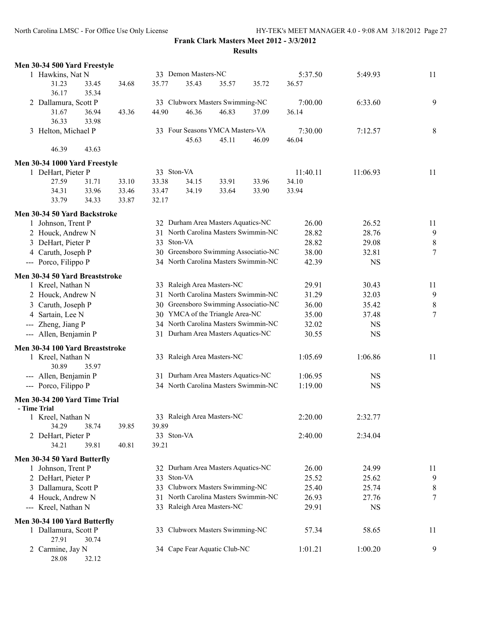North Carolina LMSC - For Office Use Only License HY-TEK's MEET MANAGER 4.0 - 9:08 AM 3/18/2012 Page 27

| Men 30-34 500 Yard Freestyle                 |       |            |                     |                                      |                                      |          |           |        |
|----------------------------------------------|-------|------------|---------------------|--------------------------------------|--------------------------------------|----------|-----------|--------|
| 1 Hawkins, Nat N                             |       |            | 33 Demon Masters-NC |                                      |                                      | 5:37.50  | 5:49.93   | 11     |
| 31.23<br>33.45<br>36.17<br>35.34             | 34.68 | 35.77      | 35.43               | 35.57                                | 35.72                                | 36.57    |           |        |
| 2 Dallamura, Scott P                         |       |            |                     | 33 Clubworx Masters Swimming-NC      |                                      | 7:00.00  | 6:33.60   | 9      |
| 31.67<br>36.94<br>36.33<br>33.98             | 43.36 | 44.90      | 46.36               | 46.83                                | 37.09                                | 36.14    |           |        |
| 3 Helton, Michael P                          |       |            |                     | 33 Four Seasons YMCA Masters-VA      |                                      | 7:30.00  | 7:12.57   | 8      |
| 46.39<br>43.63                               |       |            | 45.63               | 45.11                                | 46.09                                | 46.04    |           |        |
| Men 30-34 1000 Yard Freestyle                |       |            |                     |                                      |                                      |          |           |        |
| 1 DeHart, Pieter P                           |       | 33 Ston-VA |                     |                                      |                                      | 11:40.11 | 11:06.93  | 11     |
| 27.59<br>31.71                               | 33.10 | 33.38      | 34.15               | 33.91                                | 33.96                                | 34.10    |           |        |
| 33.96<br>34.31                               | 33.46 | 33.47      | 34.19               | 33.64                                | 33.90                                | 33.94    |           |        |
| 33.79<br>34.33                               | 33.87 | 32.17      |                     |                                      |                                      |          |           |        |
| Men 30-34 50 Yard Backstroke                 |       |            |                     |                                      |                                      |          |           |        |
| 1 Johnson, Trent P                           |       |            |                     | 32 Durham Area Masters Aquatics-NC   |                                      | 26.00    | 26.52     | 11     |
| 2 Houck, Andrew N                            |       |            |                     |                                      | 31 North Carolina Masters Swimmin-NC | 28.82    | 28.76     | 9      |
| 3 DeHart, Pieter P                           |       | 33 Ston-VA |                     |                                      |                                      | 28.82    | 29.08     | 8      |
| 4 Caruth, Joseph P                           |       |            |                     |                                      | 30 Greensboro Swimming Associatio-NC | 38.00    | 32.81     | $\tau$ |
| --- Porco, Filippo P                         |       |            |                     |                                      | 34 North Carolina Masters Swimmin-NC | 42.39    | <b>NS</b> |        |
| Men 30-34 50 Yard Breaststroke               |       |            |                     |                                      |                                      |          |           |        |
| 1 Kreel, Nathan N                            |       |            |                     | 33 Raleigh Area Masters-NC           |                                      | 29.91    | 30.43     | 11     |
| 2 Houck, Andrew N                            |       | 31         |                     | North Carolina Masters Swimmin-NC    |                                      | 31.29    | 32.03     | 9      |
| 3 Caruth, Joseph P                           |       |            |                     |                                      | 30 Greensboro Swimming Associatio-NC | 36.00    | 35.42     | 8      |
| 4 Sartain, Lee N                             |       |            |                     | 30 YMCA of the Triangle Area-NC      |                                      | 35.00    | 37.48     | $\tau$ |
| Zheng, Jiang P<br>$\qquad \qquad - \qquad -$ |       |            |                     | 34 North Carolina Masters Swimmin-NC |                                      | 32.02    | <b>NS</b> |        |
| --- Allen, Benjamin P                        |       |            |                     | 31 Durham Area Masters Aquatics-NC   |                                      | 30.55    | <b>NS</b> |        |
| Men 30-34 100 Yard Breaststroke              |       |            |                     |                                      |                                      |          |           |        |
| 1 Kreel, Nathan N<br>30.89<br>35.97          |       |            |                     | 33 Raleigh Area Masters-NC           |                                      | 1:05.69  | 1:06.86   | 11     |
| --- Allen, Benjamin P                        |       |            |                     | 31 Durham Area Masters Aquatics-NC   |                                      | 1:06.95  | <b>NS</b> |        |
| --- Porco, Filippo P                         |       |            |                     | 34 North Carolina Masters Swimmin-NC |                                      | 1:19.00  | NS        |        |
| Men 30-34 200 Yard Time Trial                |       |            |                     |                                      |                                      |          |           |        |
| - Time Trial                                 |       |            |                     |                                      |                                      |          |           |        |
| 1 Kreel, Nathan N                            |       |            |                     | 33 Raleigh Area Masters-NC           |                                      | 2:20.00  | 2:32.77   |        |
| 34.29<br>38.74                               | 39.85 | 39.89      |                     |                                      |                                      |          |           |        |
| 2 DeHart, Pieter P                           |       | 33 Ston-VA |                     |                                      |                                      | 2:40.00  | 2:34.04   |        |
| 39.81<br>34.21                               | 40.81 | 39.21      |                     |                                      |                                      |          |           |        |
| Men 30-34 50 Yard Butterfly                  |       |            |                     |                                      |                                      |          |           |        |
| 1 Johnson, Trent P                           |       |            |                     | 32 Durham Area Masters Aquatics-NC   |                                      | 26.00    | 24.99     | 11     |
| 2 DeHart, Pieter P                           |       | 33 Ston-VA |                     |                                      |                                      | 25.52    | 25.62     | 9      |
| 3 Dallamura, Scott P                         |       |            |                     | 33 Clubworx Masters Swimming-NC      |                                      | 25.40    | 25.74     | 8      |
| 4 Houck, Andrew N                            |       |            |                     | 31 North Carolina Masters Swimmin-NC |                                      | 26.93    | 27.76     | 7      |
| --- Kreel, Nathan N                          |       |            |                     | 33 Raleigh Area Masters-NC           |                                      | 29.91    | <b>NS</b> |        |
| Men 30-34 100 Yard Butterfly                 |       |            |                     |                                      |                                      |          |           |        |
| 1 Dallamura, Scott P<br>27.91<br>30.74       |       |            |                     | 33 Clubworx Masters Swimming-NC      |                                      | 57.34    | 58.65     | 11     |
| 2 Carmine, Jay N<br>32.12<br>28.08           |       |            |                     | 34 Cape Fear Aquatic Club-NC         |                                      | 1:01.21  | 1:00.20   | 9      |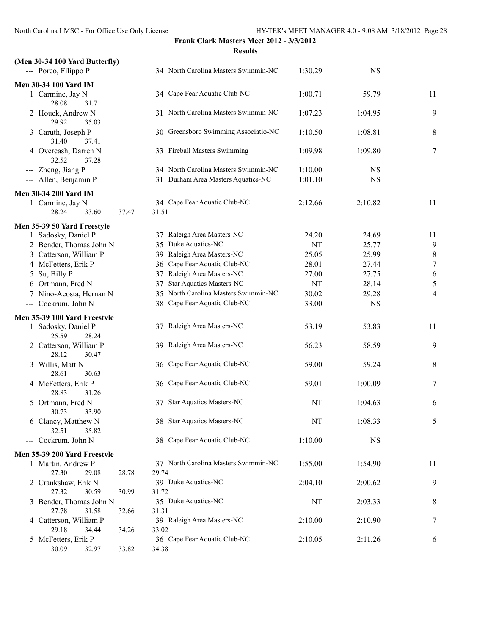| (Men 30-34 100 Yard Butterfly)            |                |                                      |           |           |                  |
|-------------------------------------------|----------------|--------------------------------------|-----------|-----------|------------------|
| --- Porco, Filippo P                      |                | 34 North Carolina Masters Swimmin-NC | 1:30.29   | <b>NS</b> |                  |
| <b>Men 30-34 100 Yard IM</b>              |                |                                      |           |           |                  |
| 1 Carmine, Jay N<br>28.08<br>31.71        |                | 34 Cape Fear Aquatic Club-NC         | 1:00.71   | 59.79     | 11               |
| 2 Houck, Andrew N<br>29.92<br>35.03       |                | 31 North Carolina Masters Swimmin-NC | 1:07.23   | 1:04.95   | 9                |
| 3 Caruth, Joseph P<br>31.40<br>37.41      |                | 30 Greensboro Swimming Associatio-NC | 1:10.50   | 1:08.81   | 8                |
| 4 Overcash, Darren N<br>32.52<br>37.28    |                | 33 Fireball Masters Swimming         | 1:09.98   | 1:09.80   | 7                |
| --- Zheng, Jiang P                        |                | 34 North Carolina Masters Swimmin-NC | 1:10.00   | <b>NS</b> |                  |
| --- Allen, Benjamin P                     |                | 31 Durham Area Masters Aquatics-NC   | 1:01.10   | <b>NS</b> |                  |
| Men 30-34 200 Yard IM                     |                |                                      |           |           |                  |
| 1 Carmine, Jay N                          |                | 34 Cape Fear Aquatic Club-NC         | 2:12.66   | 2:10.82   | 11               |
| 28.24<br>33.60                            | 31.51<br>37.47 |                                      |           |           |                  |
| Men 35-39 50 Yard Freestyle               |                |                                      |           |           |                  |
| 1 Sadosky, Daniel P                       |                | 37 Raleigh Area Masters-NC           | 24.20     | 24.69     | 11               |
| 2 Bender, Thomas John N                   |                | 35 Duke Aquatics-NC                  | <b>NT</b> | 25.77     | $\mathbf{9}$     |
| 3 Catterson, William P                    |                | 39 Raleigh Area Masters-NC           | 25.05     | 25.99     | $\boldsymbol{8}$ |
| 4 McFetters, Erik P                       |                | 36 Cape Fear Aquatic Club-NC         | 28.01     | 27.44     | $\boldsymbol{7}$ |
| 5 Su, Billy P                             |                | 37 Raleigh Area Masters-NC           | 27.00     | 27.75     | 6                |
| 6 Ortmann, Fred N                         | 37             | <b>Star Aquatics Masters-NC</b>      | <b>NT</b> | 28.14     | 5                |
| 7 Nino-Acosta, Hernan N                   |                | 35 North Carolina Masters Swimmin-NC | 30.02     | 29.28     | 4                |
| --- Cockrum, John N                       |                | 38 Cape Fear Aquatic Club-NC         | 33.00     | <b>NS</b> |                  |
| Men 35-39 100 Yard Freestyle              |                |                                      |           |           |                  |
| 1 Sadosky, Daniel P<br>25.59<br>28.24     |                | 37 Raleigh Area Masters-NC           | 53.19     | 53.83     | 11               |
| 2 Catterson, William P<br>28.12<br>30.47  |                | 39 Raleigh Area Masters-NC           | 56.23     | 58.59     | 9                |
| 3 Willis, Matt N<br>28.61<br>30.63        |                | 36 Cape Fear Aquatic Club-NC         | 59.00     | 59.24     | 8                |
| 4 McFetters, Erik P<br>28.83<br>31.26     |                | 36 Cape Fear Aquatic Club-NC         | 59.01     | 1:00.09   | 7                |
| 5 Ortmann, Fred N<br>30.73<br>33.90       |                | 37 Star Aquatics Masters-NC          | NT        | 1:04.63   | 6                |
| 6 Clancy, Matthew N<br>32.51<br>35.82     |                | 38 Star Aquatics Masters-NC          | NT        | 1:08.33   | 5                |
| --- Cockrum, John N                       |                | 38 Cape Fear Aquatic Club-NC         | 1:10.00   | <b>NS</b> |                  |
| Men 35-39 200 Yard Freestyle              |                |                                      |           |           |                  |
| 1 Martin, Andrew P<br>27.30<br>29.08      | 29.74<br>28.78 | 37 North Carolina Masters Swimmin-NC | 1:55.00   | 1:54.90   | 11               |
| 2 Crankshaw, Erik N<br>27.32<br>30.59     | 30.99<br>31.72 | 39 Duke Aquatics-NC                  | 2:04.10   | 2:00.62   | 9                |
| 3 Bender, Thomas John N<br>27.78<br>31.58 | 31.31<br>32.66 | 35 Duke Aquatics-NC                  | NT        | 2:03.33   | 8                |
| 4 Catterson, William P<br>29.18<br>34.44  | 33.02<br>34.26 | 39 Raleigh Area Masters-NC           | 2:10.00   | 2:10.90   | 7                |
| 5 McFetters, Erik P<br>30.09<br>32.97     | 34.38<br>33.82 | 36 Cape Fear Aquatic Club-NC         | 2:10.05   | 2:11.26   | 6                |
|                                           |                |                                      |           |           |                  |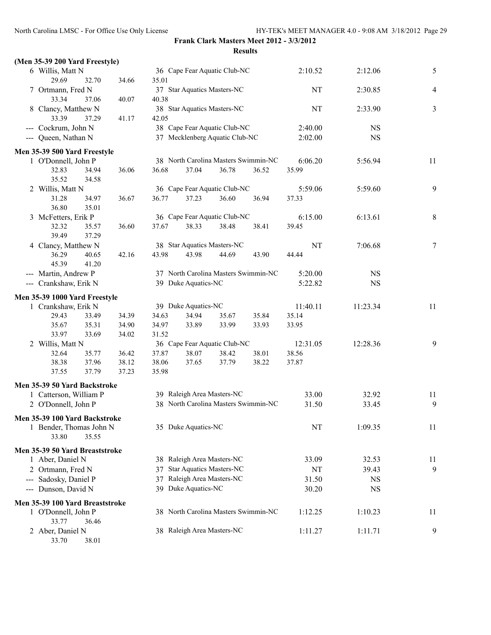| (Men 35-39 200 Yard Freestyle)  |       |       |                     |                                      |       |           |           |        |
|---------------------------------|-------|-------|---------------------|--------------------------------------|-------|-----------|-----------|--------|
| 6 Willis, Matt N                |       |       |                     | 36 Cape Fear Aquatic Club-NC         |       | 2:10.52   | 2:12.06   | 5      |
| 29.69<br>32.70                  | 34.66 | 35.01 |                     |                                      |       |           |           |        |
| 7 Ortmann, Fred N               |       |       |                     | 37 Star Aquatics Masters-NC          |       | <b>NT</b> | 2:30.85   | 4      |
| 33.34<br>37.06                  | 40.07 | 40.38 |                     |                                      |       |           |           |        |
| 8 Clancy, Matthew N             |       |       |                     | 38 Star Aquatics Masters-NC          |       | <b>NT</b> | 2:33.90   | 3      |
| 33.39<br>37.29                  | 41.17 | 42.05 |                     |                                      |       |           |           |        |
| --- Cockrum, John N             |       |       |                     | 38 Cape Fear Aquatic Club-NC         |       | 2:40.00   | NS        |        |
| --- Queen, Nathan N             |       |       |                     | 37 Mecklenberg Aquatic Club-NC       |       | 2:02.00   | <b>NS</b> |        |
|                                 |       |       |                     |                                      |       |           |           |        |
| Men 35-39 500 Yard Freestyle    |       |       |                     | 38 North Carolina Masters Swimmin-NC |       | 6:06.20   | 5:56.94   | 11     |
| 1 O'Donnell, John P             |       | 36.68 | 37.04               | 36.78                                | 36.52 | 35.99     |           |        |
| 32.83<br>34.94<br>35.52         | 36.06 |       |                     |                                      |       |           |           |        |
| 34.58                           |       |       |                     | 36 Cape Fear Aquatic Club-NC         |       |           |           |        |
| 2 Willis, Matt N                |       |       |                     |                                      |       | 5:59.06   | 5:59.60   | 9      |
| 31.28<br>34.97                  | 36.67 | 36.77 | 37.23               | 36.60                                | 36.94 | 37.33     |           |        |
| 36.80<br>35.01                  |       |       |                     |                                      |       |           |           |        |
| 3 McFetters, Erik P             |       |       |                     | 36 Cape Fear Aquatic Club-NC         |       | 6:15.00   | 6:13.61   | 8      |
| 32.32<br>35.57                  | 36.60 | 37.67 | 38.33               | 38.48                                | 38.41 | 39.45     |           |        |
| 39.49<br>37.29                  |       |       |                     |                                      |       |           |           |        |
| 4 Clancy, Matthew N             |       |       |                     | 38 Star Aquatics Masters-NC          |       | <b>NT</b> | 7:06.68   | $\tau$ |
| 36.29<br>40.65                  | 42.16 | 43.98 | 43.98               | 44.69                                | 43.90 | 44.44     |           |        |
| 45.39<br>41.20                  |       |       |                     |                                      |       |           |           |        |
| --- Martin, Andrew P            |       |       |                     | 37 North Carolina Masters Swimmin-NC |       | 5:20.00   | NS        |        |
| --- Crankshaw, Erik N           |       |       | 39 Duke Aquatics-NC |                                      |       | 5:22.82   | NS        |        |
| Men 35-39 1000 Yard Freestyle   |       |       |                     |                                      |       |           |           |        |
| 1 Crankshaw, Erik N             |       |       | 39 Duke Aquatics-NC |                                      |       | 11:40.11  | 11:23.34  | 11     |
| 29.43<br>33.49                  | 34.39 | 34.63 | 34.94               | 35.67                                | 35.84 | 35.14     |           |        |
| 35.67<br>35.31                  | 34.90 | 34.97 | 33.89               | 33.99                                | 33.93 | 33.95     |           |        |
| 33.97<br>33.69                  | 34.02 | 31.52 |                     |                                      |       |           |           |        |
| 2 Willis, Matt N                |       |       |                     | 36 Cape Fear Aquatic Club-NC         |       | 12:31.05  | 12:28.36  | 9      |
| 32.64<br>35.77                  | 36.42 | 37.87 | 38.07               | 38.42                                | 38.01 | 38.56     |           |        |
| 38.38<br>37.96                  | 38.12 | 38.06 | 37.65               | 37.79                                | 38.22 | 37.87     |           |        |
| 37.79<br>37.55                  | 37.23 | 35.98 |                     |                                      |       |           |           |        |
|                                 |       |       |                     |                                      |       |           |           |        |
| Men 35-39 50 Yard Backstroke    |       |       |                     |                                      |       |           |           |        |
| 1 Catterson, William P          |       |       |                     | 39 Raleigh Area Masters-NC           |       | 33.00     | 32.92     | 11     |
| 2 O'Donnell, John P             |       |       |                     | 38 North Carolina Masters Swimmin-NC |       | 31.50     | 33.45     | 9      |
| Men 35-39 100 Yard Backstroke   |       |       |                     |                                      |       |           |           |        |
| 1 Bender, Thomas John N         |       |       | 35 Duke Aquatics-NC |                                      |       | NT        | 1:09.35   | 11     |
| 33.80<br>35.55                  |       |       |                     |                                      |       |           |           |        |
| Men 35-39 50 Yard Breaststroke  |       |       |                     |                                      |       |           |           |        |
|                                 |       |       |                     | 38 Raleigh Area Masters-NC           |       | 33.09     |           |        |
| 1 Aber, Daniel N                |       |       |                     |                                      |       |           | 32.53     | 11     |
| 2 Ortmann, Fred N               |       |       |                     | 37 Star Aquatics Masters-NC          |       | NT        | 39.43     | 9      |
| --- Sadosky, Daniel P           |       |       |                     | 37 Raleigh Area Masters-NC           |       | 31.50     | <b>NS</b> |        |
| --- Dunson, David N             |       |       | 39 Duke Aquatics-NC |                                      |       | 30.20     | <b>NS</b> |        |
| Men 35-39 100 Yard Breaststroke |       |       |                     |                                      |       |           |           |        |
| 1 O'Donnell, John P             |       |       |                     | 38 North Carolina Masters Swimmin-NC |       | 1:12.25   | 1:10.23   | 11     |
| 33.77<br>36.46                  |       |       |                     |                                      |       |           |           |        |
| 2 Aber, Daniel N                |       |       |                     | 38 Raleigh Area Masters-NC           |       | 1:11.27   | 1:11.71   | 9      |
| 33.70<br>38.01                  |       |       |                     |                                      |       |           |           |        |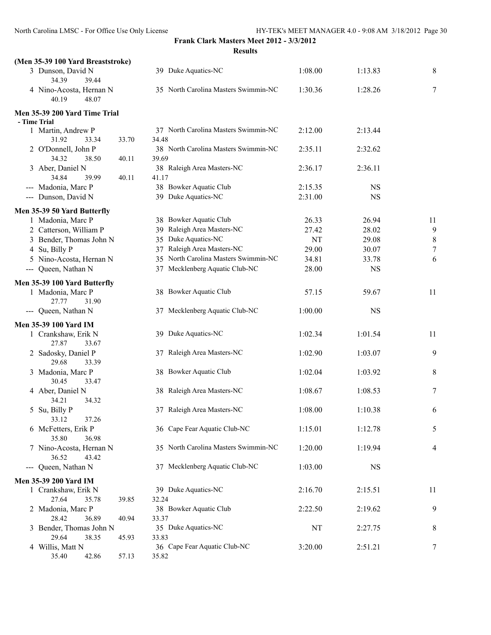| (Men 35-39 100 Yard Breaststroke)                  |                                               |         |           |                  |
|----------------------------------------------------|-----------------------------------------------|---------|-----------|------------------|
| 3 Dunson, David N<br>34.39<br>39.44                | 39 Duke Aquatics-NC                           | 1:08.00 | 1:13.83   | 8                |
| 4 Nino-Acosta, Hernan N<br>48.07<br>40.19          | 35 North Carolina Masters Swimmin-NC          | 1:30.36 | 1:28.26   | 7                |
| Men 35-39 200 Yard Time Trial<br>- Time Trial      |                                               |         |           |                  |
| 1 Martin, Andrew P<br>31.92<br>33.34<br>33.70      | 37 North Carolina Masters Swimmin-NC<br>34.48 | 2:12.00 | 2:13.44   |                  |
| 2 O'Donnell, John P<br>34.32<br>38.50<br>40.11     | 38 North Carolina Masters Swimmin-NC<br>39.69 | 2:35.11 | 2:32.62   |                  |
| 3 Aber, Daniel N<br>34.84<br>39.99<br>40.11        | 38 Raleigh Area Masters-NC<br>41.17           | 2:36.17 | 2:36.11   |                  |
| --- Madonia, Marc P                                | 38 Bowker Aquatic Club                        | 2:15.35 | <b>NS</b> |                  |
| --- Dunson, David N                                | 39 Duke Aquatics-NC                           | 2:31.00 | <b>NS</b> |                  |
|                                                    |                                               |         |           |                  |
| Men 35-39 50 Yard Butterfly<br>1 Madonia, Marc P   | 38 Bowker Aquatic Club                        | 26.33   | 26.94     | 11               |
| 2 Catterson, William P                             | 39 Raleigh Area Masters-NC                    | 27.42   | 28.02     | 9                |
| 3 Bender, Thomas John N                            | 35 Duke Aquatics-NC                           | NT      | 29.08     | $\,$ $\,$        |
| 4 Su, Billy P                                      | 37 Raleigh Area Masters-NC                    | 29.00   | 30.07     | $\boldsymbol{7}$ |
| 5 Nino-Acosta, Hernan N                            | 35 North Carolina Masters Swimmin-NC          | 34.81   | 33.78     | 6                |
| --- Queen, Nathan N                                | 37 Mecklenberg Aquatic Club-NC                | 28.00   | <b>NS</b> |                  |
|                                                    |                                               |         |           |                  |
| Men 35-39 100 Yard Butterfly                       |                                               |         |           |                  |
| 1 Madonia, Marc P<br>27.77<br>31.90                | 38 Bowker Aquatic Club                        | 57.15   | 59.67     | 11               |
| --- Queen, Nathan N                                | 37 Mecklenberg Aquatic Club-NC                | 1:00.00 | <b>NS</b> |                  |
| Men 35-39 100 Yard IM                              |                                               |         |           |                  |
| 1 Crankshaw, Erik N<br>27.87<br>33.67              | 39 Duke Aquatics-NC                           | 1:02.34 | 1:01.54   | 11               |
| 2 Sadosky, Daniel P<br>29.68<br>33.39              | 37 Raleigh Area Masters-NC                    | 1:02.90 | 1:03.07   | 9                |
| 3 Madonia, Marc P<br>30.45<br>33.47                | 38 Bowker Aquatic Club                        | 1:02.04 | 1:03.92   | 8                |
| 4 Aber, Daniel N<br>34.21<br>34.32                 | 38 Raleigh Area Masters-NC                    | 1:08.67 | 1:08.53   | 7                |
| 5 Su, Billy P<br>33.12<br>37.26                    | 37 Raleigh Area Masters-NC                    | 1:08.00 | 1:10.38   | 6                |
| 6 McFetters, Erik P<br>35.80<br>36.98              | 36 Cape Fear Aquatic Club-NC                  | 1:15.01 | 1:12.78   | 5                |
| 7 Nino-Acosta, Hernan N<br>36.52<br>43.42          | 35 North Carolina Masters Swimmin-NC          | 1:20.00 | 1:19.94   | 4                |
| --- Queen, Nathan N                                | 37 Mecklenberg Aquatic Club-NC                | 1:03.00 | <b>NS</b> |                  |
| Men 35-39 200 Yard IM                              |                                               |         |           |                  |
| 1 Crankshaw, Erik N<br>27.64<br>35.78<br>39.85     | 39 Duke Aquatics-NC<br>32.24                  | 2:16.70 | 2:15.51   | 11               |
| 2 Madonia, Marc P<br>28.42<br>36.89<br>40.94       | 38 Bowker Aquatic Club<br>33.37               | 2:22.50 | 2:19.62   | 9                |
| 3 Bender, Thomas John N<br>29.64<br>38.35<br>45.93 | 35 Duke Aquatics-NC<br>33.83                  | NT      | 2:27.75   | 8                |
| 4 Willis, Matt N<br>35.40<br>42.86<br>57.13        | 36 Cape Fear Aquatic Club-NC<br>35.82         | 3:20.00 | 2:51.21   | 7                |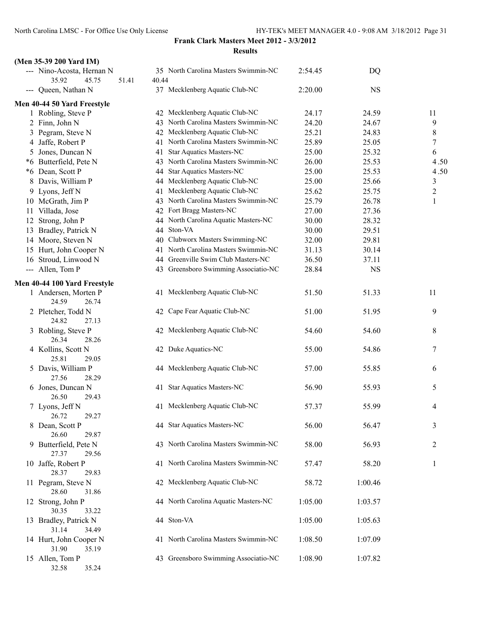#### **(Men 35-39 200 Yard IM)**

| $(1)$ and $25 - 37 = 00$ and the $(1)$      |                |                                      |         |           |                         |
|---------------------------------------------|----------------|--------------------------------------|---------|-----------|-------------------------|
| --- Nino-Acosta, Hernan N<br>35.92<br>45.75 | 51.41<br>40.44 | 35 North Carolina Masters Swimmin-NC | 2:54.45 | DQ        |                         |
| --- Queen, Nathan N                         |                | 37 Mecklenberg Aquatic Club-NC       | 2:20.00 | <b>NS</b> |                         |
| Men 40-44 50 Yard Freestyle                 |                |                                      |         |           |                         |
| 1 Robling, Steve P                          |                | 42 Mecklenberg Aquatic Club-NC       | 24.17   | 24.59     | 11                      |
| 2 Finn, John N                              |                | 43 North Carolina Masters Swimmin-NC | 24.20   | 24.67     | 9                       |
| 3 Pegram, Steve N                           |                | 42 Mecklenberg Aquatic Club-NC       | 25.21   | 24.83     | 8                       |
| 4 Jaffe, Robert P                           |                | 41 North Carolina Masters Swimmin-NC | 25.89   | 25.05     | 7                       |
| 5 Jones, Duncan N                           | 41             | <b>Star Aquatics Masters-NC</b>      | 25.00   | 25.32     | 6                       |
| *6 Butterfield, Pete N                      |                | 43 North Carolina Masters Swimmin-NC | 26.00   | 25.53     | 4.50                    |
| *6 Dean, Scott P                            | 44             | <b>Star Aquatics Masters-NC</b>      | 25.00   | 25.53     | 4.50                    |
| 8 Davis, William P                          |                | 44 Mecklenberg Aquatic Club-NC       | 25.00   | 25.66     | 3                       |
| 9 Lyons, Jeff N                             | 41             | Mecklenberg Aquatic Club-NC          | 25.62   | 25.75     | $\overline{\mathbf{c}}$ |
| 10 McGrath, Jim P                           |                | 43 North Carolina Masters Swimmin-NC | 25.79   | 26.78     | 1                       |
| 11 Villada, Jose                            |                | 42 Fort Bragg Masters-NC             | 27.00   | 27.36     |                         |
| 12 Strong, John P                           | 44             | North Carolina Aquatic Masters-NC    | 30.00   | 28.32     |                         |
| 13 Bradley, Patrick N                       | 44             | Ston-VA                              | 30.00   | 29.51     |                         |
| 14 Moore, Steven N                          |                | 40 Clubworx Masters Swimming-NC      | 32.00   | 29.81     |                         |
| 15 Hurt, John Cooper N                      | 41             | North Carolina Masters Swimmin-NC    | 31.13   | 30.14     |                         |
| 16 Stroud, Linwood N                        |                | 44 Greenville Swim Club Masters-NC   | 36.50   | 37.11     |                         |
|                                             |                |                                      |         |           |                         |
| --- Allen, Tom P                            |                | 43 Greensboro Swimming Associatio-NC | 28.84   | <b>NS</b> |                         |
| Men 40-44 100 Yard Freestyle                |                |                                      |         |           |                         |
| 1 Andersen, Morten P<br>24.59<br>26.74      |                | 41 Mecklenberg Aquatic Club-NC       | 51.50   | 51.33     | 11                      |
| 2 Pletcher, Todd N<br>24.82<br>27.13        |                | 42 Cape Fear Aquatic Club-NC         | 51.00   | 51.95     | 9                       |
| 3 Robling, Steve P<br>26.34<br>28.26        |                | 42 Mecklenberg Aquatic Club-NC       | 54.60   | 54.60     | 8                       |
| 4 Kollins, Scott N<br>25.81<br>29.05        |                | 42 Duke Aquatics-NC                  | 55.00   | 54.86     | 7                       |
| 5 Davis, William P<br>27.56<br>28.29        |                | 44 Mecklenberg Aquatic Club-NC       | 57.00   | 55.85     | 6                       |
| 6 Jones, Duncan N<br>26.50<br>29.43         |                | 41 Star Aquatics Masters-NC          | 56.90   | 55.93     | 5                       |
| 7 Lyons, Jeff N<br>26.72<br>29.27           |                | 41 Mecklenberg Aquatic Club-NC       | 57.37   | 55.99     | 4                       |
| 8 Dean, Scott P<br>26.60<br>29.87           |                | 44 Star Aquatics Masters-NC          | 56.00   | 56.47     | 3                       |
| 9 Butterfield, Pete N<br>27.37<br>29.56     |                | 43 North Carolina Masters Swimmin-NC | 58.00   | 56.93     | 2                       |
| 10 Jaffe, Robert P<br>28.37<br>29.83        |                | 41 North Carolina Masters Swimmin-NC | 57.47   | 58.20     | $\mathbf{1}$            |
| 11 Pegram, Steve N<br>28.60<br>31.86        |                | 42 Mecklenberg Aquatic Club-NC       | 58.72   | 1:00.46   |                         |
| 12 Strong, John P<br>30.35<br>33.22         |                | 44 North Carolina Aquatic Masters-NC | 1:05.00 | 1:03.57   |                         |
| 13 Bradley, Patrick N<br>31.14<br>34.49     |                | 44 Ston-VA                           | 1:05.00 | 1:05.63   |                         |
| 14 Hurt, John Cooper N<br>35.19<br>31.90    |                | 41 North Carolina Masters Swimmin-NC | 1:08.50 | 1:07.09   |                         |
| 15 Allen, Tom P<br>32.58<br>35.24           |                | 43 Greensboro Swimming Associatio-NC | 1:08.90 | 1:07.82   |                         |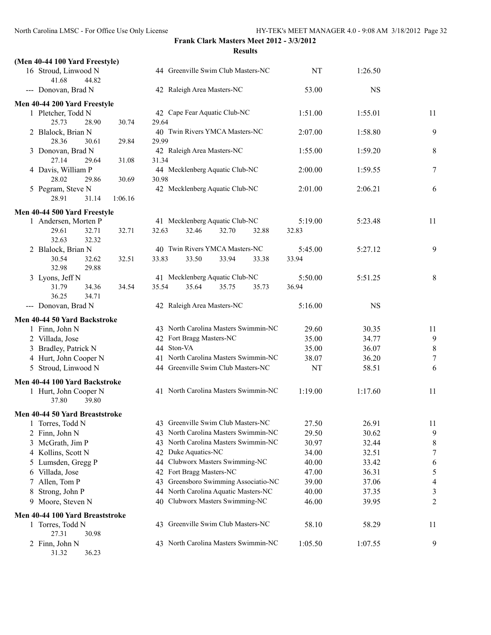| (Men 40-44 100 Yard Freestyle)                |                                                                         |                |                |                     |
|-----------------------------------------------|-------------------------------------------------------------------------|----------------|----------------|---------------------|
| 16 Stroud, Linwood N<br>41.68<br>44.82        | 44 Greenville Swim Club Masters-NC                                      | NT             | 1:26.50        |                     |
| --- Donovan, Brad N                           | 42 Raleigh Area Masters-NC                                              | 53.00          | <b>NS</b>      |                     |
| Men 40-44 200 Yard Freestyle                  |                                                                         |                |                |                     |
| 1 Pletcher, Todd N                            | 42 Cape Fear Aquatic Club-NC                                            | 1:51.00        | 1:55.01        | 11                  |
| 25.73<br>28.90<br>30.74                       | 29.64                                                                   |                |                |                     |
| 2 Blalock, Brian N                            | 40 Twin Rivers YMCA Masters-NC                                          | 2:07.00        | 1:58.80        | 9                   |
| 28.36<br>30.61<br>29.84                       | 29.99                                                                   |                |                |                     |
| 3 Donovan, Brad N<br>27.14<br>31.08<br>29.64  | 42 Raleigh Area Masters-NC<br>31.34                                     | 1:55.00        | 1:59.20        | 8                   |
| 4 Davis, William P                            | 44 Mecklenberg Aquatic Club-NC                                          | 2:00.00        | 1:59.55        | $\overline{7}$      |
| 28.02<br>29.86<br>30.69                       | 30.98                                                                   |                |                |                     |
| 5 Pegram, Steve N                             | 42 Mecklenberg Aquatic Club-NC                                          | 2:01.00        | 2:06.21        | 6                   |
| 28.91<br>31.14<br>1:06.16                     |                                                                         |                |                |                     |
| Men 40-44 500 Yard Freestyle                  |                                                                         |                |                |                     |
| 1 Andersen, Morten P                          | 41 Mecklenberg Aquatic Club-NC                                          | 5:19.00        | 5:23.48        | 11                  |
| 32.71<br>32.71<br>29.61                       | 32.46<br>32.70<br>32.63<br>32.88                                        | 32.83          |                |                     |
| 32.32<br>32.63                                |                                                                         |                |                |                     |
| 2 Blalock, Brian N                            | 40 Twin Rivers YMCA Masters-NC                                          | 5:45.00        | 5:27.12        | 9                   |
| 30.54<br>32.62<br>32.51                       | 33.50<br>33.83<br>33.94<br>33.38                                        | 33.94          |                |                     |
| 32.98<br>29.88                                |                                                                         |                |                |                     |
| 3 Lyons, Jeff N                               | 41 Mecklenberg Aquatic Club-NC                                          | 5:50.00        | 5:51.25        | 8                   |
| 31.79<br>34.36<br>34.54                       | 35.64<br>35.75<br>35.54<br>35.73                                        | 36.94          |                |                     |
| 36.25<br>34.71                                | 42 Raleigh Area Masters-NC                                              | 5:16.00        | <b>NS</b>      |                     |
| --- Donovan, Brad N                           |                                                                         |                |                |                     |
| Men 40-44 50 Yard Backstroke                  |                                                                         |                |                |                     |
| 1 Finn, John N                                | 43 North Carolina Masters Swimmin-NC                                    | 29.60          | 30.35          | 11                  |
| 2 Villada, Jose                               | 42 Fort Bragg Masters-NC<br>44 Ston-VA                                  | 35.00<br>35.00 | 34.77<br>36.07 | 9                   |
| 3 Bradley, Patrick N<br>4 Hurt, John Cooper N | 41 North Carolina Masters Swimmin-NC                                    | 38.07          | 36.20          | 8<br>$\overline{7}$ |
| 5 Stroud, Linwood N                           | 44 Greenville Swim Club Masters-NC                                      | <b>NT</b>      | 58.51          | 6                   |
|                                               |                                                                         |                |                |                     |
| Men 40-44 100 Yard Backstroke                 |                                                                         |                |                |                     |
| 1 Hurt, John Cooper N<br>37.80<br>39.80       | 41 North Carolina Masters Swimmin-NC                                    | 1:19.00        | 1:17.60        | 11                  |
|                                               |                                                                         |                |                |                     |
| Men 40-44 50 Yard Breaststroke                |                                                                         |                |                |                     |
| 1 Torres, Todd N                              | 43 Greenville Swim Club Masters-NC<br>North Carolina Masters Swimmin-NC | 27.50          | 26.91          | 11                  |
| 2 Finn, John N                                | 43<br>43 North Carolina Masters Swimmin-NC                              | 29.50<br>30.97 | 30.62<br>32.44 | 9                   |
| 3 McGrath, Jim P<br>4 Kollins, Scott N        | 42 Duke Aquatics-NC                                                     | 34.00          | 32.51          | 8<br>7              |
| 5 Lumsden, Gregg P                            | Clubworx Masters Swimming-NC<br>44                                      | 40.00          | 33.42          | 6                   |
| 6 Villada, Jose                               | Fort Bragg Masters-NC<br>42                                             | 47.00          | 36.31          | 5                   |
| 7 Allen, Tom P                                | Greensboro Swimming Associatio-NC<br>43                                 | 39.00          | 37.06          | $\overline{4}$      |
| 8 Strong, John P                              | 44 North Carolina Aquatic Masters-NC                                    | 40.00          | 37.35          | 3                   |
| 9 Moore, Steven N                             | Clubworx Masters Swimming-NC<br>40                                      | 46.00          | 39.95          | $\overline{c}$      |
| Men 40-44 100 Yard Breaststroke               |                                                                         |                |                |                     |
| 1 Torres, Todd N                              | 43 Greenville Swim Club Masters-NC                                      | 58.10          | 58.29          | 11                  |
| 27.31<br>30.98                                |                                                                         |                |                |                     |
| 2 Finn, John N                                | 43 North Carolina Masters Swimmin-NC                                    | 1:05.50        | 1:07.55        | 9                   |
| 31.32<br>36.23                                |                                                                         |                |                |                     |
|                                               |                                                                         |                |                |                     |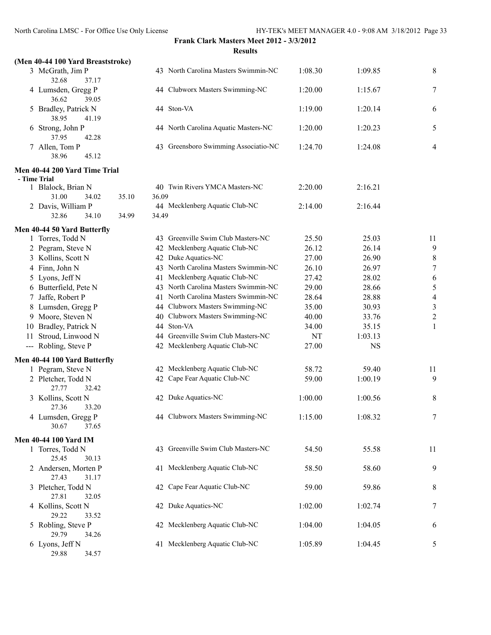## **Frank Clark Masters Meet 2012 - 3/3/2012**

| North Carolina LMSC - For Office Use Only License |                | Frank Clark Masters Meet 2012 - 3/3/2012 |         | HY-TEK's MEET MANAGER 4.0 - 9:08 AM 3/18/2012 Page |                |
|---------------------------------------------------|----------------|------------------------------------------|---------|----------------------------------------------------|----------------|
|                                                   |                | <b>Results</b>                           |         |                                                    |                |
| (Men 40-44 100 Yard Breaststroke)                 |                |                                          |         |                                                    |                |
| 3 McGrath, Jim P<br>32.68<br>37.17                |                | 43 North Carolina Masters Swimmin-NC     | 1:08.30 | 1:09.85                                            | 8              |
| 4 Lumsden, Gregg P<br>36.62<br>39.05              |                | 44 Clubworx Masters Swimming-NC          | 1:20.00 | 1:15.67                                            | 7              |
| 5 Bradley, Patrick N<br>38.95<br>41.19            |                | 44 Ston-VA                               | 1:19.00 | 1:20.14                                            | 6              |
| 6 Strong, John P<br>37.95<br>42.28                |                | 44 North Carolina Aquatic Masters-NC     | 1:20.00 | 1:20.23                                            | 5              |
| 7 Allen, Tom P<br>38.96<br>45.12                  |                | 43 Greensboro Swimming Associatio-NC     | 1:24.70 | 1:24.08                                            | 4              |
| Men 40-44 200 Yard Time Trial                     |                |                                          |         |                                                    |                |
| - Time Trial                                      |                |                                          |         |                                                    |                |
| 1 Blalock, Brian N<br>31.00<br>34.02              | 35.10<br>36.09 | 40 Twin Rivers YMCA Masters-NC           | 2:20.00 | 2:16.21                                            |                |
| 2 Davis, William P                                |                | 44 Mecklenberg Aquatic Club-NC           | 2:14.00 | 2:16.44                                            |                |
| 32.86<br>34.10                                    | 34.99<br>34.49 |                                          |         |                                                    |                |
| Men 40-44 50 Yard Butterfly                       |                |                                          |         |                                                    |                |
| 1 Torres, Todd N                                  |                | 43 Greenville Swim Club Masters-NC       | 25.50   | 25.03                                              | 11             |
| 2 Pegram, Steve N                                 |                | 42 Mecklenberg Aquatic Club-NC           | 26.12   | 26.14                                              | 9              |
| 3 Kollins, Scott N                                |                | 42 Duke Aquatics-NC                      | 27.00   | 26.90                                              | 8              |
| 4 Finn, John N                                    |                | 43 North Carolina Masters Swimmin-NC     | 26.10   | 26.97                                              | $\overline{7}$ |
| 5 Lyons, Jeff N                                   |                | 41 Mecklenberg Aquatic Club-NC           | 27.42   | 28.02                                              | 6              |
| 6 Butterfield, Pete N                             |                | 43 North Carolina Masters Swimmin-NC     | 29.00   | 28.66                                              | 5              |
| 7 Jaffe, Robert P                                 |                | 41 North Carolina Masters Swimmin-NC     | 28.64   | 28.88                                              | $\overline{4}$ |
| 8 Lumsden, Gregg P                                |                | 44 Clubworx Masters Swimming-NC          | 35.00   | 30.93                                              | $\mathfrak{Z}$ |
| 9 Moore, Steven N                                 |                | 40 Clubworx Masters Swimming-NC          | 40.00   | 33.76                                              | $\overline{c}$ |
| 10 Bradley, Patrick N                             |                | 44 Ston-VA                               | 34.00   | 35.15                                              | 1              |
| Stroud, Linwood N<br>11.                          |                | 44 Greenville Swim Club Masters-NC       | NT      | 1:03.13                                            |                |
| --- Robling, Steve P                              |                | 42 Mecklenberg Aquatic Club-NC           | 27.00   | <b>NS</b>                                          |                |
| Men 40-44 100 Yard Butterfly                      |                |                                          |         |                                                    |                |
| 1 Pegram, Steve N                                 |                | 42 Mecklenberg Aquatic Club-NC           | 58.72   | 59.40                                              | 11             |
| 2 Pletcher, Todd N                                |                | 42 Cape Fear Aquatic Club-NC             | 59.00   | 1:00.19                                            | 9              |
| 27.77<br>32.42                                    |                |                                          |         |                                                    |                |
| 3 Kollins, Scott N<br>27.36<br>33.20              |                | 42 Duke Aquatics-NC                      | 1:00.00 | 1:00.56                                            | 8              |
| 4 Lumsden, Gregg P<br>30.67<br>37.65              |                | 44 Clubworx Masters Swimming-NC          | 1:15.00 | 1:08.32                                            | 7              |
|                                                   |                |                                          |         |                                                    |                |
| <b>Men 40-44 100 Yard IM</b><br>1 Torres, Todd N  |                | 43 Greenville Swim Club Masters-NC       | 54.50   | 55.58                                              | 11             |
| 25.45<br>30.13                                    |                |                                          |         |                                                    |                |
| 2 Andersen, Morten P<br>27.43<br>31.17            |                | 41 Mecklenberg Aquatic Club-NC           | 58.50   | 58.60                                              | 9              |
| 3 Pletcher, Todd N<br>27.81<br>32.05              |                | 42 Cape Fear Aquatic Club-NC             | 59.00   | 59.86                                              | 8              |
| 4 Kollins, Scott N<br>29.22<br>33.52              |                | 42 Duke Aquatics-NC                      | 1:02.00 | 1:02.74                                            | 7              |

29.88 34.57

| 5 Lyons, Jeff N            |    | 41 Mecklenberg Aquatic Club-NC       | 27.42   | 28.02     | 6              |
|----------------------------|----|--------------------------------------|---------|-----------|----------------|
| 6 Butterfield, Pete N      |    | 43 North Carolina Masters Swimmin-NC | 29.00   | 28.66     | 5              |
| 7 Jaffe, Robert P          |    | 41 North Carolina Masters Swimmin-NC | 28.64   | 28.88     | $\overline{4}$ |
| 8 Lumsden, Gregg P         |    | 44 Clubworx Masters Swimming-NC      | 35.00   | 30.93     | $\mathfrak{Z}$ |
| 9 Moore, Steven N          | 40 | Clubworx Masters Swimming-NC         | 40.00   | 33.76     | $\overline{c}$ |
| 10 Bradley, Patrick N      |    | 44 Ston-VA                           | 34.00   | 35.15     | 1              |
| 11 Stroud, Linwood N       |    | 44 Greenville Swim Club Masters-NC   | NT      | 1:03.13   |                |
| --- Robling, Steve P       |    | 42 Mecklenberg Aquatic Club-NC       | 27.00   | <b>NS</b> |                |
| n 40-44 100 Yard Butterfly |    |                                      |         |           |                |
| 1 Pegram, Steve N          |    | 42 Mecklenberg Aquatic Club-NC       | 58.72   | 59.40     | 11             |
| 2 Pletcher, Todd N         | 42 | Cape Fear Aquatic Club-NC            | 59.00   | 1:00.19   | 9              |
| 27.77<br>32.42             |    |                                      |         |           |                |
| 3 Kollins, Scott N         |    | 42 Duke Aquatics-NC                  | 1:00.00 | 1:00.56   | $\,$ $\,$      |
| 27.36<br>33.20             |    |                                      |         |           |                |
| 4 Lumsden, Gregg P         |    | 44 Clubworx Masters Swimming-NC      | 1:15.00 | 1:08.32   | $\tau$         |
| 30.67<br>37.65             |    |                                      |         |           |                |
| n 40-44 100 Yard IM        |    |                                      |         |           |                |
| 1 Torres, Todd N           |    | 43 Greenville Swim Club Masters-NC   | 54.50   | 55.58     | 11             |
| 25.45<br>30.13             |    |                                      |         |           |                |
| 2 Andersen, Morten P       |    | 41 Mecklenberg Aquatic Club-NC       | 58.50   | 58.60     | 9              |
| 27.43<br>31.17             |    |                                      |         |           |                |
| 3 Pletcher, Todd N         |    | 42 Cape Fear Aquatic Club-NC         | 59.00   | 59.86     | $\,$ 8 $\,$    |
| 27.81<br>32.05             |    |                                      |         |           |                |
| 4 Kollins, Scott N         |    | 42 Duke Aquatics-NC                  | 1:02.00 | 1:02.74   | $\tau$         |
| 29.22<br>33.52             |    |                                      |         |           |                |
| 5 Robling, Steve P         |    | 42 Mecklenberg Aquatic Club-NC       | 1:04.00 | 1:04.05   | 6              |
| 29.79<br>34.26             |    |                                      |         |           |                |
| 6 Lyons, Jeff N            |    | 41 Mecklenberg Aquatic Club-NC       | 1:05.89 | 1:04.45   | 5              |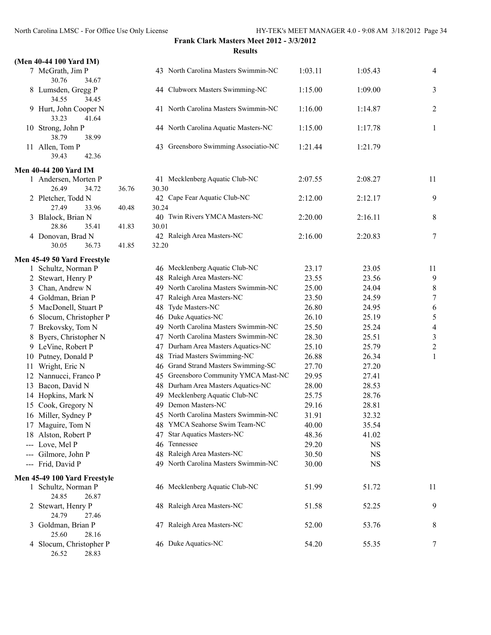## **Frank Clark Masters Meet 2012 - 3/3/2012**

### North Carolina LMSC - For Office Use Only License HY-TEK's MEET MANAGER 4.0 - 9:08 AM 3/18/2012 Page 34 **Results (Men 40-44 100 Yard IM)** 30.76 34.67 34.55 34.45 33.23 41.64  $10$  Strong, John P  $4$ 38.79 38.99  $11$  Allen, Tom P 43 39.43 42.36 **Men 40-44 200 Yard IM** 1 Andersen, Morten P 41 26.49 34.72 36.76 30 27.49 33.96 40.48 30.24 28.86 35.41 41.83 30 4 Donovan, Brad N 4 30.05 36.73 41.85 32.20 **Men 45-49 50 Yard Freestyle** 1 Schultz, Norman P 4 3 Chan, Andrew N 49 4 Goldman, Brian P 47 4 5 MacDonell, Stuart P 4 6 Slocum, Christopher P 4 7 Brekovsky, Tom N 49 8 Byers, Christopher N 47 4 9 LeVine, Robert P 47 4 10 Putney, Donald P 48 11 Wright, Eric N 46 12 Nannucci, Franco P 45 45 45 45 45 Greensboro Community 45 45  $\mu$ 13 Bacon, David N 48 14 Hopkins, Mark N 49 15 Cook, Gregory N 49 Demon Masters-NC 29.16 28.81 16 Miller, Sydney P 45 4 17 Maguire, Tom N 4 18 Alston, Robert P 4  $-$ -- Love, Mel P 4  $-$ -- Gilmore, John P  $48$  $--$  Frid, David P  $4$ **Men 45-49 100 Yard Freestyle** 1 Schultz, Norman P 4 24.85 26.87 24.79 27.46 25.60 28.16 4 Slocum, Christopher P 4 26.52 28.83

| 7 McGrath, Jim P<br>30.76<br>34.67        |       |       | 43 North Carolina Masters Swimmin-NC | 1:03.11 | 1:05.43   | $\overline{4}$           |
|-------------------------------------------|-------|-------|--------------------------------------|---------|-----------|--------------------------|
| 8 Lumsden, Gregg P<br>34.55<br>34.45      |       |       | 44 Clubworx Masters Swimming-NC      | 1:15.00 | 1:09.00   | 3                        |
| 9 Hurt, John Cooper N<br>33.23<br>41.64   |       |       | 41 North Carolina Masters Swimmin-NC | 1:16.00 | 1:14.87   | $\overline{2}$           |
| 0 Strong, John P<br>38.79<br>38.99        |       |       | 44 North Carolina Aquatic Masters-NC | 1:15.00 | 1:17.78   | 1                        |
| 1 Allen, Tom P<br>39.43<br>42.36          |       |       | 43 Greensboro Swimming Associatio-NC | 1:21.44 | 1:21.79   |                          |
| 40-44 200 Yard IM                         |       |       |                                      |         |           |                          |
| 1 Andersen, Morten P                      |       |       | 41 Mecklenberg Aquatic Club-NC       | 2:07.55 | 2:08.27   | 11                       |
| 26.49<br>34.72                            | 36.76 | 30.30 |                                      |         |           |                          |
| 2 Pletcher, Todd N                        |       |       | 42 Cape Fear Aquatic Club-NC         | 2:12.00 | 2:12.17   | 9                        |
| 27.49<br>33.96                            | 40.48 | 30.24 |                                      |         |           |                          |
| 3 Blalock, Brian N                        |       |       | 40 Twin Rivers YMCA Masters-NC       | 2:20.00 | 2:16.11   | 8                        |
| 28.86<br>35.41                            | 41.83 | 30.01 |                                      |         |           |                          |
| 4 Donovan, Brad N<br>30.05<br>36.73       | 41.85 | 32.20 | 42 Raleigh Area Masters-NC           | 2:16.00 | 2:20.83   | 7                        |
|                                           |       |       |                                      |         |           |                          |
| 45-49 50 Yard Freestyle                   |       |       | 46 Mecklenberg Aquatic Club-NC       | 23.17   | 23.05     |                          |
| 1 Schultz, Norman P                       |       |       | 48 Raleigh Area Masters-NC           |         |           | 11<br>9                  |
| 2 Stewart, Henry P                        |       |       | 49 North Carolina Masters Swimmin-NC | 23.55   | 23.56     |                          |
| 3 Chan, Andrew N                          |       |       |                                      | 25.00   | 24.04     | $\,$ $\,$                |
| 4 Goldman, Brian P                        |       |       | 47 Raleigh Area Masters-NC           | 23.50   | 24.59     | $\overline{7}$           |
| 5 MacDonell, Stuart P                     |       |       | 48 Tyde Masters-NC                   | 26.80   | 24.95     | 6                        |
| 6 Slocum, Christopher P                   |       |       | 46 Duke Aquatics-NC                  | 26.10   | 25.19     | 5                        |
| 7 Brekovsky, Tom N                        |       |       | 49 North Carolina Masters Swimmin-NC | 25.50   | 25.24     | $\overline{\mathcal{A}}$ |
| 8 Byers, Christopher N                    |       |       | 47 North Carolina Masters Swimmin-NC | 28.30   | 25.51     | $\overline{\mathbf{3}}$  |
| 9 LeVine, Robert P                        |       |       | 47 Durham Area Masters Aquatics-NC   | 25.10   | 25.79     | $\overline{c}$           |
| 0 Putney, Donald P                        |       |       | 48 Triad Masters Swimming-NC         | 26.88   | 26.34     | $\mathbf{1}$             |
| 1 Wright, Eric N                          |       |       | 46 Grand Strand Masters Swimming-SC  | 27.70   | 27.20     |                          |
| 2 Nannucci, Franco P                      |       |       | 45 Greensboro Community YMCA Mast-NC | 29.95   | 27.41     |                          |
| 3 Bacon, David N                          |       |       | 48 Durham Area Masters Aquatics-NC   | 28.00   | 28.53     |                          |
| 4 Hopkins, Mark N                         |       |       | 49 Mecklenberg Aquatic Club-NC       | 25.75   | 28.76     |                          |
| 5 Cook, Gregory N                         |       |       | 49 Demon Masters-NC                  | 29.16   | 28.81     |                          |
| 6 Miller, Sydney P                        |       |       | 45 North Carolina Masters Swimmin-NC | 31.91   | 32.32     |                          |
| 7 Maguire, Tom N                          |       |       | 48 YMCA Seahorse Swim Team-NC        | 40.00   | 35.54     |                          |
| 8 Alston, Robert P                        |       |       | 47 Star Aquatics Masters-NC          | 48.36   | 41.02     |                          |
| -- Love, Mel P                            |       |       | 46 Tennessee                         | 29.20   | NS        |                          |
| -- Gilmore, John P                        |       |       | 48 Raleigh Area Masters-NC           | 30.50   | <b>NS</b> |                          |
| -- Frid, David P                          |       |       | 49 North Carolina Masters Swimmin-NC | 30.00   | <b>NS</b> |                          |
| 145-49 100 Yard Freestyle                 |       |       |                                      |         |           |                          |
| 1 Schultz, Norman P<br>24.85<br>26.87     |       |       | 46 Mecklenberg Aquatic Club-NC       | 51.99   | 51.72     | 11                       |
| 2 Stewart, Henry P<br>24.79<br>27.46      |       |       | 48 Raleigh Area Masters-NC           | 51.58   | 52.25     | 9                        |
| 3 Goldman, Brian P<br>25.60<br>28.16      |       |       | 47 Raleigh Area Masters-NC           | 52.00   | 53.76     | 8                        |
| 4 Slocum, Christopher P<br>20.02<br>26.52 |       |       | 46 Duke Aquatics-NC                  | 54.20   | 55.35     | 7                        |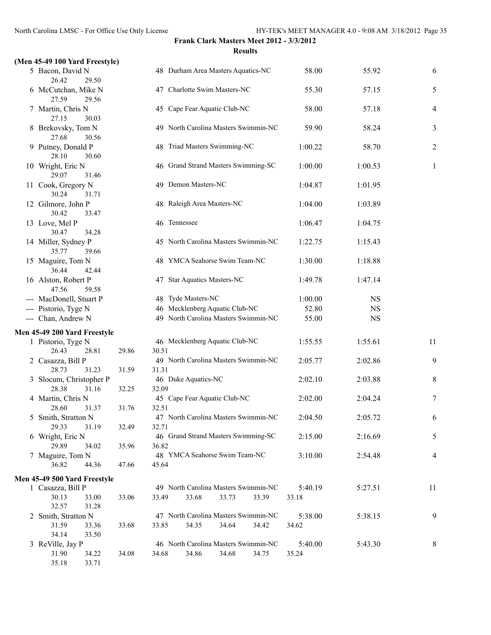### **(Men 45-49 100 Yard Freestyle)**

| 5     | Bacon, David N                        |       | 48          |
|-------|---------------------------------------|-------|-------------|
|       | 26.42<br>29.50                        |       |             |
| 6     | McCutchan, Mike N                     |       | 47          |
|       | 27.59<br>29.56                        |       |             |
| 7     | Martin, Chris N                       |       | 45          |
|       | 27.15<br>30.03                        |       |             |
| 8     | Brekovsky, Tom N                      |       | 49          |
|       | 27.68<br>30.56                        |       |             |
| 9     | Putney, Donald P                      |       | 48          |
|       | 28.10<br>30.60                        |       |             |
| 10    | Wright, Eric N                        |       | 46          |
|       | 29.07<br>31.46                        |       |             |
| 11    | Cook, Gregory N                       |       | 49          |
|       | 30.24<br>31.71                        |       |             |
| 12    | Gilmore, John P                       |       | 48          |
|       | 30.42<br>33.47                        |       |             |
| 13    | Love, Mel P                           |       | 46          |
|       | 30.47<br>34.28                        |       |             |
| 14    | Miller, Sydney P                      |       | 45          |
|       | 35.77<br>39.66                        |       |             |
| 15    | Maguire, Tom N                        |       | 48          |
|       | 36.44<br>42.44                        |       |             |
|       | 16 Alston, Robert P                   |       | 47          |
|       | 47.56<br>59.58                        |       |             |
| ---   | MacDonell, Stuart P                   |       | 48          |
|       | --- Pistorio, Tyge N                  |       | 46          |
| $---$ | Chan, Andrew N                        |       | 49          |
|       |                                       |       |             |
|       | Men 45-49 200 Yard Freestyle          |       |             |
| 1     | Pistorio, Tyge N                      |       | 46          |
|       | 26.43<br>28.81                        | 29.86 | 30.51       |
| 2     | Casazza, Bill P                       |       | 49          |
|       | 28.73<br>31.23                        | 31.59 | 31.31       |
| 3     | Slocum, Christopher P                 |       | 46          |
|       | 28.38<br>31.16                        | 32.25 | 32.09       |
| 4     | Martin, Chris N                       |       | 45          |
|       | 28.60<br>31.37                        | 31.76 | 32.51       |
|       | 5 Smith, Stratton N                   |       | 47          |
|       | 29.33 31.19                           | 32.49 | 32.71       |
|       | 6 Wright, Eric N                      |       | 46          |
|       | 29.89<br>34.02                        | 35.96 | 36.82       |
| 7     | Maguire, Tom N                        |       | 48          |
|       | 36.82<br>44.36                        | 47.66 | 45.64       |
|       |                                       |       |             |
|       | Men 45-49 500 Yard Freestyle          |       | 49          |
|       | 1 Casazza, Bill P<br>30.13            |       |             |
|       | 33.00<br>32.57<br>31.28               | 33.06 | 33.49       |
|       |                                       |       |             |
|       | 2 Smith, Stratton N<br>31.59<br>33.36 |       | 47<br>33.85 |
|       | 34.14<br>33.50                        | 33.68 |             |
|       |                                       |       |             |

35.18 33.71

| en 45-49 Too Yard Freestyle)              |       |       |                                                                 |                  |           |              |
|-------------------------------------------|-------|-------|-----------------------------------------------------------------|------------------|-----------|--------------|
| 5 Bacon, David N<br>26.42<br>29.50        |       |       | 48 Durham Area Masters Aquatics-NC                              | 58.00            | 55.92     | 6            |
| 6 McCutchan, Mike N<br>27.59<br>29.56     |       |       | 47 Charlotte Swim Masters-NC                                    | 55.30            | 57.15     | 5            |
| 7 Martin, Chris N<br>27.15<br>30.03       |       |       | 45 Cape Fear Aquatic Club-NC                                    | 58.00            | 57.18     | 4            |
| 8 Brekovsky, Tom N                        |       |       | 49 North Carolina Masters Swimmin-NC                            | 59.90            | 58.24     | 3            |
| 27.68<br>30.56<br>9 Putney, Donald P      |       |       | 48 Triad Masters Swimming-NC                                    | 1:00.22          | 58.70     | 2            |
| 28.10<br>30.60<br>10 Wright, Eric N       |       |       | 46 Grand Strand Masters Swimming-SC                             | 1:00.00          | 1:00.53   | $\mathbf{1}$ |
| 29.07<br>31.46<br>11 Cook, Gregory N      |       |       | 49 Demon Masters-NC                                             | 1:04.87          | 1:01.95   |              |
| 30.24<br>31.71<br>12 Gilmore, John P      |       |       | 48 Raleigh Area Masters-NC                                      | 1:04.00          | 1:03.89   |              |
| 30.42<br>33.47<br>13 Love, Mel P          |       |       | 46 Tennessee                                                    | 1:06.47          | 1:04.75   |              |
| 30.47<br>34.28<br>14 Miller, Sydney P     |       |       | 45 North Carolina Masters Swimmin-NC                            | 1:22.75          | 1:15.43   |              |
| 35.77<br>39.66<br>15 Maguire, Tom N       |       |       | 48 YMCA Seahorse Swim Team-NC                                   | 1:30.00          | 1:18.88   |              |
| 36.44<br>42.44<br>16 Alston, Robert P     |       |       | 47 Star Aquatics Masters-NC                                     | 1:49.78          | 1:47.14   |              |
| 47.56<br>59.58<br>--- MacDonell, Stuart P |       |       | 48 Tyde Masters-NC                                              | 1:00.00          | <b>NS</b> |              |
| --- Pistorio, Tyge N                      |       |       | 46 Mecklenberg Aquatic Club-NC                                  | 52.80            | <b>NS</b> |              |
| --- Chan, Andrew N                        |       |       | 49 North Carolina Masters Swimmin-NC                            | 55.00            | <b>NS</b> |              |
| n 45-49 200 Yard Freestyle                |       |       |                                                                 |                  |           |              |
| 1 Pistorio, Tyge N                        |       |       | 46 Mecklenberg Aquatic Club-NC                                  | 1:55.55          | 1:55.61   | 11           |
| 26.43<br>28.81                            | 29.86 | 30.51 |                                                                 |                  |           |              |
| 2 Casazza, Bill P<br>28.73<br>31.23       | 31.59 | 31.31 | 49 North Carolina Masters Swimmin-NC                            | 2:05.77          | 2:02.86   | 9            |
| 3 Slocum, Christopher P<br>28.38<br>31.16 | 32.25 | 32.09 | 46 Duke Aquatics-NC                                             | 2:02.10          | 2:03.88   | 8            |
| 4 Martin, Chris N<br>28.60<br>31.37       | 31.76 | 32.51 | 45 Cape Fear Aquatic Club-NC                                    | 2:02.00          | 2:04.24   | 7            |
| 5 Smith, Stratton N<br>31.19<br>29.33     | 32.49 | 32.71 | 47 North Carolina Masters Swimmin-NC                            | 2:04.50          | 2:05.72   | 6            |
| 6 Wright, Eric N<br>29.89<br>34.02        | 35.96 | 36.82 | 46 Grand Strand Masters Swimming-SC                             | 2:15.00          | 2:16.69   | 5            |
| 7 Maguire, Tom N<br>36.82<br>44.36        | 47.66 | 45.64 | 48 YMCA Seahorse Swim Team-NC                                   | 3:10.00          | 2:54.48   | 4            |
|                                           |       |       |                                                                 |                  |           |              |
| n 45-49 500 Yard Freestyle                |       |       |                                                                 |                  |           |              |
| 1 Casazza, Bill P<br>30.13<br>33.00       | 33.06 | 33.49 | 49 North Carolina Masters Swimmin-NC<br>33.68<br>33.73<br>33.39 | 5:40.19<br>33.18 | 5:27.51   | 11           |
| 32.57<br>31.28                            |       |       |                                                                 |                  |           |              |
| 2 Smith, Stratton N                       |       |       | 47 North Carolina Masters Swimmin-NC                            | 5:38.00          | 5:38.15   | 9            |
| 31.59<br>33.36<br>34.14<br>33.50          | 33.68 | 33.85 | 34.35<br>34.64<br>34.42                                         | 34.62            |           |              |
| 3 ReVille, Jay P                          |       |       | 46 North Carolina Masters Swimmin-NC                            | 5:40.00          | 5:43.30   | 8            |
| 31.90<br>34.22                            | 34.08 | 34.68 | 34.86<br>34.68<br>34.75                                         | 35.24            |           |              |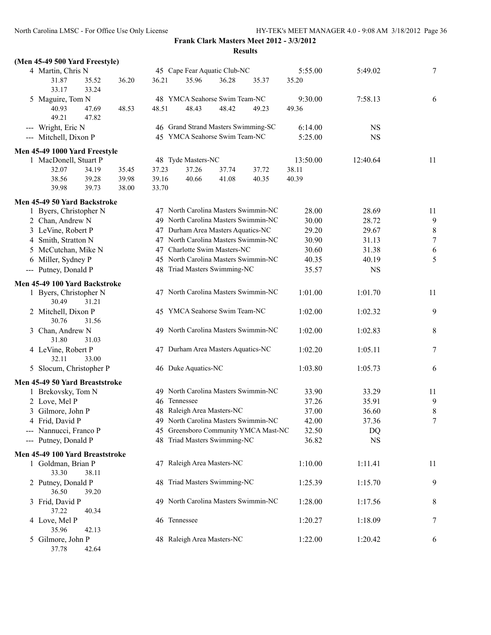# **Frank Clark Masters Meet 2012 - 3/3/2012**

|                                                       |       |       |                     |                                       | <b>Results</b> |                  |           |                |
|-------------------------------------------------------|-------|-------|---------------------|---------------------------------------|----------------|------------------|-----------|----------------|
| (Men 45-49 500 Yard Freestyle)                        |       |       |                     |                                       |                |                  |           |                |
| 4 Martin, Chris N<br>31.87<br>35.52<br>33.17<br>33.24 | 36.20 | 36.21 | 35.96               | 45 Cape Fear Aquatic Club-NC<br>36.28 | 35.37          | 5:55.00<br>35.20 | 5:49.02   | $\overline{7}$ |
| 5 Maguire, Tom N                                      |       |       |                     | 48 YMCA Seahorse Swim Team-NC         |                | 9:30.00          | 7:58.13   | 6              |
| 40.93<br>47.69                                        | 48.53 | 48.51 | 48.43               | 48.42                                 | 49.23          | 49.36            |           |                |
| 49.21<br>47.82                                        |       |       |                     |                                       |                |                  |           |                |
| --- Wright, Eric N                                    |       |       |                     | 46 Grand Strand Masters Swimming-SC   |                | 6:14.00          | <b>NS</b> |                |
| --- Mitchell, Dixon P                                 |       |       |                     | 45 YMCA Seahorse Swim Team-NC         |                | 5:25.00          | <b>NS</b> |                |
| Men 45-49 1000 Yard Freestyle                         |       |       |                     |                                       |                |                  |           |                |
| 1 MacDonell, Stuart P                                 |       |       | 48 Tyde Masters-NC  |                                       |                | 13:50.00         | 12:40.64  | 11             |
| 32.07<br>34.19                                        | 35.45 | 37.23 | 37.26               | 37.74                                 | 37.72          | 38.11            |           |                |
| 39.28<br>38.56                                        | 39.98 | 39.16 | 40.66               | 41.08                                 | 40.35          | 40.39            |           |                |
| 39.98<br>39.73                                        | 38.00 | 33.70 |                     |                                       |                |                  |           |                |
| Men 45-49 50 Yard Backstroke                          |       |       |                     |                                       |                |                  |           |                |
| 1 Byers, Christopher N                                |       |       |                     | 47 North Carolina Masters Swimmin-NC  |                | 28.00            | 28.69     | 11             |
| 2 Chan, Andrew N                                      |       |       |                     | 49 North Carolina Masters Swimmin-NC  |                | 30.00            | 28.72     | 9              |
| 3 LeVine, Robert P                                    |       |       |                     | 47 Durham Area Masters Aquatics-NC    |                | 29.20            | 29.67     | 8              |
| 4 Smith, Stratton N                                   |       |       |                     | 47 North Carolina Masters Swimmin-NC  |                | 30.90            | 31.13     | $\overline{7}$ |
| 5 McCutchan, Mike N                                   |       |       |                     | 47 Charlotte Swim Masters-NC          |                | 30.60            | 31.38     | 6              |
| 6 Miller, Sydney P                                    |       |       |                     | 45 North Carolina Masters Swimmin-NC  |                | 40.35            | 40.19     | 5              |
| --- Putney, Donald P                                  |       |       |                     | 48 Triad Masters Swimming-NC          |                | 35.57            | <b>NS</b> |                |
| Men 45-49 100 Yard Backstroke                         |       |       |                     |                                       |                |                  |           |                |
| 1 Byers, Christopher N<br>30.49<br>31.21              |       |       |                     | 47 North Carolina Masters Swimmin-NC  |                | 1:01.00          | 1:01.70   | 11             |
| 2 Mitchell, Dixon P<br>30.76<br>31.56                 |       |       |                     | 45 YMCA Seahorse Swim Team-NC         |                | 1:02.00          | 1:02.32   | 9              |
| 3 Chan, Andrew N<br>31.80<br>31.03                    |       |       |                     | 49 North Carolina Masters Swimmin-NC  |                | 1:02.00          | 1:02.83   | 8              |
| 4 LeVine, Robert P<br>32.11<br>33.00                  |       |       |                     | 47 Durham Area Masters Aquatics-NC    |                | 1:02.20          | 1:05.11   | 7              |
| 5 Slocum, Christopher P                               |       |       | 46 Duke Aquatics-NC |                                       |                | 1:03.80          | 1:05.73   | 6              |
| Men 45-49 50 Yard Breaststroke                        |       |       |                     |                                       |                |                  |           |                |
| 1 Brekovsky, Tom N                                    |       |       |                     | 49 North Carolina Masters Swimmin-NC  |                | 33.90            | 33.29     | 11             |
| 2 Love, Mel P                                         |       |       | 46 Tennessee        |                                       |                | 37.26            | 35.91     | 9              |
| 3 Gilmore, John P                                     |       |       |                     | 48 Raleigh Area Masters-NC            |                | 37.00            | 36.60     | 8              |
| 4 Frid, David P                                       |       |       |                     | 49 North Carolina Masters Swimmin-NC  |                | 42.00            | 37.36     | 7              |
| --- Nannucci, Franco P                                |       |       |                     | 45 Greensboro Community YMCA Mast-NC  |                | 32.50            | DQ        |                |
| --- Putney, Donald P                                  |       |       |                     | 48 Triad Masters Swimming-NC          |                | 36.82            | NS        |                |
| Men 45-49 100 Yard Breaststroke                       |       |       |                     |                                       |                |                  |           |                |
| 1 Goldman, Brian P                                    |       |       |                     | 47 Raleigh Area Masters-NC            |                | 1:10.00          | 1:11.41   | 11             |
| 33.30<br>38.11                                        |       |       |                     |                                       |                |                  |           |                |
| 2 Putney, Donald P<br>36.50<br>39.20                  |       |       |                     | 48 Triad Masters Swimming-NC          |                | 1:25.39          | 1:15.70   | 9              |
| 3 Frid, David P<br>37.22<br>40.34                     |       |       |                     | 49 North Carolina Masters Swimmin-NC  |                | 1:28.00          | 1:17.56   | 8              |
| 4 Love, Mel P<br>35.96<br>42.13                       |       |       | 46 Tennessee        |                                       |                | 1:20.27          | 1:18.09   | 7              |
| 5 Gilmore, John P<br>37.78<br>42.64                   |       |       |                     | 48 Raleigh Area Masters-NC            |                | 1:22.00          | 1:20.42   | 6              |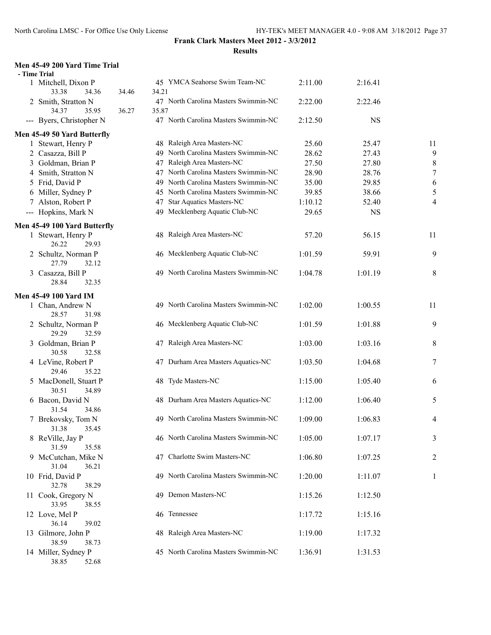#### **Men 45-49 200 Yard Time Trial**

| - Time Trial                               |       |                                               |         |           |                |
|--------------------------------------------|-------|-----------------------------------------------|---------|-----------|----------------|
| 1 Mitchell, Dixon P<br>33.38               |       | 45 YMCA Seahorse Swim Team-NC                 | 2:11.00 | 2:16.41   |                |
| 34.36<br>2 Smith, Stratton N               | 34.46 | 34.21<br>47 North Carolina Masters Swimmin-NC | 2:22.00 | 2:22.46   |                |
| 34.37<br>35.95<br>--- Byers, Christopher N | 36.27 | 35.87<br>47 North Carolina Masters Swimmin-NC | 2:12.50 | <b>NS</b> |                |
| Men 45-49 50 Yard Butterfly                |       |                                               |         |           |                |
| 1 Stewart, Henry P                         |       | 48 Raleigh Area Masters-NC                    | 25.60   | 25.47     | 11             |
| 2 Casazza, Bill P                          |       | 49 North Carolina Masters Swimmin-NC          | 28.62   | 27.43     | 9              |
| 3 Goldman, Brian P                         |       | 47 Raleigh Area Masters-NC                    | 27.50   | 27.80     | 8              |
| 4 Smith, Stratton N                        |       | 47 North Carolina Masters Swimmin-NC          | 28.90   | 28.76     | $\overline{7}$ |
| 5 Frid, David P                            |       | 49 North Carolina Masters Swimmin-NC          | 35.00   | 29.85     | 6              |
| 6 Miller, Sydney P                         |       | 45 North Carolina Masters Swimmin-NC          | 39.85   | 38.66     | 5              |
| 7 Alston, Robert P                         |       | 47 Star Aquatics Masters-NC                   | 1:10.12 | 52.40     | 4              |
| --- Hopkins, Mark N                        |       | 49 Mecklenberg Aquatic Club-NC                | 29.65   | <b>NS</b> |                |
| Men 45-49 100 Yard Butterfly               |       |                                               |         |           |                |
| 1 Stewart, Henry P                         |       | 48 Raleigh Area Masters-NC                    | 57.20   | 56.15     | 11             |
| 26.22<br>29.93                             |       |                                               |         |           |                |
| 2 Schultz, Norman P                        |       | 46 Mecklenberg Aquatic Club-NC                | 1:01.59 | 59.91     | 9              |
| 27.79<br>32.12                             |       |                                               |         |           |                |
| 3 Casazza, Bill P                          |       | 49 North Carolina Masters Swimmin-NC          | 1:04.78 | 1:01.19   | 8              |
| 28.84<br>32.35                             |       |                                               |         |           |                |
| <b>Men 45-49 100 Yard IM</b>               |       |                                               |         |           |                |
| 1 Chan, Andrew N                           |       | 49 North Carolina Masters Swimmin-NC          | 1:02.00 | 1:00.55   | 11             |
| 28.57<br>31.98                             |       |                                               |         |           |                |
| 2 Schultz, Norman P                        |       | 46 Mecklenberg Aquatic Club-NC                | 1:01.59 | 1:01.88   | 9              |
| 29.29<br>32.59                             |       |                                               |         |           |                |
| 3 Goldman, Brian P                         |       | 47 Raleigh Area Masters-NC                    | 1:03.00 | 1:03.16   | 8              |
| 30.58<br>32.58                             |       |                                               |         |           |                |
| 4 LeVine, Robert P                         |       | 47 Durham Area Masters Aquatics-NC            | 1:03.50 | 1:04.68   | 7              |
| 35.22<br>29.46                             |       |                                               |         |           |                |
| 5 MacDonell, Stuart P<br>30.51<br>34.89    |       | 48 Tyde Masters-NC                            | 1:15.00 | 1:05.40   | 6              |
| 6 Bacon, David N                           |       | 48 Durham Area Masters Aquatics-NC            | 1:12.00 | 1:06.40   | 5              |
| 31.54<br>34.86                             |       |                                               |         |           |                |
| 7 Brekovsky, Tom N                         |       | 49 North Carolina Masters Swimmin-NC          | 1:09.00 | 1:06.83   | 4              |
| 31.38<br>35.45                             |       |                                               |         |           |                |
| 8 ReVille, Jay P                           |       | 46 North Carolina Masters Swimmin-NC          | 1:05.00 | 1:07.17   | 3              |
| 31.59<br>35.58                             |       |                                               |         |           |                |
| 9 McCutchan, Mike N                        |       | 47 Charlotte Swim Masters-NC                  | 1:06.80 | 1:07.25   | 2              |
| 31.04<br>36.21                             |       |                                               |         |           |                |
| 10 Frid, David P                           |       | 49 North Carolina Masters Swimmin-NC          | 1:20.00 | 1:11.07   | 1              |
| 32.78<br>38.29                             |       |                                               |         |           |                |
| 11 Cook, Gregory N                         |       | 49 Demon Masters-NC                           | 1:15.26 | 1:12.50   |                |
| 33.95<br>38.55                             |       |                                               |         |           |                |
| 12 Love, Mel P                             |       | 46 Tennessee                                  | 1:17.72 | 1:15.16   |                |
| 36.14<br>39.02                             |       |                                               |         |           |                |
| 13 Gilmore, John P                         |       | 48 Raleigh Area Masters-NC                    | 1:19.00 | 1:17.32   |                |
| 38.59<br>38.73                             |       |                                               |         |           |                |
| 14 Miller, Sydney P                        |       | 45 North Carolina Masters Swimmin-NC          | 1:36.91 | 1:31.53   |                |
| 38.85<br>52.68                             |       |                                               |         |           |                |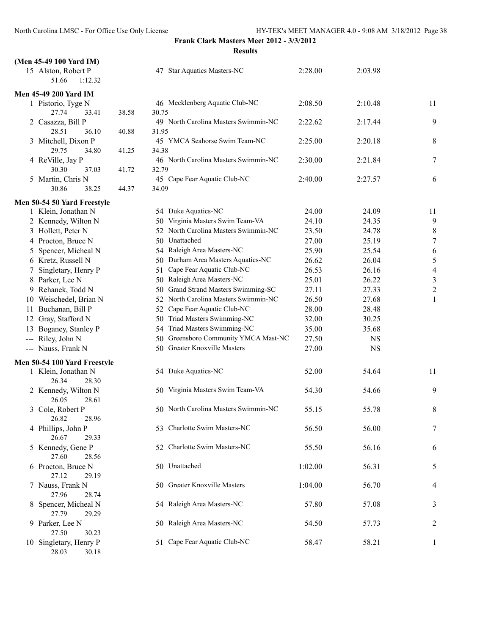| (Men 45-49 100 Yard IM)                    |       |                                               |         |           |                          |
|--------------------------------------------|-------|-----------------------------------------------|---------|-----------|--------------------------|
| 15 Alston, Robert P<br>51.66<br>1:12.32    |       | 47 Star Aquatics Masters-NC                   | 2:28.00 | 2:03.98   |                          |
| <b>Men 45-49 200 Yard IM</b>               |       |                                               |         |           |                          |
| 1 Pistorio, Tyge N<br>27.74<br>33.41       | 38.58 | 46 Mecklenberg Aquatic Club-NC<br>30.75       | 2:08.50 | 2:10.48   | 11                       |
| 2 Casazza, Bill P<br>28.51<br>36.10        | 40.88 | 49 North Carolina Masters Swimmin-NC<br>31.95 | 2:22.62 | 2:17.44   | 9                        |
| 3 Mitchell, Dixon P<br>29.75<br>34.80      | 41.25 | 45 YMCA Seahorse Swim Team-NC<br>34.38        | 2:25.00 | 2:20.18   | 8                        |
| 4 ReVille, Jay P<br>30.30<br>37.03         | 41.72 | 46 North Carolina Masters Swimmin-NC<br>32.79 | 2:30.00 | 2:21.84   | $\overline{7}$           |
| 5 Martin, Chris N<br>30.86<br>38.25        | 44.37 | 45 Cape Fear Aquatic Club-NC<br>34.09         | 2:40.00 | 2:27.57   | 6                        |
| Men 50-54 50 Yard Freestyle                |       |                                               |         |           |                          |
| 1 Klein, Jonathan N                        |       | 54 Duke Aquatics-NC                           | 24.00   | 24.09     | 11                       |
| 2 Kennedy, Wilton N                        |       | 50 Virginia Masters Swim Team-VA              | 24.10   | 24.35     | 9                        |
| 3 Hollett, Peter N                         |       | 52 North Carolina Masters Swimmin-NC          | 23.50   | 24.78     | 8                        |
| 4 Procton, Bruce N                         |       | 50 Unattached                                 | 27.00   | 25.19     | $\overline{7}$           |
|                                            |       | 54 Raleigh Area Masters-NC                    |         | 25.54     |                          |
| Spencer, Micheal N<br>5.                   |       |                                               | 25.90   |           | 6                        |
| 6 Kretz, Russell N                         |       | 50 Durham Area Masters Aquatics-NC            | 26.62   | 26.04     | 5                        |
| Singletary, Henry P                        |       | 51 Cape Fear Aquatic Club-NC                  | 26.53   | 26.16     | $\overline{\mathcal{A}}$ |
| 8 Parker, Lee N                            |       | 50 Raleigh Area Masters-NC                    | 25.01   | 26.22     | 3                        |
| 9 Rehanek, Todd N                          |       | 50 Grand Strand Masters Swimming-SC           | 27.11   | 27.33     | $\overline{\mathbf{c}}$  |
| 10 Weischedel, Brian N                     |       | 52 North Carolina Masters Swimmin-NC          | 26.50   | 27.68     | 1                        |
| 11 Buchanan, Bill P                        |       | Cape Fear Aquatic Club-NC<br>52               | 28.00   | 28.48     |                          |
| 12 Gray, Stafford N                        |       | 50 Triad Masters Swimming-NC                  | 32.00   | 30.25     |                          |
| 13 Boganey, Stanley P                      |       | Triad Masters Swimming-NC<br>54               | 35.00   | 35.68     |                          |
| --- Riley, John N                          |       | Greensboro Community YMCA Mast-NC<br>50       | 27.50   | <b>NS</b> |                          |
| --- Nauss, Frank N                         |       | 50 Greater Knoxville Masters                  | 27.00   | <b>NS</b> |                          |
| Men 50-54 100 Yard Freestyle               |       |                                               |         |           |                          |
| 1 Klein, Jonathan N<br>26.34<br>28.30      |       | 54 Duke Aquatics-NC                           | 52.00   | 54.64     | 11                       |
| 2 Kennedy, Wilton N<br>26.05<br>28.61      |       | 50 Virginia Masters Swim Team-VA              | 54.30   | 54.66     | 9                        |
| 3 Cole, Robert P<br>26.82<br>28.96         |       | 50 North Carolina Masters Swimmin-NC          | 55.15   | 55.78     | 8                        |
| 4 Phillips, John P<br>26.67<br>29.33       |       | 53 Charlotte Swim Masters-NC                  | 56.50   | 56.00     | 7                        |
| 5 Kennedy, Gene P<br>27.60<br>28.56        |       | 52 Charlotte Swim Masters-NC                  | 55.50   | 56.16     | 6                        |
| 6 Procton, Bruce N<br>27.12<br>29.19       |       | 50 Unattached                                 | 1:02.00 | 56.31     | 5                        |
| 7 Nauss, Frank N<br>27.96<br>28.74         |       | 50 Greater Knoxville Masters                  | 1:04.00 | 56.70     | 4                        |
| Spencer, Micheal N<br>8.<br>27.79<br>29.29 |       | 54 Raleigh Area Masters-NC                    | 57.80   | 57.08     | 3                        |
| Parker, Lee N<br>9<br>27.50<br>30.23       |       | 50 Raleigh Area Masters-NC                    | 54.50   | 57.73     | $\overline{c}$           |
| 10 Singletary, Henry P<br>28.03<br>30.18   |       | 51 Cape Fear Aquatic Club-NC                  | 58.47   | 58.21     | 1                        |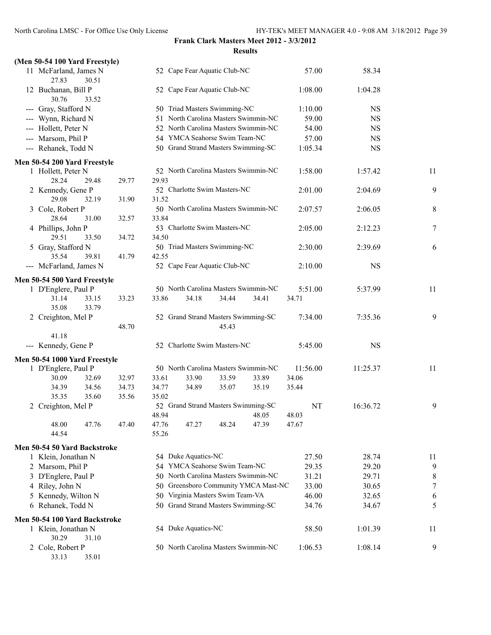|  |  | (Men 50-54 100 Yard Freestyle) |
|--|--|--------------------------------|

| 11 McFarland, James N                 |                |                |                     | 52 Cape Fear Aquatic Club-NC        |                                      | 57.00    | 58.34     |        |
|---------------------------------------|----------------|----------------|---------------------|-------------------------------------|--------------------------------------|----------|-----------|--------|
| 27.83<br>30.51                        |                |                |                     |                                     |                                      |          |           |        |
| 12 Buchanan, Bill P<br>30.76<br>33.52 |                |                |                     | 52 Cape Fear Aquatic Club-NC        |                                      | 1:08.00  | 1:04.28   |        |
| --- Gray, Stafford N                  |                |                |                     | 50 Triad Masters Swimming-NC        |                                      | 1:10.00  | <b>NS</b> |        |
| --- Wynn, Richard N                   |                |                |                     |                                     | 51 North Carolina Masters Swimmin-NC | 59.00    | <b>NS</b> |        |
| --- Hollett, Peter N                  |                |                |                     |                                     | 52 North Carolina Masters Swimmin-NC | 54.00    | <b>NS</b> |        |
| --- Marsom, Phil P                    |                |                |                     | 54 YMCA Seahorse Swim Team-NC       |                                      | 57.00    | <b>NS</b> |        |
| --- Rehanek, Todd N                   |                |                |                     | 50 Grand Strand Masters Swimming-SC |                                      | 1:05.34  | <b>NS</b> |        |
| Men 50-54 200 Yard Freestyle          |                |                |                     |                                     |                                      |          |           |        |
| 1 Hollett, Peter N                    |                |                |                     |                                     | 52 North Carolina Masters Swimmin-NC | 1:58.00  | 1:57.42   | 11     |
| 28.24<br>29.48                        | 29.77          | 29.93          |                     |                                     |                                      |          |           |        |
| 2 Kennedy, Gene P                     |                |                |                     | 52 Charlotte Swim Masters-NC        |                                      | 2:01.00  | 2:04.69   | 9      |
| 29.08<br>32.19                        | 31.90          | 31.52          |                     |                                     |                                      |          |           |        |
| 3 Cole, Robert P                      |                |                |                     |                                     | 50 North Carolina Masters Swimmin-NC | 2:07.57  | 2:06.05   | 8      |
| 28.64<br>31.00                        | 32.57          | 33.84          |                     |                                     |                                      |          |           |        |
| 4 Phillips, John P                    |                |                |                     | 53 Charlotte Swim Masters-NC        |                                      | 2:05.00  | 2:12.23   | $\tau$ |
| 29.51<br>33.50                        | 34.72          | 34.50          |                     |                                     |                                      |          |           |        |
| 5 Gray, Stafford N                    |                |                |                     | 50 Triad Masters Swimming-NC        |                                      | 2:30.00  | 2:39.69   | 6      |
| 35.54<br>39.81                        | 41.79          | 42.55          |                     |                                     |                                      |          |           |        |
| --- McFarland, James N                |                |                |                     | 52 Cape Fear Aquatic Club-NC        |                                      | 2:10.00  | <b>NS</b> |        |
| Men 50-54 500 Yard Freestyle          |                |                |                     |                                     |                                      |          |           |        |
| 1 D'Englere, Paul P                   |                |                |                     |                                     | 50 North Carolina Masters Swimmin-NC | 5:51.00  | 5:37.99   | 11     |
| 33.15<br>31.14<br>35.08<br>33.79      | 33.23          | 33.86          | 34.18               | 34.44                               | 34.41                                | 34.71    |           |        |
| 2 Creighton, Mel P                    |                |                |                     | 52 Grand Strand Masters Swimming-SC |                                      | 7:34.00  | 7:35.36   | 9      |
|                                       | 48.70          |                |                     | 45.43                               |                                      |          |           |        |
| 41.18                                 |                |                |                     |                                     |                                      |          |           |        |
| --- Kennedy, Gene P                   |                |                |                     | 52 Charlotte Swim Masters-NC        |                                      | 5:45.00  | <b>NS</b> |        |
| Men 50-54 1000 Yard Freestyle         |                |                |                     |                                     |                                      |          |           |        |
| 1 D'Englere, Paul P                   |                |                |                     |                                     | 50 North Carolina Masters Swimmin-NC | 11:56.00 | 11:25.37  | 11     |
| 30.09<br>32.69                        | 32.97          | 33.61          | 33.90               | 33.59                               | 33.89                                | 34.06    |           |        |
| 34.39<br>34.56                        | 34.73          | 34.77          | 34.89               | 35.07                               | 35.19                                | 35.44    |           |        |
| 35.35<br>35.60                        | 35.56          | 35.02          |                     |                                     |                                      |          |           |        |
| 2 Creighton, Mel P                    |                |                |                     | 52 Grand Strand Masters Swimming-SC |                                      | NT       | 16:36.72  | 9      |
|                                       |                | 48.94          |                     |                                     | 48.05                                | 48.03    |           |        |
| 48.00<br>44.54                        | 47.76<br>47.40 | 47.76<br>55.26 | 47.27               | 48.24                               | 47.39                                | 47.67    |           |        |
| Men 50-54 50 Yard Backstroke          |                |                |                     |                                     |                                      |          |           |        |
| 1 Klein, Jonathan N                   |                |                | 54 Duke Aquatics-NC |                                     |                                      | 27.50    | 28.74     | 11     |
| 2 Marsom, Phil P                      |                |                |                     | 54 YMCA Seahorse Swim Team-NC       |                                      | 29.35    | 29.20     | 9      |
| D'Englere, Paul P<br>3                |                |                |                     |                                     | 50 North Carolina Masters Swimmin-NC | 31.21    | 29.71     | 8      |
| 4 Riley, John N                       |                |                |                     |                                     | 50 Greensboro Community YMCA Mast-NC | 33.00    | 30.65     | 7      |
| 5 Kennedy, Wilton N                   |                |                |                     | 50 Virginia Masters Swim Team-VA    |                                      | 46.00    | 32.65     | 6      |
| 6 Rehanek, Todd N                     |                |                |                     | 50 Grand Strand Masters Swimming-SC |                                      | 34.76    | 34.67     | 5      |
| Men 50-54 100 Yard Backstroke         |                |                |                     |                                     |                                      |          |           |        |
| 1 Klein, Jonathan N<br>30.29<br>31.10 |                |                | 54 Duke Aquatics-NC |                                     |                                      | 58.50    | 1:01.39   | 11     |
| 2 Cole, Robert P<br>33.13<br>35.01    |                |                |                     |                                     | 50 North Carolina Masters Swimmin-NC | 1:06.53  | 1:08.14   | 9      |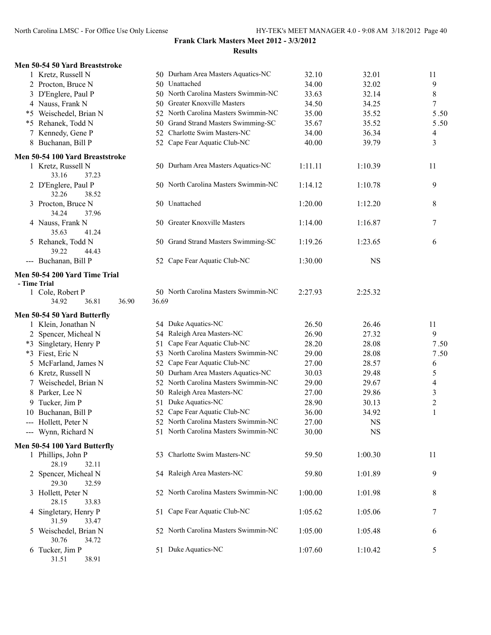# **Frank Clark Masters Meet 2012 - 3/3/2012**

|                                               | <b>Results</b>                       |         |           |                |
|-----------------------------------------------|--------------------------------------|---------|-----------|----------------|
| Men 50-54 50 Yard Breaststroke                |                                      |         |           |                |
| 1 Kretz, Russell N                            | 50 Durham Area Masters Aquatics-NC   | 32.10   | 32.01     | 11             |
| 2 Procton, Bruce N                            | 50 Unattached                        | 34.00   | 32.02     | $\mathbf{9}$   |
| 3 D'Englere, Paul P                           | 50 North Carolina Masters Swimmin-NC | 33.63   | 32.14     | $\,$ $\,$      |
| 4 Nauss, Frank N                              | 50 Greater Knoxville Masters         | 34.50   | 34.25     | 7              |
| *5 Weischedel, Brian N                        | 52 North Carolina Masters Swimmin-NC | 35.00   | 35.52     | 5.50           |
| *5 Rehanek, Todd N                            | 50 Grand Strand Masters Swimming-SC  | 35.67   | 35.52     | 5.50           |
| 7 Kennedy, Gene P                             | 52 Charlotte Swim Masters-NC         | 34.00   | 36.34     | 4              |
| 8 Buchanan, Bill P                            | 52 Cape Fear Aquatic Club-NC         | 40.00   | 39.79     | $\overline{3}$ |
| Men 50-54 100 Yard Breaststroke               |                                      |         |           |                |
| 1 Kretz, Russell N<br>33.16<br>37.23          | 50 Durham Area Masters Aquatics-NC   | 1:11.11 | 1:10.39   | 11             |
| 2 D'Englere, Paul P<br>32.26<br>38.52         | 50 North Carolina Masters Swimmin-NC | 1:14.12 | 1:10.78   | 9              |
| 3 Procton, Bruce N<br>34.24<br>37.96          | 50 Unattached                        | 1:20.00 | 1:12.20   | 8              |
| 4 Nauss, Frank N<br>35.63<br>41.24            | 50 Greater Knoxville Masters         | 1:14.00 | 1:16.87   | 7              |
| 5 Rehanek, Todd N<br>39.22<br>44.43           | 50 Grand Strand Masters Swimming-SC  | 1:19.26 | 1:23.65   | 6              |
| --- Buchanan, Bill P                          | 52 Cape Fear Aquatic Club-NC         | 1:30.00 | <b>NS</b> |                |
| Men 50-54 200 Yard Time Trial<br>- Time Trial |                                      |         |           |                |
| 1 Cole, Robert P                              | 50 North Carolina Masters Swimmin-NC | 2:27.93 | 2:25.32   |                |
| 36.90<br>34.92<br>36.81                       | 36.69                                |         |           |                |
| Men 50-54 50 Yard Butterfly                   |                                      |         |           |                |
| 1 Klein, Jonathan N                           | 54 Duke Aquatics-NC                  | 26.50   | 26.46     | 11             |
| 2 Spencer, Micheal N                          | 54 Raleigh Area Masters-NC           | 26.90   | 27.32     | 9              |
| *3 Singletary, Henry P                        | Cape Fear Aquatic Club-NC<br>51      | 28.20   | 28.08     | 7.50           |
| *3 Fiest, Eric N                              | 53 North Carolina Masters Swimmin-NC | 29.00   | 28.08     | 7.50           |
| 5 McFarland, James N                          | 52 Cape Fear Aquatic Club-NC         | 27.00   | 28.57     | 6              |
| 6 Kretz, Russell N                            | 50 Durham Area Masters Aquatics-NC   | 30.03   | 29.48     | 5              |
| 7 Weischedel, Brian N                         | 52 North Carolina Masters Swimmin-NC | 29.00   | 29.67     | 4              |
| 8 Parker, Lee N                               | Raleigh Area Masters-NC<br>50.       | 27.00   | 29.86     | 3              |
| 9 Tucker, Jim P                               | 51 Duke Aquatics-NC                  | 28.90   | 30.13     | $\overline{2}$ |
| 10 Buchanan, Bill P                           | 52 Cape Fear Aquatic Club-NC         | 36.00   | 34.92     | $\mathbf{1}$   |
| --- Hollett, Peter N                          | 52 North Carolina Masters Swimmin-NC | 27.00   | NS        |                |
| --- Wynn, Richard N                           | 51 North Carolina Masters Swimmin-NC | 30.00   | NS        |                |
| Men 50-54 100 Yard Butterfly                  |                                      |         |           |                |
| 1 Phillips, John P<br>28.19<br>32.11          | 53 Charlotte Swim Masters-NC         | 59.50   | 1:00.30   | 11             |
| 2 Spencer, Micheal N<br>29.30<br>32.59        | 54 Raleigh Area Masters-NC           | 59.80   | 1:01.89   | 9              |
| 3 Hollett, Peter N<br>28.15<br>33.83          | 52 North Carolina Masters Swimmin-NC | 1:00.00 | 1:01.98   | 8              |
| 4 Singletary, Henry P<br>31.59<br>33.47       | 51 Cape Fear Aquatic Club-NC         | 1:05.62 | 1:05.06   | 7              |
|                                               | 52 North Carolina Masters Swimmin-NC | 1:05.00 | 1:05.48   | 6              |
| 5 Weischedel, Brian N<br>30.76<br>34.72       |                                      |         |           |                |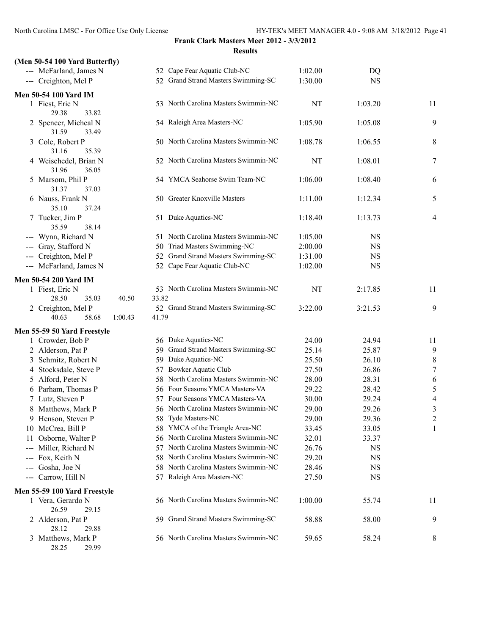|  |  | (Men 50-54 100 Yard Butterfly) |
|--|--|--------------------------------|
|  |  |                                |

| $\mu$ . Then $\sigma \sigma$ is the state in the state of $\sigma$ |       |                                      |         |             |                          |
|--------------------------------------------------------------------|-------|--------------------------------------|---------|-------------|--------------------------|
| --- McFarland, James N                                             |       | 52 Cape Fear Aquatic Club-NC         | 1:02.00 | DQ          |                          |
| --- Creighton, Mel P                                               |       | 52 Grand Strand Masters Swimming-SC  | 1:30.00 | <b>NS</b>   |                          |
| <b>Men 50-54 100 Yard IM</b>                                       |       |                                      |         |             |                          |
| 1 Fiest, Eric N<br>29.38<br>33.82                                  |       | 53 North Carolina Masters Swimmin-NC | NT      | 1:03.20     | 11                       |
| 2 Spencer, Micheal N<br>31.59<br>33.49                             |       | 54 Raleigh Area Masters-NC           | 1:05.90 | 1:05.08     | 9                        |
| 3 Cole, Robert P<br>31.16<br>35.39                                 |       | 50 North Carolina Masters Swimmin-NC | 1:08.78 | 1:06.55     | 8                        |
| 4 Weischedel, Brian N<br>31.96<br>36.05                            |       | 52 North Carolina Masters Swimmin-NC | NT      | 1:08.01     | $\tau$                   |
| 5 Marsom, Phil P<br>31.37<br>37.03                                 |       | 54 YMCA Seahorse Swim Team-NC        | 1:06.00 | 1:08.40     | 6                        |
| 6 Nauss, Frank N<br>35.10<br>37.24                                 |       | 50 Greater Knoxville Masters         | 1:11.00 | 1:12.34     | 5                        |
| 7 Tucker, Jim P<br>35.59<br>38.14                                  |       | 51 Duke Aquatics-NC                  | 1:18.40 | 1:13.73     | 4                        |
| --- Wynn, Richard N                                                |       | 51 North Carolina Masters Swimmin-NC | 1:05.00 | <b>NS</b>   |                          |
| --- Gray, Stafford N                                               |       | 50 Triad Masters Swimming-NC         | 2:00.00 | <b>NS</b>   |                          |
| --- Creighton, Mel P                                               |       | 52 Grand Strand Masters Swimming-SC  | 1:31.00 | <b>NS</b>   |                          |
| --- McFarland, James N                                             |       | 52 Cape Fear Aquatic Club-NC         | 1:02.00 | <b>NS</b>   |                          |
|                                                                    |       |                                      |         |             |                          |
| <b>Men 50-54 200 Yard IM</b>                                       |       |                                      |         |             |                          |
| 1 Fiest, Eric N<br>28.50<br>35.03<br>40.50                         | 33.82 | 53 North Carolina Masters Swimmin-NC | NT      | 2:17.85     | 11                       |
| 2 Creighton, Mel P                                                 |       | 52 Grand Strand Masters Swimming-SC  | 3:22.00 | 3:21.53     | 9                        |
| 40.63<br>58.68<br>1:00.43                                          | 41.79 |                                      |         |             |                          |
| Men 55-59 50 Yard Freestyle                                        |       |                                      |         |             |                          |
| 1 Crowder, Bob P                                                   |       | 56 Duke Aquatics-NC                  | 24.00   | 24.94       | 11                       |
| 2 Alderson, Pat P                                                  |       | 59 Grand Strand Masters Swimming-SC  | 25.14   | 25.87       | $\mathbf{9}$             |
| 3 Schmitz, Robert N                                                |       | 59 Duke Aquatics-NC                  | 25.50   | 26.10       | 8                        |
| 4 Stocksdale, Steve P                                              |       | 57 Bowker Aquatic Club               | 27.50   | 26.86       | $\boldsymbol{7}$         |
| 5 Alford, Peter N                                                  |       | 58 North Carolina Masters Swimmin-NC | 28.00   | 28.31       | 6                        |
| 6 Parham, Thomas P                                                 |       | 56 Four Seasons YMCA Masters-VA      | 29.22   | 28.42       | 5                        |
| 7 Lutz, Steven P                                                   |       | 57 Four Seasons YMCA Masters-VA      | 30.00   | 29.24       | $\overline{\mathcal{L}}$ |
| 8 Matthews, Mark P                                                 |       | 56 North Carolina Masters Swimmin-NC | 29.00   | 29.26       | $\mathfrak{Z}$           |
| 9 Henson, Steven P                                                 |       | 58 Tyde Masters-NC                   | 29.00   | 29.36       | $\overline{2}$           |
| 10 McCrea, Bill P                                                  |       | 58 YMCA of the Triangle Area-NC      | 33.45   | 33.05       | 1                        |
| 11 Osborne, Walter P                                               | 56.   | North Carolina Masters Swimmin-NC    | 32.01   | 33.37       |                          |
| --- Miller, Richard N                                              | 57    | North Carolina Masters Swimmin-NC    | 26.76   | <b>NS</b>   |                          |
| --- Fox, Keith N                                                   | 58    | North Carolina Masters Swimmin-NC    | 29.20   | <b>NS</b>   |                          |
| --- Gosha, Joe N                                                   | 58    | North Carolina Masters Swimmin-NC    | 28.46   | $_{\rm NS}$ |                          |
| --- Carrow, Hill N                                                 | 57    | Raleigh Area Masters-NC              | 27.50   | <b>NS</b>   |                          |
|                                                                    |       |                                      |         |             |                          |
| Men 55-59 100 Yard Freestyle                                       |       |                                      |         |             |                          |
| 1 Vera, Gerardo N<br>26.59<br>29.15                                |       | 56 North Carolina Masters Swimmin-NC | 1:00.00 | 55.74       | 11                       |
| 2 Alderson, Pat P<br>28.12<br>29.88                                | 59.   | Grand Strand Masters Swimming-SC     | 58.88   | 58.00       | 9                        |
| 3 Matthews, Mark P                                                 |       | 56 North Carolina Masters Swimmin-NC | 59.65   | 58.24       | 8                        |

28.25 29.99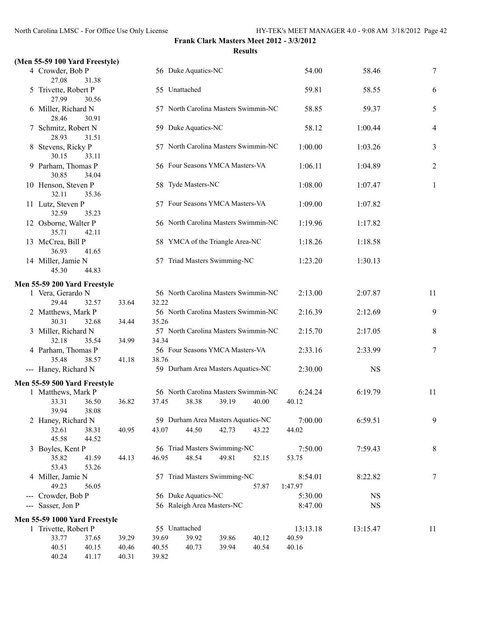#### **(Men 55-59 100 Yard Freestyle)**

| 4 Crowder, Bob P<br>27.08<br>31.38     |       |       | 56 Duke Aquatics-NC |                                      |       | 54.00              | 58.46       | $\tau$  |
|----------------------------------------|-------|-------|---------------------|--------------------------------------|-------|--------------------|-------------|---------|
| 5 Trivette, Robert P<br>27.99<br>30.56 |       |       | 55 Unattached       |                                      |       | 59.81              | 58.55       | 6       |
| 6 Miller, Richard N<br>28.46<br>30.91  |       |       |                     | 57 North Carolina Masters Swimmin-NC |       | 58.85              | 59.37       | 5       |
| 7 Schmitz, Robert N<br>28.93<br>31.51  |       |       | 59 Duke Aquatics-NC |                                      |       | 58.12              | 1:00.44     | 4       |
| 8 Stevens, Ricky P<br>30.15<br>33.11   |       |       |                     | 57 North Carolina Masters Swimmin-NC |       | 1:00.00            | 1:03.26     | 3       |
| 9 Parham, Thomas P<br>30.85<br>34.04   |       |       |                     | 56 Four Seasons YMCA Masters-VA      |       | 1:06.11            | 1:04.89     | 2       |
| 10 Henson, Steven P<br>32.11<br>35.36  |       |       | 58 Tyde Masters-NC  |                                      |       | 1:08.00            | 1:07.47     | 1       |
| 11 Lutz, Steven P<br>32.59<br>35.23    |       |       |                     | 57 Four Seasons YMCA Masters-VA      |       | 1:09.00            | 1:07.82     |         |
| 12 Osborne, Walter P<br>35.71<br>42.11 |       |       |                     | 56 North Carolina Masters Swimmin-NC |       | 1:19.96            | 1:17.82     |         |
| 13 McCrea, Bill P<br>36.93<br>41.65    |       |       |                     | 58 YMCA of the Triangle Area-NC      |       | 1:18.26            | 1:18.58     |         |
| 14 Miller, Jamie N<br>45.30<br>44.83   |       |       |                     | 57 Triad Masters Swimming-NC         |       | 1:23.20            | 1:30.13     |         |
| Men 55-59 200 Yard Freestyle           |       |       |                     |                                      |       |                    |             |         |
| 1 Vera, Gerardo N<br>29.44<br>32.57    | 33.64 | 32.22 |                     | 56 North Carolina Masters Swimmin-NC |       | 2:13.00            | 2:07.87     | 11      |
| 2 Matthews, Mark P<br>30.31<br>32.68   | 34.44 | 35.26 |                     | 56 North Carolina Masters Swimmin-NC |       | 2:16.39            | 2:12.69     | 9       |
| 3 Miller, Richard N<br>32.18<br>35.54  | 34.99 | 34.34 |                     | 57 North Carolina Masters Swimmin-NC |       | 2:15.70            | 2:17.05     | 8       |
| 4 Parham, Thomas P<br>35.48<br>38.57   | 41.18 | 38.76 |                     | 56 Four Seasons YMCA Masters-VA      |       | 2:33.16            | 2:33.99     | 7       |
| --- Haney, Richard N                   |       |       |                     | 59 Durham Area Masters Aquatics-NC   |       | 2:30.00            | $_{\rm NS}$ |         |
| Men 55-59 500 Yard Freestyle           |       |       |                     |                                      |       |                    |             |         |
| 1 Matthews, Mark P                     |       |       |                     | 56 North Carolina Masters Swimmin-NC |       | 6:24.24            | 6:19.79     | 11      |
| 33.31<br>36.50<br>39.94<br>38.08       | 36.82 | 37.45 | 38.38               | 39.19                                | 40.00 | 40.12              |             |         |
| 2 Haney, Richard N                     |       |       |                     | 59 Durham Area Masters Aquatics-NC   |       | 7:00.00            | 6:59.51     | 9       |
| 38.31<br>32.61<br>45.58<br>44.52       | 40.95 | 43.07 | 44.50               | 42.73                                | 43.22 | 44.02              |             |         |
| 3 Boyles, Kent P                       |       |       |                     | 56 Triad Masters Swimming-NC         |       | 7:50.00            | 7:59.43     | $\,8\,$ |
| 35.82<br>41.59<br>53.43<br>53.26       | 44.13 | 46.95 | 48.54               | 49.81                                | 52.15 | 53.75              |             |         |
| 4 Miller, Jamie N<br>49.23<br>56.05    |       |       |                     | 57 Triad Masters Swimming-NC         | 57.87 | 8:54.01<br>1:47.97 | 8:22.82     | 7       |
| --- Crowder, Bob P                     |       |       | 56 Duke Aquatics-NC |                                      |       | 5:30.00            | <b>NS</b>   |         |
| --- Sasser, Jon P                      |       |       |                     | 56 Raleigh Area Masters-NC           |       | 8:47.00            | <b>NS</b>   |         |
| Men 55-59 1000 Yard Freestyle          |       |       |                     |                                      |       |                    |             |         |
| 1 Trivette, Robert P                   |       |       | 55 Unattached       |                                      |       | 13:13.18           | 13:15.47    | 11      |
| 33.77<br>37.65                         | 39.29 | 39.69 | 39.92               | 39.86                                | 40.12 | 40.59              |             |         |
| 40.51<br>40.15                         | 40.46 | 40.55 | 40.73               | 39.94                                | 40.54 | 40.16              |             |         |
| 40.24<br>41.17                         | 40.31 | 39.82 |                     |                                      |       |                    |             |         |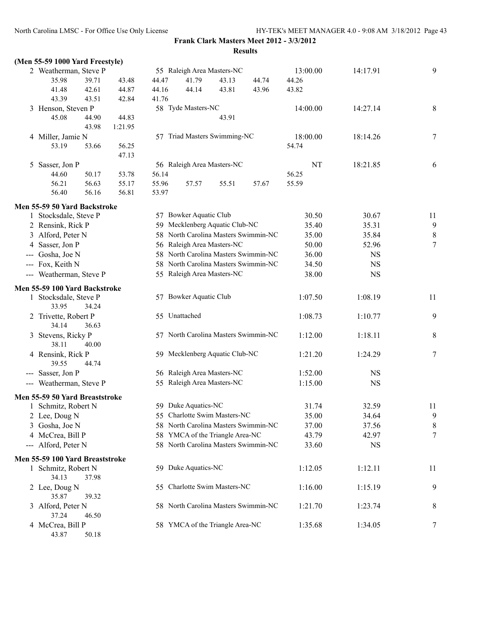| (Men 55-59 1000 Yard Freestyle)     |       |         |       |                                      |       |       |          |           |                |
|-------------------------------------|-------|---------|-------|--------------------------------------|-------|-------|----------|-----------|----------------|
| 2 Weatherman, Steve P               |       |         |       | 55 Raleigh Area Masters-NC           |       |       | 13:00.00 | 14:17.91  | 9              |
| 35.98                               | 39.71 | 43.48   | 44.47 | 41.79                                | 43.13 | 44.74 | 44.26    |           |                |
| 41.48                               | 42.61 | 44.87   | 44.16 | 44.14                                | 43.81 | 43.96 | 43.82    |           |                |
| 43.39                               | 43.51 | 42.84   | 41.76 |                                      |       |       |          |           |                |
| 3 Henson, Steven P                  |       |         |       | 58 Tyde Masters-NC                   |       |       | 14:00.00 | 14:27.14  | $\,8\,$        |
| 45.08                               | 44.90 | 44.83   |       |                                      | 43.91 |       |          |           |                |
|                                     | 43.98 | 1:21.95 |       |                                      |       |       |          |           |                |
| 4 Miller, Jamie N                   |       |         |       | 57 Triad Masters Swimming-NC         |       |       | 18:00.00 | 18:14.26  | 7              |
| 53.19                               | 53.66 | 56.25   |       |                                      |       |       | 54.74    |           |                |
|                                     |       | 47.13   |       |                                      |       |       |          |           |                |
|                                     |       |         |       | 56 Raleigh Area Masters-NC           |       |       |          |           |                |
| 5 Sasser, Jon P                     |       |         |       |                                      |       |       | NT       | 18:21.85  | 6              |
| 44.60                               | 50.17 | 53.78   | 56.14 |                                      |       |       | 56.25    |           |                |
| 56.21                               | 56.63 | 55.17   | 55.96 | 57.57                                | 55.51 | 57.67 | 55.59    |           |                |
| 56.40                               | 56.16 | 56.81   | 53.97 |                                      |       |       |          |           |                |
| Men 55-59 50 Yard Backstroke        |       |         |       |                                      |       |       |          |           |                |
| 1 Stocksdale, Steve P               |       |         |       | 57 Bowker Aquatic Club               |       |       | 30.50    | 30.67     | 11             |
| 2 Rensink, Rick P                   |       |         |       | 59 Mecklenberg Aquatic Club-NC       |       |       | 35.40    | 35.31     | 9              |
| 3 Alford, Peter N                   |       |         |       | 58 North Carolina Masters Swimmin-NC |       |       | 35.00    | 35.84     | $\,$ $\,$      |
| 4 Sasser, Jon P                     |       |         |       | 56 Raleigh Area Masters-NC           |       |       | 50.00    | 52.96     | $\tau$         |
| Gosha, Joe N<br>$\qquad \qquad - -$ |       |         |       | 58 North Carolina Masters Swimmin-NC |       |       | 36.00    | <b>NS</b> |                |
| --- Fox, Keith N                    |       |         |       | 58 North Carolina Masters Swimmin-NC |       |       | 34.50    | <b>NS</b> |                |
|                                     |       |         |       |                                      |       |       |          |           |                |
| --- Weatherman, Steve P             |       |         |       | 55 Raleigh Area Masters-NC           |       |       | 38.00    | <b>NS</b> |                |
| Men 55-59 100 Yard Backstroke       |       |         |       |                                      |       |       |          |           |                |
| 1 Stocksdale, Steve P               |       |         |       | 57 Bowker Aquatic Club               |       |       | 1:07.50  | 1:08.19   | 11             |
| 33.95                               | 34.24 |         |       |                                      |       |       |          |           |                |
| 2 Trivette, Robert P                |       |         |       | 55 Unattached                        |       |       | 1:08.73  | 1:10.77   | 9              |
| 34.14                               | 36.63 |         |       |                                      |       |       |          |           |                |
| 3 Stevens, Ricky P                  |       |         |       | 57 North Carolina Masters Swimmin-NC |       |       | 1:12.00  | 1:18.11   | 8              |
| 38.11                               | 40.00 |         |       |                                      |       |       |          |           |                |
| 4 Rensink, Rick P                   |       |         |       | 59 Mecklenberg Aquatic Club-NC       |       |       | 1:21.20  | 1:24.29   | 7              |
| 39.55                               | 44.74 |         |       |                                      |       |       |          |           |                |
| --- Sasser, Jon P                   |       |         |       | 56 Raleigh Area Masters-NC           |       |       | 1:52.00  | <b>NS</b> |                |
| --- Weatherman, Steve P             |       |         |       | 55 Raleigh Area Masters-NC           |       |       | 1:15.00  | <b>NS</b> |                |
|                                     |       |         |       |                                      |       |       |          |           |                |
| Men 55-59 50 Yard Breaststroke      |       |         |       |                                      |       |       |          |           |                |
| 1 Schmitz, Robert N                 |       |         |       | 59 Duke Aquatics-NC                  |       |       | 31.74    | 32.59     | 11             |
| 2 Lee, Doug N                       |       |         |       | 55 Charlotte Swim Masters-NC         |       |       | 35.00    | 34.64     | $\overline{9}$ |
| 3 Gosha, Joe N                      |       |         |       | 58 North Carolina Masters Swimmin-NC |       |       | 37.00    | 37.56     | 8              |
| 4 McCrea, Bill P                    |       |         |       | 58 YMCA of the Triangle Area-NC      |       |       | 43.79    | 42.97     | 7              |
| --- Alford, Peter N                 |       |         |       | 58 North Carolina Masters Swimmin-NC |       |       | 33.60    | <b>NS</b> |                |
| Men 55-59 100 Yard Breaststroke     |       |         |       |                                      |       |       |          |           |                |
| 1 Schmitz, Robert N                 |       |         |       | 59 Duke Aquatics-NC                  |       |       | 1:12.05  | 1:12.11   | 11             |
| 34.13                               | 37.98 |         |       |                                      |       |       |          |           |                |
| 2 Lee, Doug N                       |       |         | 55.   | Charlotte Swim Masters-NC            |       |       | 1:16.00  | 1:15.19   | 9              |
| 35.87                               | 39.32 |         |       |                                      |       |       |          |           |                |
| 3 Alford, Peter N                   |       |         |       | 58 North Carolina Masters Swimmin-NC |       |       | 1:21.70  | 1:23.74   | 8              |
| 37.24                               | 46.50 |         |       |                                      |       |       |          |           |                |
| 4 McCrea, Bill P                    |       |         |       | 58 YMCA of the Triangle Area-NC      |       |       | 1:35.68  | 1:34.05   | 7              |
| 43.87                               | 50.18 |         |       |                                      |       |       |          |           |                |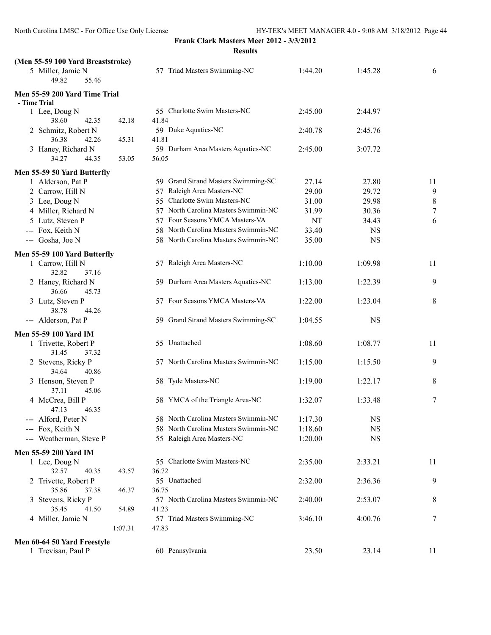**Frank Clark Masters Meet 2012 - 3/3/2012**

**Results**

| (Men 55-59 100 Yard Breaststroke)       |         |                                               |           |           |                  |
|-----------------------------------------|---------|-----------------------------------------------|-----------|-----------|------------------|
| 5 Miller, Jamie N<br>49.82<br>55.46     |         | 57 Triad Masters Swimming-NC                  | 1:44.20   | 1:45.28   | 6                |
| Men 55-59 200 Yard Time Trial           |         |                                               |           |           |                  |
| - Time Trial                            |         |                                               |           |           |                  |
| 1 Lee, Doug N                           |         | 55 Charlotte Swim Masters-NC                  | 2:45.00   | 2:44.97   |                  |
| 38.60<br>42.35<br>2 Schmitz, Robert N   | 42.18   | 41.84<br>59 Duke Aquatics-NC                  | 2:40.78   | 2:45.76   |                  |
| 36.38<br>42.26                          | 45.31   | 41.81                                         |           |           |                  |
| 3 Haney, Richard N                      |         | 59 Durham Area Masters Aquatics-NC            | 2:45.00   | 3:07.72   |                  |
| 34.27<br>44.35                          | 53.05   | 56.05                                         |           |           |                  |
| Men 55-59 50 Yard Butterfly             |         |                                               |           |           |                  |
| 1 Alderson, Pat P                       |         | 59 Grand Strand Masters Swimming-SC           | 27.14     | 27.80     | 11               |
| 2 Carrow, Hill N                        |         | 57 Raleigh Area Masters-NC                    | 29.00     | 29.72     | 9                |
| 3 Lee, Doug N                           |         | 55 Charlotte Swim Masters-NC                  | 31.00     | 29.98     | $\,8\,$          |
| 4 Miller, Richard N                     |         | 57 North Carolina Masters Swimmin-NC          | 31.99     | 30.36     | $\boldsymbol{7}$ |
| 5 Lutz, Steven P                        |         | 57 Four Seasons YMCA Masters-VA               | <b>NT</b> | 34.43     | 6                |
| --- Fox, Keith N                        |         | 58 North Carolina Masters Swimmin-NC          | 33.40     | <b>NS</b> |                  |
|                                         |         | 58 North Carolina Masters Swimmin-NC          | 35.00     | <b>NS</b> |                  |
| --- Gosha, Joe N                        |         |                                               |           |           |                  |
| Men 55-59 100 Yard Butterfly            |         |                                               |           |           |                  |
| 1 Carrow, Hill N<br>32.82<br>37.16      |         | 57 Raleigh Area Masters-NC                    | 1:10.00   | 1:09.98   | 11               |
| 2 Haney, Richard N<br>36.66<br>45.73    |         | 59 Durham Area Masters Aquatics-NC            | 1:13.00   | 1:22.39   | 9                |
| 3 Lutz, Steven P                        |         | 57 Four Seasons YMCA Masters-VA               | 1:22.00   | 1:23.04   | 8                |
| 38.78<br>44.26                          |         |                                               |           |           |                  |
| --- Alderson, Pat P                     |         | 59 Grand Strand Masters Swimming-SC           | 1:04.55   | <b>NS</b> |                  |
| Men 55-59 100 Yard IM                   |         |                                               |           |           |                  |
| 1 Trivette, Robert P                    |         | 55 Unattached                                 | 1:08.60   | 1:08.77   | 11               |
| 31.45<br>37.32                          |         |                                               |           |           |                  |
| 2 Stevens, Ricky P<br>34.64<br>40.86    |         | 57 North Carolina Masters Swimmin-NC          | 1:15.00   | 1:15.50   | 9                |
| 3 Henson, Steven P                      |         | 58 Tyde Masters-NC                            | 1:19.00   | 1:22.17   | 8                |
| 37.11<br>45.06                          |         |                                               |           |           |                  |
| 4 McCrea, Bill P<br>46.35<br>47.13      |         | 58 YMCA of the Triangle Area-NC               | 1:32.07   | 1:33.48   | 7                |
| --- Alford, Peter N                     |         | 58 North Carolina Masters Swimmin-NC          | 1:17.30   | <b>NS</b> |                  |
| --- Fox, Keith N                        |         | 58 North Carolina Masters Swimmin-NC          | 1:18.60   | <b>NS</b> |                  |
| --- Weatherman, Steve P                 |         | 55 Raleigh Area Masters-NC                    | 1:20.00   | <b>NS</b> |                  |
|                                         |         |                                               |           |           |                  |
| Men 55-59 200 Yard IM                   |         |                                               |           |           |                  |
| 1 Lee, Doug N                           |         | 55 Charlotte Swim Masters-NC                  | 2:35.00   | 2:33.21   | 11               |
| 32.57<br>40.35                          | 43.57   | 36.72                                         |           |           |                  |
| 2 Trivette, Robert P                    |         | 55 Unattached                                 | 2:32.00   | 2:36.36   | 9                |
| 35.86<br>37.38                          | 46.37   | 36.75                                         |           |           |                  |
| Stevens, Ricky P<br>3<br>35.45<br>41.50 | 54.89   | 57 North Carolina Masters Swimmin-NC<br>41.23 | 2:40.00   | 2:53.07   | 8                |
| 4 Miller, Jamie N                       |         | 57 Triad Masters Swimming-NC                  | 3:46.10   | 4:00.76   | 7                |
|                                         | 1:07.31 | 47.83                                         |           |           |                  |
|                                         |         |                                               |           |           |                  |
| Men 60-64 50 Yard Freestyle             |         |                                               |           |           |                  |
| 1 Trevisan, Paul P                      |         | 60 Pennsylvania                               | 23.50     | 23.14     | 11               |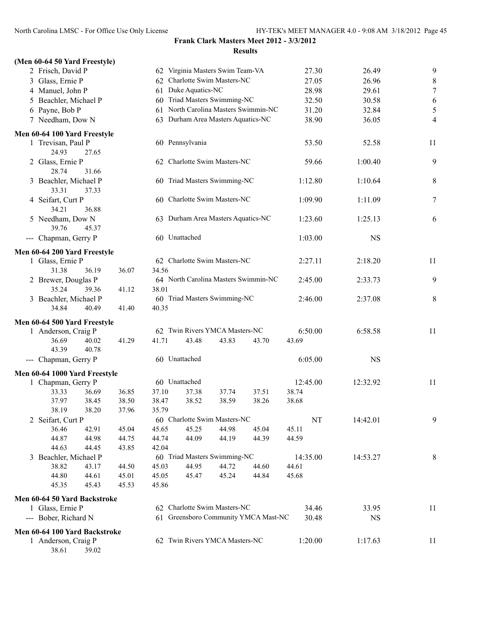38.61 39.02

# **Frank Clark Masters Meet 2012 - 3/3/2012**

|                                |                |       |                                      |       | <b>Results</b> |          |           |                |
|--------------------------------|----------------|-------|--------------------------------------|-------|----------------|----------|-----------|----------------|
| (Men 60-64 50 Yard Freestyle)  |                |       |                                      |       |                |          |           |                |
| 2 Frisch, David P              |                |       | 62 Virginia Masters Swim Team-VA     |       |                | 27.30    | 26.49     | 9              |
| 3 Glass, Ernie P               |                |       | 62 Charlotte Swim Masters-NC         |       |                | 27.05    | 26.96     | 8              |
| 4 Manuel, John P               |                |       | 61 Duke Aquatics-NC                  |       |                | 28.98    | 29.61     | $\overline{7}$ |
| 5 Beachler, Michael P          |                |       | 60 Triad Masters Swimming-NC         |       |                | 32.50    | 30.58     | 6              |
| 6 Payne, Bob P                 |                |       | 61 North Carolina Masters Swimmin-NC |       |                | 31.20    | 32.84     | 5              |
| 7 Needham, Dow N               |                |       | 63 Durham Area Masters Aquatics-NC   |       |                | 38.90    | 36.05     | 4              |
| Men 60-64 100 Yard Freestyle   |                |       |                                      |       |                |          |           |                |
| 1 Trevisan, Paul P<br>24.93    | 27.65          |       | 60 Pennsylvania                      |       |                | 53.50    | 52.58     | 11             |
| 2 Glass, Ernie P<br>28.74      | 31.66          |       | 62 Charlotte Swim Masters-NC         |       |                | 59.66    | 1:00.40   | 9              |
| 3 Beachler, Michael P<br>33.31 | 37.33          |       | 60 Triad Masters Swimming-NC         |       |                | 1:12.80  | 1:10.64   | 8              |
| 4 Seifart, Curt P<br>34.21     | 36.88          |       | 60 Charlotte Swim Masters-NC         |       |                | 1:09.90  | 1:11.09   | 7              |
| 5 Needham, Dow N<br>39.76      | 45.37          |       | 63 Durham Area Masters Aquatics-NC   |       |                | 1:23.60  | 1:25.13   | 6              |
| --- Chapman, Gerry P           |                |       | 60 Unattached                        |       |                | 1:03.00  | <b>NS</b> |                |
| Men 60-64 200 Yard Freestyle   |                |       | 62 Charlotte Swim Masters-NC         |       |                | 2:27.11  | 2:18.20   | 11             |
| 1 Glass, Ernie P<br>31.38      | 36.19<br>36.07 | 34.56 |                                      |       |                |          |           |                |
| 2 Brewer, Douglas P            |                |       | 64 North Carolina Masters Swimmin-NC |       |                | 2:45.00  | 2:33.73   | 9              |
| 35.24                          | 39.36<br>41.12 | 38.01 |                                      |       |                |          |           |                |
| 3 Beachler, Michael P          |                |       | 60 Triad Masters Swimming-NC         |       |                | 2:46.00  | 2:37.08   | 8              |
| 34.84                          | 40.49<br>41.40 | 40.35 |                                      |       |                |          |           |                |
| Men 60-64 500 Yard Freestyle   |                |       |                                      |       |                |          |           |                |
| 1 Anderson, Craig P            |                |       | 62 Twin Rivers YMCA Masters-NC       |       |                | 6:50.00  | 6:58.58   | 11             |
| 36.69                          | 40.02<br>41.29 | 41.71 | 43.48                                | 43.83 | 43.70          | 43.69    |           |                |
| 43.39                          | 40.78          |       |                                      |       |                |          |           |                |
| --- Chapman, Gerry P           |                |       | 60 Unattached                        |       |                | 6:05.00  | <b>NS</b> |                |
| Men 60-64 1000 Yard Freestyle  |                |       |                                      |       |                |          |           |                |
| 1 Chapman, Gerry P             |                |       | 60 Unattached                        |       |                | 12:45.00 | 12:32.92  | 11             |
| 33.33                          | 36.69<br>36.85 | 37.10 | 37.38                                | 37.74 | 37.51          | 38.74    |           |                |
| 37.97                          | 38.50<br>38.45 | 38.47 | 38.52                                | 38.59 | 38.26          | 38.68    |           |                |
| 38.19                          | 38.20<br>37.96 | 35.79 |                                      |       |                |          |           |                |
| 2 Seifart, Curt P              |                |       | 60 Charlotte Swim Masters-NC         |       |                | NT       | 14:42.01  | 9              |
| 36.46                          | 42.91<br>45.04 | 45.65 | 45.25                                | 44.98 | 45.04          | 45.11    |           |                |
| 44.87                          | 44.98<br>44.75 | 44.74 | 44.09                                | 44.19 | 44.39          | 44.59    |           |                |
| 44.63                          | 44.45<br>43.85 | 42.04 |                                      |       |                |          |           |                |
| 3 Beachler, Michael P          |                |       | 60 Triad Masters Swimming-NC         |       |                | 14:35.00 | 14:53.27  | 8              |
| 38.82                          | 43.17<br>44.50 | 45.03 | 44.95                                | 44.72 | 44.60          | 44.61    |           |                |
| 44.80                          | 44.61<br>45.01 | 45.05 | 45.47                                | 45.24 | 44.84          | 45.68    |           |                |
| 45.35                          | 45.43<br>45.53 | 45.86 |                                      |       |                |          |           |                |
| Men 60-64 50 Yard Backstroke   |                |       |                                      |       |                |          |           |                |
| 1 Glass, Ernie P               |                |       | 62 Charlotte Swim Masters-NC         |       |                | 34.46    | 33.95     | 11             |
| --- Bober, Richard N           |                |       | 61 Greensboro Community YMCA Mast-NC |       |                | 30.48    | <b>NS</b> |                |
| Men 60-64 100 Yard Backstroke  |                |       |                                      |       |                |          |           |                |
| 1 Anderson, Craig P            |                |       | 62 Twin Rivers YMCA Masters-NC       |       |                | 1:20.00  | 1:17.63   | 11             |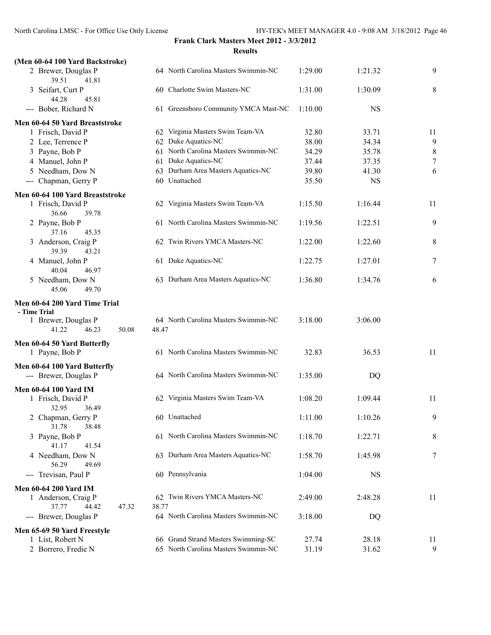## **Frank Clark Masters Meet 2012 - 3/3/2012**

|                                 | Frank Clark Masters Meet 2012 - 3/3/2012                                    |                                                                                                                                                                                                                                                                                                                                                                                                                                                                                                                                                                                                                                                                                                                                                                 |                                           |  |  |  |  |
|---------------------------------|-----------------------------------------------------------------------------|-----------------------------------------------------------------------------------------------------------------------------------------------------------------------------------------------------------------------------------------------------------------------------------------------------------------------------------------------------------------------------------------------------------------------------------------------------------------------------------------------------------------------------------------------------------------------------------------------------------------------------------------------------------------------------------------------------------------------------------------------------------------|-------------------------------------------|--|--|--|--|
|                                 | <b>Results</b>                                                              |                                                                                                                                                                                                                                                                                                                                                                                                                                                                                                                                                                                                                                                                                                                                                                 |                                           |  |  |  |  |
| (Men 60-64 100 Yard Backstroke) |                                                                             |                                                                                                                                                                                                                                                                                                                                                                                                                                                                                                                                                                                                                                                                                                                                                                 |                                           |  |  |  |  |
|                                 |                                                                             | 1:29.00                                                                                                                                                                                                                                                                                                                                                                                                                                                                                                                                                                                                                                                                                                                                                         | 1:21.32                                   |  |  |  |  |
|                                 |                                                                             | 1:31.00                                                                                                                                                                                                                                                                                                                                                                                                                                                                                                                                                                                                                                                                                                                                                         | 1:30.09                                   |  |  |  |  |
|                                 |                                                                             | 1:10.00                                                                                                                                                                                                                                                                                                                                                                                                                                                                                                                                                                                                                                                                                                                                                         | <b>NS</b>                                 |  |  |  |  |
| Men 60-64 50 Yard Breaststroke  |                                                                             |                                                                                                                                                                                                                                                                                                                                                                                                                                                                                                                                                                                                                                                                                                                                                                 |                                           |  |  |  |  |
|                                 |                                                                             |                                                                                                                                                                                                                                                                                                                                                                                                                                                                                                                                                                                                                                                                                                                                                                 | 33.71                                     |  |  |  |  |
|                                 |                                                                             |                                                                                                                                                                                                                                                                                                                                                                                                                                                                                                                                                                                                                                                                                                                                                                 | 34.34                                     |  |  |  |  |
|                                 |                                                                             |                                                                                                                                                                                                                                                                                                                                                                                                                                                                                                                                                                                                                                                                                                                                                                 | 35.78                                     |  |  |  |  |
|                                 |                                                                             |                                                                                                                                                                                                                                                                                                                                                                                                                                                                                                                                                                                                                                                                                                                                                                 | 37.35                                     |  |  |  |  |
|                                 |                                                                             |                                                                                                                                                                                                                                                                                                                                                                                                                                                                                                                                                                                                                                                                                                                                                                 | 41.30                                     |  |  |  |  |
|                                 |                                                                             | 35.50                                                                                                                                                                                                                                                                                                                                                                                                                                                                                                                                                                                                                                                                                                                                                           | <b>NS</b>                                 |  |  |  |  |
|                                 |                                                                             |                                                                                                                                                                                                                                                                                                                                                                                                                                                                                                                                                                                                                                                                                                                                                                 |                                           |  |  |  |  |
|                                 |                                                                             | 1:15.50                                                                                                                                                                                                                                                                                                                                                                                                                                                                                                                                                                                                                                                                                                                                                         | 1:16.44                                   |  |  |  |  |
|                                 |                                                                             | 1:19.56                                                                                                                                                                                                                                                                                                                                                                                                                                                                                                                                                                                                                                                                                                                                                         | 1:22.51                                   |  |  |  |  |
|                                 |                                                                             | 1:22.00                                                                                                                                                                                                                                                                                                                                                                                                                                                                                                                                                                                                                                                                                                                                                         | 1:22.60                                   |  |  |  |  |
|                                 |                                                                             | 1:22.75                                                                                                                                                                                                                                                                                                                                                                                                                                                                                                                                                                                                                                                                                                                                                         | 1:27.01                                   |  |  |  |  |
|                                 |                                                                             | 1:36.80                                                                                                                                                                                                                                                                                                                                                                                                                                                                                                                                                                                                                                                                                                                                                         | 1:34.76                                   |  |  |  |  |
| Men 60-64 200 Yard Time Trial   |                                                                             |                                                                                                                                                                                                                                                                                                                                                                                                                                                                                                                                                                                                                                                                                                                                                                 |                                           |  |  |  |  |
| 50.08                           |                                                                             | 3:18.00                                                                                                                                                                                                                                                                                                                                                                                                                                                                                                                                                                                                                                                                                                                                                         | 3:06.00                                   |  |  |  |  |
|                                 |                                                                             | 32.83                                                                                                                                                                                                                                                                                                                                                                                                                                                                                                                                                                                                                                                                                                                                                           | 36.53                                     |  |  |  |  |
|                                 |                                                                             | 1:35.00                                                                                                                                                                                                                                                                                                                                                                                                                                                                                                                                                                                                                                                                                                                                                         | DQ                                        |  |  |  |  |
|                                 |                                                                             | 1:08.20                                                                                                                                                                                                                                                                                                                                                                                                                                                                                                                                                                                                                                                                                                                                                         | 1:09.44                                   |  |  |  |  |
|                                 |                                                                             | 1:11.00                                                                                                                                                                                                                                                                                                                                                                                                                                                                                                                                                                                                                                                                                                                                                         | 1:10.26                                   |  |  |  |  |
|                                 |                                                                             | 1:18.70                                                                                                                                                                                                                                                                                                                                                                                                                                                                                                                                                                                                                                                                                                                                                         | 1:22.71                                   |  |  |  |  |
|                                 |                                                                             | 1:58.70                                                                                                                                                                                                                                                                                                                                                                                                                                                                                                                                                                                                                                                                                                                                                         | 1:45.98                                   |  |  |  |  |
|                                 |                                                                             | 1:04.00                                                                                                                                                                                                                                                                                                                                                                                                                                                                                                                                                                                                                                                                                                                                                         | <b>NS</b>                                 |  |  |  |  |
|                                 |                                                                             |                                                                                                                                                                                                                                                                                                                                                                                                                                                                                                                                                                                                                                                                                                                                                                 |                                           |  |  |  |  |
|                                 |                                                                             | 2:49.00                                                                                                                                                                                                                                                                                                                                                                                                                                                                                                                                                                                                                                                                                                                                                         | 2:48.28                                   |  |  |  |  |
| 38.77<br>47.32                  | 62 Twin Rivers YMCA Masters-NC                                              |                                                                                                                                                                                                                                                                                                                                                                                                                                                                                                                                                                                                                                                                                                                                                                 |                                           |  |  |  |  |
|                                 | 64 North Carolina Masters Swimmin-NC                                        | 3:18.00                                                                                                                                                                                                                                                                                                                                                                                                                                                                                                                                                                                                                                                                                                                                                         |                                           |  |  |  |  |
|                                 |                                                                             |                                                                                                                                                                                                                                                                                                                                                                                                                                                                                                                                                                                                                                                                                                                                                                 | DQ                                        |  |  |  |  |
|                                 | 66 Grand Strand Masters Swimming-SC<br>65 North Carolina Masters Swimmin-NC | 27.74<br>31.19                                                                                                                                                                                                                                                                                                                                                                                                                                                                                                                                                                                                                                                                                                                                                  | 28.18<br>31.62                            |  |  |  |  |
|                                 | Men 60-64 100 Yard Breaststroke                                             | 64 North Carolina Masters Swimmin-NC<br>60 Charlotte Swim Masters-NC<br>61 Greensboro Community YMCA Mast-NC<br>62 Virginia Masters Swim Team-VA<br>62 Duke Aquatics-NC<br>61 North Carolina Masters Swimmin-NC<br>61 Duke Aquatics-NC<br>63 Durham Area Masters Aquatics-NC<br>60 Unattached<br>62 Virginia Masters Swim Team-VA<br>61 North Carolina Masters Swimmin-NC<br>62 Twin Rivers YMCA Masters-NC<br>61 Duke Aquatics-NC<br>63 Durham Area Masters Aquatics-NC<br>64 North Carolina Masters Swimmin-NC<br>48.47<br>61 North Carolina Masters Swimmin-NC<br>64 North Carolina Masters Swimmin-NC<br>62 Virginia Masters Swim Team-VA<br>60 Unattached<br>61 North Carolina Masters Swimmin-NC<br>63 Durham Area Masters Aquatics-NC<br>60 Pennsylvania | 32.80<br>38.00<br>34.29<br>37.44<br>39.80 |  |  |  |  |

| 2 Brewer, Douglas P<br>39.51<br>41.81           |       | 64 North Carolina Masters Swimmin-NC | 1:29.00        | 1:21.32   | 9              |
|-------------------------------------------------|-------|--------------------------------------|----------------|-----------|----------------|
| 3 Seifart, Curt P<br>44.28<br>45.81             |       | 60 Charlotte Swim Masters-NC         | 1:31.00        | 1:30.09   | 8              |
| -- Bober, Richard N                             |       | 61 Greensboro Community YMCA Mast-NC | 1:10.00        | <b>NS</b> |                |
| 60-64 50 Yard Breaststroke                      |       |                                      |                |           |                |
| 1 Frisch, David P                               |       | 62 Virginia Masters Swim Team-VA     | 32.80          | 33.71     | 11             |
| 2 Lee, Terrence P                               |       | 62 Duke Aquatics-NC                  | 38.00          | 34.34     | 9              |
| 3 Payne, Bob P                                  |       | 61 North Carolina Masters Swimmin-NC | 34.29          | 35.78     | $\,$ 8 $\,$    |
| 4 Manuel, John P                                |       | 61 Duke Aquatics-NC                  | 37.44          | 37.35     | $\tau$         |
| 5 Needham, Dow N                                |       | 63 Durham Area Masters Aquatics-NC   | 39.80          | 41.30     | 6              |
| -- Chapman, Gerry P                             |       | 60 Unattached                        | 35.50          | <b>NS</b> |                |
| 60-64 100 Yard Breaststroke                     |       |                                      |                |           |                |
| 1 Frisch, David P<br>36.66<br>39.78             |       | 62 Virginia Masters Swim Team-VA     | 1:15.50        | 1:16.44   | 11             |
| 2 Payne, Bob P                                  |       | 61 North Carolina Masters Swimmin-NC | 1:19.56        | 1:22.51   | 9              |
| 37.16<br>45.35                                  |       |                                      |                |           |                |
| 3 Anderson, Craig P<br>39.39<br>43.21           |       | 62 Twin Rivers YMCA Masters-NC       | 1:22.00        | 1:22.60   | 8              |
| 4 Manuel, John P                                |       | 61 Duke Aquatics-NC                  | 1:22.75        | 1:27.01   | 7              |
| 40.04<br>46.97                                  |       |                                      |                |           |                |
| 5 Needham, Dow N<br>45.06<br>49.70              |       | 63 Durham Area Masters Aquatics-NC   | 1:36.80        | 1:34.76   | 6              |
| 60-64 200 Yard Time Trial                       |       |                                      |                |           |                |
| me Trial                                        |       |                                      |                |           |                |
| 1 Brewer, Douglas P                             |       | 64 North Carolina Masters Swimmin-NC | 3:18.00        | 3:06.00   |                |
| 41.22<br>46.23<br>50.08                         | 48.47 |                                      |                |           |                |
| 60-64 50 Yard Butterfly                         |       |                                      |                |           |                |
| 1 Payne, Bob P                                  |       | 61 North Carolina Masters Swimmin-NC | 32.83          | 36.53     | 11             |
| 60-64 100 Yard Butterfly                        |       |                                      |                |           |                |
| -- Brewer, Douglas P                            |       | 64 North Carolina Masters Swimmin-NC | 1:35.00        | DQ        |                |
| 60-64 100 Yard IM                               |       |                                      |                |           |                |
| 1 Frisch, David P<br>32.95<br>36.49             |       | 62 Virginia Masters Swim Team-VA     | 1:08.20        | 1:09.44   | 11             |
| 2 Chapman, Gerry P                              |       | 60 Unattached                        | 1:11.00        | 1:10.26   | 9              |
| 31.78 38.48                                     |       |                                      |                |           |                |
| 3 Payne, Bob P<br>41.17<br>41.54                |       | 61 North Carolina Masters Swimmin-NC | 1:18.70        | 1:22.71   | 8              |
| 4 Needham, Dow N                                |       | 63 Durham Area Masters Aquatics-NC   | 1:58.70        | 1:45.98   | $\overline{7}$ |
| 56.29<br>49.69                                  |       |                                      |                |           |                |
| -- Trevisan, Paul P                             |       | 60 Pennsylvania                      | 1:04.00        | <b>NS</b> |                |
| 60-64 200 Yard IM                               |       |                                      |                |           |                |
| 1 Anderson, Craig P                             |       | 62 Twin Rivers YMCA Masters-NC       | 2:49.00        | 2:48.28   | 11             |
| 37.77<br>47.32<br>44.42<br>-- Brewer, Douglas P | 38.77 | 64 North Carolina Masters Swimmin-NC | 3:18.00        | DQ        |                |
|                                                 |       |                                      |                |           |                |
| 65-69 50 Yard Freestyle<br>1 List, Robert N     |       | 66 Grand Strand Masters Swimming-SC  |                | 28.18     |                |
| 2 Borrero, Fredie N                             |       | 65 North Carolina Masters Swimmin-NC | 27.74<br>31.19 | 31.62     | 11<br>9        |
|                                                 |       |                                      |                |           |                |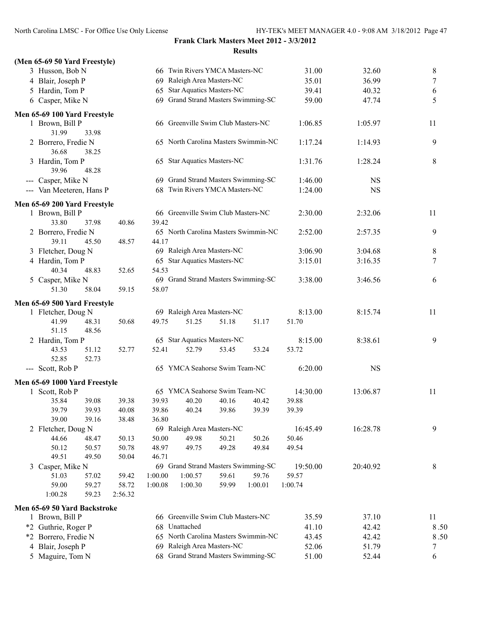| (Men 65-69 50 Yard Freestyle) |       |         |         |                                                  |       |                                      |          |           |      |
|-------------------------------|-------|---------|---------|--------------------------------------------------|-------|--------------------------------------|----------|-----------|------|
| 3 Husson, Bob N               |       |         |         | 66 Twin Rivers YMCA Masters-NC                   |       |                                      | 31.00    | 32.60     | 8    |
| 4 Blair, Joseph P             |       |         |         | 69 Raleigh Area Masters-NC                       |       |                                      | 35.01    | 36.99     | 7    |
| 5 Hardin, Tom P               |       |         | 65      | <b>Star Aquatics Masters-NC</b>                  |       |                                      | 39.41    | 40.32     | 6    |
| 6 Casper, Mike N              |       |         |         | 69 Grand Strand Masters Swimming-SC              |       |                                      | 59.00    | 47.74     | 5    |
| Men 65-69 100 Yard Freestyle  |       |         |         |                                                  |       |                                      |          |           |      |
| 1 Brown, Bill P<br>31.99      | 33.98 |         |         | 66 Greenville Swim Club Masters-NC               |       |                                      | 1:06.85  | 1:05.97   | 11   |
| 2 Borrero, Fredie N<br>36.68  | 38.25 |         |         |                                                  |       | 65 North Carolina Masters Swimmin-NC | 1:17.24  | 1:14.93   | 9    |
| 3 Hardin, Tom P<br>39.96      | 48.28 |         |         | 65 Star Aquatics Masters-NC                      |       |                                      | 1:31.76  | 1:28.24   | 8    |
| --- Casper, Mike N            |       |         |         | 69 Grand Strand Masters Swimming-SC              |       |                                      | 1:46.00  | <b>NS</b> |      |
| --- Van Meeteren, Hans P      |       |         |         | 68 Twin Rivers YMCA Masters-NC                   |       |                                      | 1:24.00  | <b>NS</b> |      |
| Men 65-69 200 Yard Freestyle  |       |         |         |                                                  |       |                                      |          |           |      |
| 1 Brown, Bill P               |       |         |         | 66 Greenville Swim Club Masters-NC               |       |                                      | 2:30.00  | 2:32.06   | 11   |
| 33.80                         | 37.98 | 40.86   | 39.42   |                                                  |       |                                      |          |           |      |
| 2 Borrero, Fredie N           |       |         |         |                                                  |       | 65 North Carolina Masters Swimmin-NC | 2:52.00  | 2:57.35   | 9    |
| 39.11                         | 45.50 | 48.57   | 44.17   |                                                  |       |                                      |          |           |      |
| 3 Fletcher, Doug N            |       |         |         | 69 Raleigh Area Masters-NC                       |       |                                      | 3:06.90  | 3:04.68   | 8    |
| 4 Hardin, Tom P               |       |         |         | 65 Star Aquatics Masters-NC                      |       |                                      | 3:15.01  | 3:16.35   | 7    |
| 40.34                         | 48.83 | 52.65   | 54.53   |                                                  |       |                                      |          |           |      |
| 5 Casper, Mike N              |       |         |         | 69 Grand Strand Masters Swimming-SC              |       |                                      | 3:38.00  | 3:46.56   | 6    |
| 51.30                         | 58.04 | 59.15   | 58.07   |                                                  |       |                                      |          |           |      |
| Men 65-69 500 Yard Freestyle  |       |         |         |                                                  |       |                                      |          |           |      |
| 1 Fletcher, Doug N            |       |         |         | 69 Raleigh Area Masters-NC                       |       |                                      | 8:13.00  | 8:15.74   | 11   |
| 41.99                         | 48.31 | 50.68   | 49.75   | 51.25                                            | 51.18 | 51.17                                | 51.70    |           |      |
| 51.15                         | 48.56 |         |         |                                                  |       |                                      |          |           |      |
| 2 Hardin, Tom P               |       |         |         | 65 Star Aquatics Masters-NC                      |       |                                      | 8:15.00  | 8:38.61   | 9    |
| 43.53                         | 51.12 | 52.77   | 52.41   | 52.79                                            | 53.45 | 53.24                                | 53.72    |           |      |
| 52.85                         | 52.73 |         |         |                                                  |       |                                      |          |           |      |
| --- Scott, Rob P              |       |         |         | 65 YMCA Seahorse Swim Team-NC                    |       |                                      | 6:20.00  | <b>NS</b> |      |
| Men 65-69 1000 Yard Freestyle |       |         |         |                                                  |       |                                      |          |           |      |
| 1 Scott, Rob P                |       |         |         | 65 YMCA Seahorse Swim Team-NC                    |       |                                      | 14:30.00 | 13:06.87  | 11   |
| 35.84                         | 39.08 | 39.38   | 39.93   | 40.20                                            | 40.16 | 40.42                                | 39.88    |           |      |
| 39.79                         | 39.93 | 40.08   | 39.86   | 40.24                                            | 39.86 | 39.39                                | 39.39    |           |      |
| 39.00                         | 39.16 | 38.48   | 36.80   |                                                  |       |                                      |          |           |      |
| 2 Fletcher, Doug N            |       |         |         | 69 Raleigh Area Masters-NC                       |       |                                      | 16:45.49 | 16:28.78  | 9    |
| 44.66                         | 48.47 | 50.13   | 50.00   | 49.98                                            | 50.21 | 50.26                                | 50.46    |           |      |
| 50.12                         | 50.57 | 50.78   | 48.97   | 49.75                                            | 49.28 | 49.84                                | 49.54    |           |      |
| 49.51                         | 49.50 | 50.04   | 46.71   | 69 Grand Strand Masters Swimming-SC              |       |                                      | 19:50.00 | 20:40.92  | 8    |
| 3 Casper, Mike N<br>51.03     | 57.02 | 59.42   | 1:00.00 | 1:00.57                                          | 59.61 | 59.76                                | 59.57    |           |      |
| 59.00                         | 59.27 | 58.72   | 1:00.08 | 1:00.30                                          | 59.99 | 1:00.01                              | 1:00.74  |           |      |
| 1:00.28                       | 59.23 | 2:56.32 |         |                                                  |       |                                      |          |           |      |
|                               |       |         |         |                                                  |       |                                      |          |           |      |
| Men 65-69 50 Yard Backstroke  |       |         |         |                                                  |       |                                      |          |           |      |
| 1 Brown, Bill P               |       |         |         | 66 Greenville Swim Club Masters-NC<br>Unattached |       |                                      | 35.59    | 37.10     | 11   |
| *2 Guthrie, Roger P           |       |         | 68      |                                                  |       |                                      | 41.10    | 42.42     | 8.50 |
| Borrero, Fredie N<br>*2       |       |         | 65      |                                                  |       | North Carolina Masters Swimmin-NC    | 43.45    | 42.42     | 8.50 |
| Blair, Joseph P<br>4          |       |         | 69      | Raleigh Area Masters-NC                          |       |                                      | 52.06    | 51.79     | 7    |
| 5 Maguire, Tom N              |       |         |         | 68 Grand Strand Masters Swimming-SC              |       |                                      | 51.00    | 52.44     | 6    |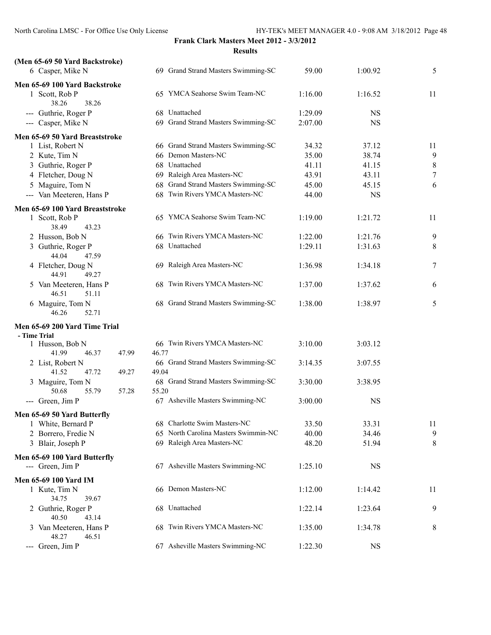| (Men 65-69 50 Yard Backstroke)                    |                                      |         |           |                |
|---------------------------------------------------|--------------------------------------|---------|-----------|----------------|
| 6 Casper, Mike N                                  | 69 Grand Strand Masters Swimming-SC  | 59.00   | 1:00.92   | 5              |
| Men 65-69 100 Yard Backstroke                     |                                      |         |           |                |
| 1 Scott, Rob P                                    | 65 YMCA Seahorse Swim Team-NC        | 1:16.00 | 1:16.52   | 11             |
| 38.26<br>38.26                                    |                                      |         |           |                |
| --- Guthrie, Roger P                              | 68 Unattached                        | 1:29.09 | <b>NS</b> |                |
| --- Casper, Mike N                                | 69 Grand Strand Masters Swimming-SC  | 2:07.00 | NS        |                |
| Men 65-69 50 Yard Breaststroke                    |                                      |         |           |                |
| 1 List, Robert N                                  | 66 Grand Strand Masters Swimming-SC  | 34.32   | 37.12     | 11             |
| 2 Kute, Tim N                                     | 66 Demon Masters-NC                  | 35.00   | 38.74     | 9              |
| 3 Guthrie, Roger P                                | 68 Unattached                        | 41.11   | 41.15     | 8              |
| 4 Fletcher, Doug N                                | 69 Raleigh Area Masters-NC           | 43.91   | 43.11     | $\overline{7}$ |
| 5 Maguire, Tom N                                  | 68 Grand Strand Masters Swimming-SC  | 45.00   | 45.15     | 6              |
| --- Van Meeteren, Hans P                          | 68 Twin Rivers YMCA Masters-NC       | 44.00   | <b>NS</b> |                |
| Men 65-69 100 Yard Breaststroke                   |                                      |         |           |                |
| 1 Scott, Rob P                                    | 65 YMCA Seahorse Swim Team-NC        | 1:19.00 | 1:21.72   | 11             |
| 38.49<br>43.23                                    |                                      |         |           |                |
| 2 Husson, Bob N                                   | 66 Twin Rivers YMCA Masters-NC       | 1:22.00 | 1:21.76   | 9              |
| 3 Guthrie, Roger P                                | 68 Unattached                        | 1:29.11 | 1:31.63   | 8              |
| 44.04<br>47.59                                    |                                      |         |           |                |
| 4 Fletcher, Doug N<br>44.91<br>49.27              | 69 Raleigh Area Masters-NC           | 1:36.98 | 1:34.18   | 7              |
| 5 Van Meeteren, Hans P<br>46.51<br>51.11          | 68 Twin Rivers YMCA Masters-NC       | 1:37.00 | 1:37.62   | 6              |
| 6 Maguire, Tom N<br>46.26<br>52.71                | 68 Grand Strand Masters Swimming-SC  | 1:38.00 | 1:38.97   | 5              |
| Men 65-69 200 Yard Time Trial                     |                                      |         |           |                |
| - Time Trial<br>1 Husson, Bob N                   | 66 Twin Rivers YMCA Masters-NC       | 3:10.00 | 3:03.12   |                |
| 41.99<br>46.37<br>47.99                           | 46.77                                |         |           |                |
| 2 List, Robert N                                  | 66 Grand Strand Masters Swimming-SC  | 3:14.35 | 3:07.55   |                |
| 41.52<br>47.72<br>49.27                           | 49.04                                |         |           |                |
| 3 Maguire, Tom N                                  | 68 Grand Strand Masters Swimming-SC  | 3:30.00 | 3:38.95   |                |
| 50.68<br>55.79<br>57.28                           | 55.20                                |         |           |                |
| --- Green, Jim P                                  | 67 Asheville Masters Swimming-NC     | 3:00.00 | <b>NS</b> |                |
|                                                   |                                      |         |           |                |
| Men 65-69 50 Yard Butterfly<br>1 White, Bernard P | 68 Charlotte Swim Masters-NC         |         | 33.31     |                |
|                                                   | 65 North Carolina Masters Swimmin-NC | 33.50   |           | 11             |
| 2 Borrero, Fredie N                               |                                      | 40.00   | 34.46     | 9              |
| 3 Blair, Joseph P                                 | 69 Raleigh Area Masters-NC           | 48.20   | 51.94     | 8              |
| Men 65-69 100 Yard Butterfly                      |                                      |         |           |                |
| --- Green, Jim P                                  | 67 Asheville Masters Swimming-NC     | 1:25.10 | <b>NS</b> |                |
| Men 65-69 100 Yard IM                             |                                      |         |           |                |
| 1 Kute, Tim N                                     | 66 Demon Masters-NC                  | 1:12.00 | 1:14.42   | 11             |
| 34.75<br>39.67                                    |                                      |         |           |                |
| 2 Guthrie, Roger P                                | 68 Unattached                        | 1:22.14 | 1:23.64   | 9              |
| 40.50<br>43.14                                    |                                      |         |           |                |
| 3 Van Meeteren, Hans P                            | 68 Twin Rivers YMCA Masters-NC       | 1:35.00 | 1:34.78   | 8              |
| 48.27<br>46.51                                    |                                      |         |           |                |
| Green, Jim P<br>$\qquad \qquad \cdots$            | 67 Asheville Masters Swimming-NC     | 1:22.30 | <b>NS</b> |                |
|                                                   |                                      |         |           |                |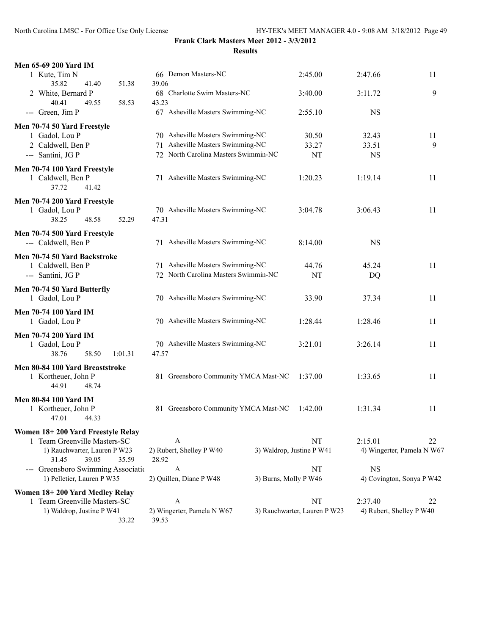| <b>Men 65-69 200 Yard IM</b>        |                                      |                              |                            |    |
|-------------------------------------|--------------------------------------|------------------------------|----------------------------|----|
| 1 Kute, Tim N                       | 66 Demon Masters-NC                  | 2:45.00                      | 2:47.66                    | 11 |
| 35.82<br>41.40<br>51.38             | 39.06                                |                              |                            |    |
| 2 White, Bernard P                  | 68 Charlotte Swim Masters-NC         | 3:40.00                      | 3:11.72                    | 9  |
| 40.41<br>49.55<br>58.53             | 43.23                                |                              |                            |    |
| --- Green, Jim P                    | 67 Asheville Masters Swimming-NC     | 2:55.10                      | <b>NS</b>                  |    |
| Men 70-74 50 Yard Freestyle         |                                      |                              |                            |    |
| 1 Gadol, Lou P                      | 70 Asheville Masters Swimming-NC     | 30.50                        | 32.43                      | 11 |
| 2 Caldwell, Ben P                   | 71 Asheville Masters Swimming-NC     | 33.27                        | 33.51                      | 9  |
| --- Santini, JG P                   | 72 North Carolina Masters Swimmin-NC | <b>NT</b>                    | <b>NS</b>                  |    |
|                                     |                                      |                              |                            |    |
| Men 70-74 100 Yard Freestyle        | 71 Asheville Masters Swimming-NC     |                              |                            |    |
| 1 Caldwell, Ben P<br>37.72<br>41.42 |                                      | 1:20.23                      | 1:19.14                    | 11 |
|                                     |                                      |                              |                            |    |
| Men 70-74 200 Yard Freestyle        |                                      |                              |                            |    |
| 1 Gadol, Lou P                      | 70 Asheville Masters Swimming-NC     | 3:04.78                      | 3:06.43                    | 11 |
| 38.25<br>48.58<br>52.29             | 47.31                                |                              |                            |    |
| Men 70-74 500 Yard Freestyle        |                                      |                              |                            |    |
| --- Caldwell, Ben P                 | 71 Asheville Masters Swimming-NC     | 8:14.00                      | <b>NS</b>                  |    |
| Men 70-74 50 Yard Backstroke        |                                      |                              |                            |    |
| 1 Caldwell, Ben P                   | 71 Asheville Masters Swimming-NC     | 44.76                        | 45.24                      | 11 |
| --- Santini, JG P                   | 72 North Carolina Masters Swimmin-NC | <b>NT</b>                    | DQ                         |    |
|                                     |                                      |                              |                            |    |
| Men 70-74 50 Yard Butterfly         |                                      |                              |                            |    |
| 1 Gadol, Lou P                      | 70 Asheville Masters Swimming-NC     | 33.90                        | 37.34                      | 11 |
| <b>Men 70-74 100 Yard IM</b>        |                                      |                              |                            |    |
| 1 Gadol, Lou P                      | 70 Asheville Masters Swimming-NC     | 1:28.44                      | 1:28.46                    | 11 |
| <b>Men 70-74 200 Yard IM</b>        |                                      |                              |                            |    |
| 1 Gadol, Lou P                      | 70 Asheville Masters Swimming-NC     | 3:21.01                      | 3:26.14                    | 11 |
| 38.76<br>58.50<br>1:01.31           | 47.57                                |                              |                            |    |
| Men 80-84 100 Yard Breaststroke     |                                      |                              |                            |    |
| 1 Kortheuer, John P                 | 81 Greensboro Community YMCA Mast-NC | 1:37.00                      | 1:33.65                    | 11 |
| 44.91<br>48.74                      |                                      |                              |                            |    |
|                                     |                                      |                              |                            |    |
| <b>Men 80-84 100 Yard IM</b>        |                                      |                              |                            |    |
| 1 Kortheuer, John P                 | 81 Greensboro Community YMCA Mast-NC | 1:42.00                      | 1:31.34                    | 11 |
| 47.01<br>44.33                      |                                      |                              |                            |    |
| Women 18+200 Yard Freestyle Relay   |                                      |                              |                            |    |
| 1 Team Greenville Masters-SC        | A                                    | NT                           | 2:15.01                    | 22 |
| 1) Rauchwarter, Lauren P W23        | 2) Rubert, Shelley P W40             | 3) Waldrop, Justine P W41    | 4) Wingerter, Pamela N W67 |    |
| 39.05<br>35.59<br>31.45             | 28.92                                |                              |                            |    |
| --- Greensboro Swimming Association | A                                    | NT                           | <b>NS</b>                  |    |
| 1) Pelletier, Lauren P W35          | 2) Quillen, Diane P W48              | 3) Burns, Molly P W46        | 4) Covington, Sonya P W42  |    |
| Women 18+200 Yard Medley Relay      |                                      |                              |                            |    |
| 1 Team Greenville Masters-SC        | A                                    | NT                           | 2:37.40                    | 22 |
| 1) Waldrop, Justine P W41           | 2) Wingerter, Pamela N W67           | 3) Rauchwarter, Lauren P W23 | 4) Rubert, Shelley P W40   |    |
| 33.22                               | 39.53                                |                              |                            |    |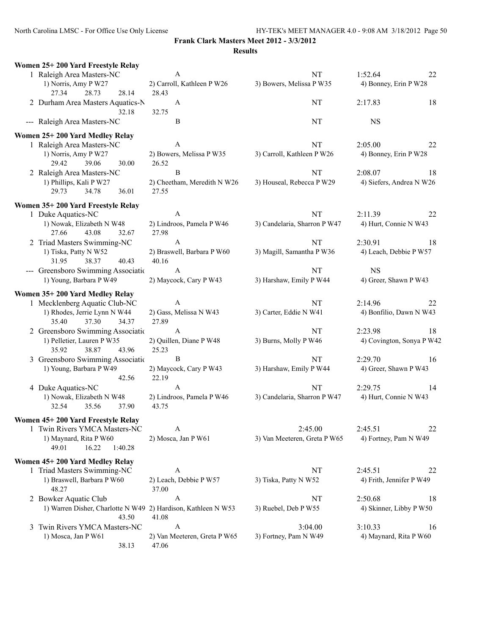**Frank Clark Masters Meet 2012 - 3/3/2012**

#### **Results**

| Women 25+200 Yard Freestyle Relay                                      |                                       |                              |                           |
|------------------------------------------------------------------------|---------------------------------------|------------------------------|---------------------------|
| 1 Raleigh Area Masters-NC                                              | A                                     | NT                           | 1:52.64<br>22             |
| 1) Norris, Amy P W27<br>28.73<br>28.14<br>27.34                        | 2) Carroll, Kathleen P W26<br>28.43   | 3) Bowers, Melissa P W35     | 4) Bonney, Erin P W28     |
| 2 Durham Area Masters Aquatics-N<br>32.18                              | A<br>32.75                            | <b>NT</b>                    | 2:17.83<br>18             |
| --- Raleigh Area Masters-NC                                            | B                                     | NT                           | <b>NS</b>                 |
| Women 25+200 Yard Medley Relay                                         |                                       |                              |                           |
| 1 Raleigh Area Masters-NC                                              | A                                     | NT                           | 2:05.00<br>22             |
| 1) Norris, Amy P W27<br>29.42<br>39.06<br>30.00                        | 2) Bowers, Melissa P W35<br>26.52     | 3) Carroll, Kathleen P W26   | 4) Bonney, Erin P W28     |
| 2 Raleigh Area Masters-NC                                              | B                                     | NT                           | 2:08.07<br>18             |
| 1) Phillips, Kali P W27<br>29.73<br>34.78<br>36.01                     | 2) Cheetham, Meredith N W26<br>27.55  | 3) Houseal, Rebecca P W29    | 4) Siefers, Andrea N W26  |
| Women 35+200 Yard Freestyle Relay                                      |                                       |                              |                           |
| 1 Duke Aquatics-NC                                                     | A                                     | NT                           | 2:11.39<br>22             |
| 1) Nowak, Elizabeth N W48<br>43.08<br>27.66<br>32.67                   | 2) Lindroos, Pamela P W46<br>27.98    | 3) Candelaria, Sharron P W47 | 4) Hurt, Connie N W43     |
| 2 Triad Masters Swimming-NC                                            | A                                     | <b>NT</b>                    | 2:30.91<br>18             |
| 1) Tiska, Patty N W52<br>38.37<br>40.43<br>31.95                       | 2) Braswell, Barbara P W60<br>40.16   | 3) Magill, Samantha P W36    | 4) Leach, Debbie P W57    |
| --- Greensboro Swimming Associatio                                     | $\mathbf{A}$                          | NT                           | <b>NS</b>                 |
| 1) Young, Barbara P W49                                                | 2) Maycock, Cary P W43                | 3) Harshaw, Emily P W44      | 4) Greer, Shawn P W43     |
| Women 35+200 Yard Medley Relay                                         |                                       |                              |                           |
| 1 Mecklenberg Aquatic Club-NC                                          | A                                     | NT                           | 2:14.96<br>22             |
| 1) Rhodes, Jerrie Lynn N W44<br>35.40<br>37.30<br>34.37                | 2) Gass, Melissa N W43<br>27.89       | 3) Carter, Eddie N W41       | 4) Bonfilio, Dawn N W43   |
| 2 Greensboro Swimming Associatio                                       | $\mathbf{A}$                          | NT                           | 2:23.98<br>18             |
| 1) Pelletier, Lauren P W35<br>38.87<br>35.92<br>43.96                  | 2) Quillen, Diane P W48<br>25.23      | 3) Burns, Molly P W46        | 4) Covington, Sonya P W42 |
| 3 Greensboro Swimming Association                                      | B                                     | NT                           | 2:29.70<br>16             |
| 1) Young, Barbara P W49<br>42.56                                       | 2) Maycock, Cary P W43<br>22.19       | 3) Harshaw, Emily P W44      | 4) Greer, Shawn P W43     |
| 4 Duke Aquatics-NC                                                     | A                                     | NT                           | 2:29.75<br>14             |
| 1) Nowak, Elizabeth N W48<br>32.54<br>35.56<br>37.90                   | 2) Lindroos, Pamela P W46<br>43.75    | 3) Candelaria, Sharron P W47 | 4) Hurt, Connie N W43     |
| Women 45+200 Yard Freestyle Relay                                      |                                       |                              |                           |
| 1 Twin Rivers YMCA Masters-NC                                          | A                                     | 2:45.00                      | 2:45.51<br>22             |
| 1) Maynard, Rita P W60<br>16.22<br>49.01<br>1:40.28                    | 2) Mosca, Jan P W61                   | 3) Van Meeteren, Greta P W65 | 4) Fortney, Pam N W49     |
| Women 45+200 Yard Medley Relay                                         |                                       |                              |                           |
| 1 Triad Masters Swimming-NC                                            | A                                     | NT                           | 2:45.51<br>22             |
| 1) Braswell, Barbara P W60<br>48.27                                    | 2) Leach, Debbie P W57<br>37.00       | 3) Tiska, Patty N W52        | 4) Frith, Jennifer P W49  |
| 2 Bowker Aquatic Club                                                  | A                                     | NT                           | 2:50.68<br>18             |
| 1) Warren Disher, Charlotte N W49 2) Hardison, Kathleen N W53<br>43.50 | 41.08                                 | 3) Ruebel, Deb P W55         | 4) Skinner, Libby P W50   |
| 3 Twin Rivers YMCA Masters-NC                                          | A                                     | 3:04.00                      | 3:10.33<br>16             |
| 1) Mosca, Jan P $W61$<br>38.13                                         | 2) Van Meeteren, Greta P W65<br>47.06 | 3) Fortney, Pam N W49        | 4) Maynard, Rita P W60    |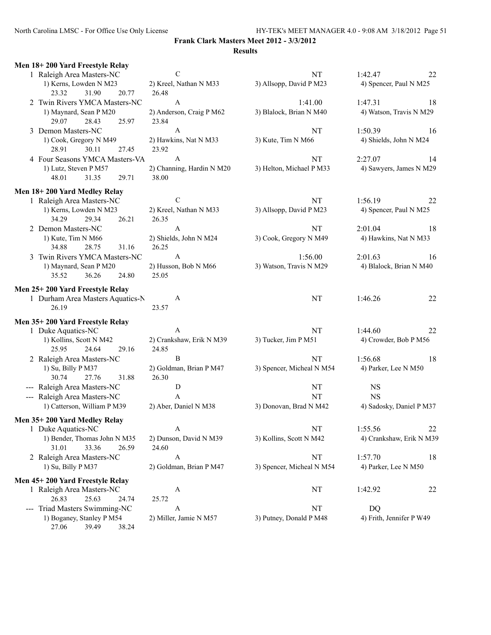| Men 18+200 Yard Freestyle Relay                         |                                  |                                    |                                          |
|---------------------------------------------------------|----------------------------------|------------------------------------|------------------------------------------|
| 1 Raleigh Area Masters-NC                               | $\mathcal{C}$                    | NT                                 | 1:42.47<br>22                            |
| 1) Kerns, Lowden N M23                                  | 2) Kreel, Nathan N M33           | 3) Allsopp, David P M23            | 4) Spencer, Paul N M25                   |
| 23.32<br>31.90<br>20.77                                 | 26.48                            |                                    |                                          |
| 2 Twin Rivers YMCA Masters-NC                           | A<br>2) Anderson, Craig P M62    | 1:41.00<br>3) Blalock, Brian N M40 | 1:47.31<br>18<br>4) Watson, Travis N M29 |
| 1) Maynard, Sean P M20<br>29.07<br>28.43<br>25.97       | 23.84                            |                                    |                                          |
| 3 Demon Masters-NC                                      | A                                | NT                                 | 1:50.39<br>16                            |
| 1) Cook, Gregory N M49                                  | 2) Hawkins, Nat N M33            | 3) Kute, Tim N M66                 | 4) Shields, John N M24                   |
| 28.91<br>30.11<br>27.45                                 | 23.92                            |                                    |                                          |
| 4 Four Seasons YMCA Masters-VA                          | A                                | NT                                 | 2:27.07<br>14                            |
| 1) Lutz, Steven P M57                                   | 2) Channing, Hardin N M20        | 3) Helton, Michael P M33           | 4) Sawyers, James N M29                  |
| 48.01<br>31.35<br>29.71                                 | 38.00                            |                                    |                                          |
| Men 18+200 Yard Medley Relay                            |                                  |                                    |                                          |
| 1 Raleigh Area Masters-NC                               | C                                | NT                                 | 1:56.19<br>22                            |
| 1) Kerns, Lowden N M23                                  | 2) Kreel, Nathan N M33           | 3) Allsopp, David P M23            | 4) Spencer, Paul N M25                   |
| 34.29<br>29.34<br>26.21                                 | 26.35                            |                                    |                                          |
| 2 Demon Masters-NC                                      | A                                | NT                                 | 2:01.04<br>18                            |
| 1) Kute, Tim N M66                                      | 2) Shields, John N M24           | 3) Cook, Gregory N M49             | 4) Hawkins, Nat N M33                    |
| 34.88<br>28.75<br>31.16                                 | 26.25                            |                                    |                                          |
| 3 Twin Rivers YMCA Masters-NC                           | $\mathbf{A}$                     | 1:56.00                            | 2:01.63<br>16                            |
| 1) Maynard, Sean P M20                                  | 2) Husson, Bob N M66             | 3) Watson, Travis N M29            | 4) Blalock, Brian N M40                  |
| 35.52<br>36.26<br>24.80                                 | 25.05                            |                                    |                                          |
| Men 25+200 Yard Freestyle Relay                         |                                  |                                    |                                          |
| 1 Durham Area Masters Aquatics-N                        | A                                | NT                                 | 1:46.26<br>22                            |
| 26.19                                                   | 23.57                            |                                    |                                          |
| Men 35+200 Yard Freestyle Relay                         |                                  |                                    |                                          |
| 1 Duke Aquatics-NC                                      | A                                | NT                                 | 1:44.60<br>22                            |
| 1) Kollins, Scott N M42                                 | 2) Crankshaw, Erik N M39         | 3) Tucker, Jim P M51               | 4) Crowder, Bob P M56                    |
| 25.95<br>24.64<br>29.16                                 | 24.85                            |                                    |                                          |
| 2 Raleigh Area Masters-NC                               | B                                | NT                                 | 1:56.68<br>18                            |
| 1) Su, Billy P M37<br>30.74<br>27.76<br>31.88           | 2) Goldman, Brian P M47<br>26.30 | 3) Spencer, Micheal N M54          | 4) Parker, Lee N M50                     |
| --- Raleigh Area Masters-NC                             | D                                | NT                                 | $_{\rm NS}$                              |
| --- Raleigh Area Masters-NC                             | A                                | NT                                 | <b>NS</b>                                |
| 1) Catterson, William P M39                             | 2) Aber, Daniel N M38            | 3) Donovan, Brad N M42             | 4) Sadosky, Daniel P M37                 |
|                                                         |                                  |                                    |                                          |
| Men 35+200 Yard Medley Relay                            |                                  |                                    |                                          |
| 1 Duke Aquatics-NC                                      | A<br>2) Dunson, David N M39      | NT<br>3) Kollins, Scott N M42      | 1:55.56<br>22                            |
| 1) Bender, Thomas John N M35<br>33.36<br>31.01<br>26.59 | 24.60                            |                                    | 4) Crankshaw, Erik N M39                 |
| 2 Raleigh Area Masters-NC                               | A                                | <b>NT</b>                          | 1:57.70<br>18                            |
| 1) Su, Billy P M37                                      | 2) Goldman, Brian P M47          | 3) Spencer, Micheal N M54          | 4) Parker, Lee N M50                     |
|                                                         |                                  |                                    |                                          |
| Men 45+200 Yard Freestyle Relay                         |                                  |                                    |                                          |
| 1 Raleigh Area Masters-NC<br>26.83<br>25.63<br>24.74    | A<br>25.72                       | NT                                 | 1:42.92<br>22                            |
| --- Triad Masters Swimming-NC                           | A                                | NT                                 | DQ                                       |
| 1) Boganey, Stanley P M54                               | 2) Miller, Jamie N M57           | 3) Putney, Donald P M48            | 4) Frith, Jennifer P W49                 |
| 27.06<br>39.49<br>38.24                                 |                                  |                                    |                                          |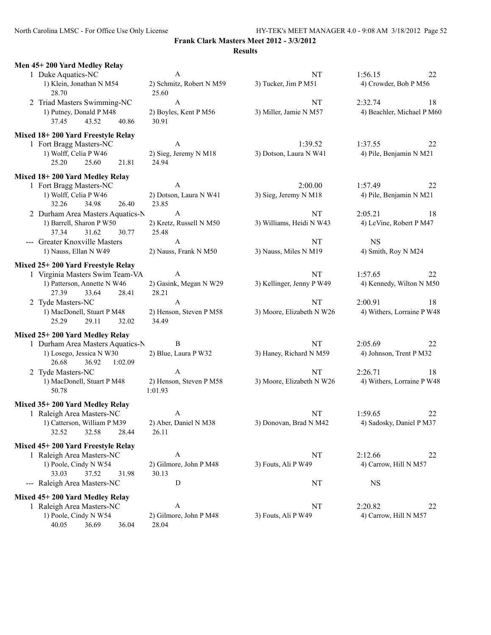North Carolina LMSC - For Office Use Only License HY-TEK's MEET MANAGER 4.0 - 9:08 AM 3/18/2012 Page 52

| Men 45+200 Yard Medley Relay                           |                                    |                           |                            |
|--------------------------------------------------------|------------------------------------|---------------------------|----------------------------|
| 1 Duke Aquatics-NC                                     | $\mathbf{A}$                       | NT                        | 1:56.15<br>22              |
| 1) Klein, Jonathan N M54<br>28.70                      | 2) Schmitz, Robert N M59<br>25.60  | 3) Tucker, Jim P M51      | 4) Crowder, Bob P M56      |
| 2 Triad Masters Swimming-NC                            | $\boldsymbol{A}$                   | NT                        | 2:32.74<br>18              |
| 1) Putney, Donald P M48<br>43.52<br>40.86<br>37.45     | 2) Boyles, Kent P M56<br>30.91     | 3) Miller, Jamie N M57    | 4) Beachler, Michael P M60 |
| Mixed 18+200 Yard Freestyle Relay                      |                                    |                           |                            |
| 1 Fort Bragg Masters-NC                                | A                                  | 1:39.52                   | 1:37.55<br>22              |
| 1) Wolff, Celia P W46<br>25.20<br>25.60<br>21.81       | 2) Sieg, Jeremy N M18<br>24.94     | 3) Dotson, Laura N W41    | 4) Pile, Benjamin N M21    |
| Mixed 18+200 Yard Medley Relay                         |                                    |                           |                            |
| 1 Fort Bragg Masters-NC                                | A                                  | 2:00.00                   | 1:57.49<br>22              |
| 1) Wolff, Celia P W46<br>32.26<br>34.98<br>26.40       | 2) Dotson, Laura N W41<br>23.85    | 3) Sieg, Jeremy N M18     | 4) Pile, Benjamin N M21    |
| 2 Durham Area Masters Aquatics-N                       | $\mathbf{A}$                       | NT                        | 2:05.21<br>18              |
| 1) Barrell, Sharon P W50<br>37.34<br>31.62<br>30.77    | 2) Kretz, Russell N M50<br>25.48   | 3) Williams, Heidi N W43  | 4) LeVine, Robert P M47    |
| --- Greater Knoxville Masters                          | $\mathbf{A}$                       | NT                        | <b>NS</b>                  |
| 1) Nauss, Ellan N W49                                  | 2) Nauss, Frank N M50              | 3) Nauss, Miles N M19     | 4) Smith, Roy N M24        |
| Mixed 25+200 Yard Freestyle Relay                      |                                    |                           |                            |
| 1 Virginia Masters Swim Team-VA                        | A                                  | NT                        | 1:57.65<br>22              |
| 1) Patterson, Annette N W46<br>27.39<br>33.64<br>28.41 | 2) Gasink, Megan N W29<br>28.21    | 3) Kellinger, Jenny P W49 | 4) Kennedy, Wilton N M50   |
| 2 Tyde Masters-NC                                      | $\boldsymbol{A}$                   | NT                        | 2:00.91<br>18              |
| 1) MacDonell, Stuart P M48<br>25.29<br>29.11<br>32.02  | 2) Henson, Steven P M58<br>34.49   | 3) Moore, Elizabeth N W26 | 4) Withers, Lorraine P W48 |
| Mixed 25+200 Yard Medley Relay                         |                                    |                           |                            |
| 1 Durham Area Masters Aquatics-N                       | B                                  | NT                        | 2:05.69<br>22              |
| 1) Losego, Jessica N W30<br>26.68<br>36.92<br>1:02.09  | 2) Blue, Laura P W32               | 3) Haney, Richard N M59   | 4) Johnson, Trent P M32    |
| 2 Tyde Masters-NC                                      | A                                  | NT                        | 2:26.71<br>18              |
| 1) MacDonell, Stuart P M48<br>50.78                    | 2) Henson, Steven P M58<br>1:01.93 | 3) Moore, Elizabeth N W26 | 4) Withers, Lorraine P W48 |
| Mixed 35+200 Yard Medley Relay                         |                                    |                           |                            |
| 1 Raleigh Area Masters-NC                              | A                                  | NT                        | 1:59.65<br>22              |
| 1) Catterson, William P M39<br>32.52<br>32.58<br>28.44 | 2) Aber, Daniel N M38<br>26.11     | 3) Donovan, Brad N M42    | 4) Sadosky, Daniel P M37   |
| Mixed 45+200 Yard Freestyle Relay                      |                                    |                           |                            |
| 1 Raleigh Area Masters-NC                              | $\boldsymbol{A}$                   | NT                        | 2:12.66<br>22              |
| 1) Poole, Cindy N W54<br>33.03<br>37.52<br>31.98       | 2) Gilmore, John P M48<br>30.13    | 3) Fouts, Ali P W49       | 4) Carrow, Hill N M57      |
| --- Raleigh Area Masters-NC                            | D                                  | NT                        | <b>NS</b>                  |
| Mixed 45+200 Yard Medley Relay                         |                                    |                           |                            |
| 1 Raleigh Area Masters-NC                              | A                                  | NT                        | 2:20.82<br>22              |
| 1) Poole, Cindy N W54<br>40.05<br>36.69<br>36.04       | 2) Gilmore, John P M48<br>28.04    | 3) Fouts, Ali P W49       | 4) Carrow, Hill N M57      |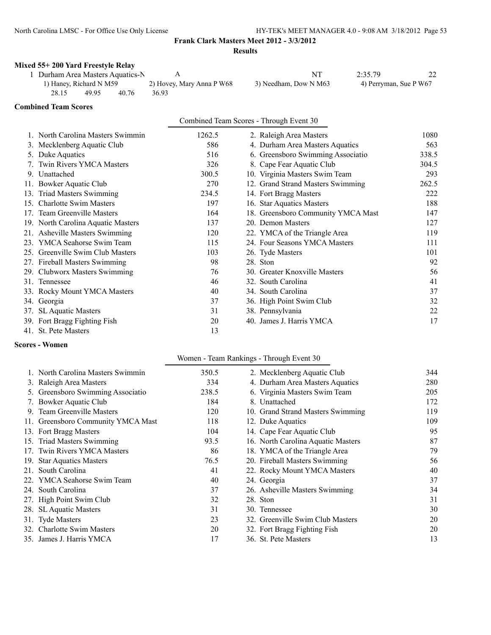### **Mixed 55+ 200 Yard Freestyle Relay**

|       |                          | 1 Durham Area Masters Aquatics-N |                           |                       | 2:35.79                |  |
|-------|--------------------------|----------------------------------|---------------------------|-----------------------|------------------------|--|
|       | (1) Haney, Richard N M59 |                                  | 2) Hovey, Mary Anna P W68 | 3) Needham, Dow N M63 | 4) Perryman, Sue P W67 |  |
| 28.15 | 49.95                    | 40.76                            | 36.93                     |                       |                        |  |

#### **Combined Team Scores**

| Combined Team Scores - Through Event 30 |  |
|-----------------------------------------|--|
|-----------------------------------------|--|

|     | 1. North Carolina Masters Swimmin  | 1262.5 | 2. Raleigh Area Masters            | 1080  |
|-----|------------------------------------|--------|------------------------------------|-------|
|     | 3. Mecklenberg Aquatic Club        | 586    | 4. Durham Area Masters Aquatics    | 563   |
|     | 5. Duke Aquatics                   | 516    | 6. Greensboro Swimming Associatio  | 338.5 |
|     | 7. Twin Rivers YMCA Masters        | 326    | 8. Cape Fear Aquatic Club          | 304.5 |
|     | 9. Unattached                      | 300.5  | 10. Virginia Masters Swim Team     | 293   |
|     | 11. Bowker Aquatic Club            | 270    | 12. Grand Strand Masters Swimming  | 262.5 |
|     | 13. Triad Masters Swimming         | 234.5  | 14. Fort Bragg Masters             | 222   |
|     | 15. Charlotte Swim Masters         | 197    | 16. Star Aquatics Masters          | 188   |
|     | 17. Team Greenville Masters        | 164    | 18. Greensboro Community YMCA Mast | 147   |
|     | 19. North Carolina Aquatic Masters | 137    | 20. Demon Masters                  | 127   |
|     | 21. Asheville Masters Swimming     | 120    | 22. YMCA of the Triangle Area      | 119   |
|     | 23. YMCA Seahorse Swim Team        | 115    | 24. Four Seasons YMCA Masters      | 111   |
| 25. | Greenville Swim Club Masters       | 103    | 26. Tyde Masters                   | 101   |
|     | 27. Fireball Masters Swimming      | 98     | 28. Ston                           | 92    |
|     | 29. Clubworx Masters Swimming      | 76     | 30. Greater Knoxville Masters      | 56    |
|     | 31. Tennessee                      | 46     | 32. South Carolina                 | 41    |
|     | 33. Rocky Mount YMCA Masters       | 40     | 34. South Carolina                 | 37    |
|     | 34. Georgia                        | 37     | 36. High Point Swim Club           | 32    |
|     | 37. SL Aquatic Masters             | 31     | 38. Pennsylvania                   | 22    |
|     | 39. Fort Bragg Fighting Fish       | 20     | 40. James J. Harris YMCA           | 17    |
|     | 41. St. Pete Masters               | 13     |                                    |       |

#### **Scores - Women**

#### Women - Team Rankings - Through Event 30

| 1. North Carolina Masters Swimmin  | 350.5 | 2. Mecklenberg Aquatic Club        | 344 |
|------------------------------------|-------|------------------------------------|-----|
| 3. Raleigh Area Masters            | 334   | 4. Durham Area Masters Aquatics    | 280 |
| 5. Greensboro Swimming Associatio  | 238.5 | 6. Virginia Masters Swim Team      | 205 |
| 7. Bowker Aquatic Club             | 184   | 8. Unattached                      | 172 |
| 9. Team Greenville Masters         | 120   | 10. Grand Strand Masters Swimming  | 119 |
| 11. Greensboro Community YMCA Mast | 118   | 12. Duke Aquatics                  | 109 |
| 13. Fort Bragg Masters             | 104   | 14. Cape Fear Aquatic Club         | 95  |
| 15. Triad Masters Swimming         | 93.5  | 16. North Carolina Aquatic Masters | 87  |
| 17. Twin Rivers YMCA Masters       | 86    | 18. YMCA of the Triangle Area      | 79  |
| 19. Star Aquatics Masters          | 76.5  | 20. Fireball Masters Swimming      | 56  |
| 21. South Carolina                 | 41    | 22. Rocky Mount YMCA Masters       | 40  |
| 22. YMCA Seahorse Swim Team        | 40    | 24. Georgia                        | 37  |
| 24. South Carolina                 | 37    | 26. Asheville Masters Swimming     | 34  |
| 27. High Point Swim Club           | 32    | 28. Ston                           | 31  |
| 28. SL Aquatic Masters             | 31    | 30. Tennessee                      | 30  |
| 31. Tyde Masters                   | 23    | 32. Greenville Swim Club Masters   | 20  |
| 32. Charlotte Swim Masters         | 20    | 32. Fort Bragg Fighting Fish       | 20  |
| 35. James J. Harris YMCA           | 17    | 36. St. Pete Masters               | 13  |
|                                    |       |                                    |     |